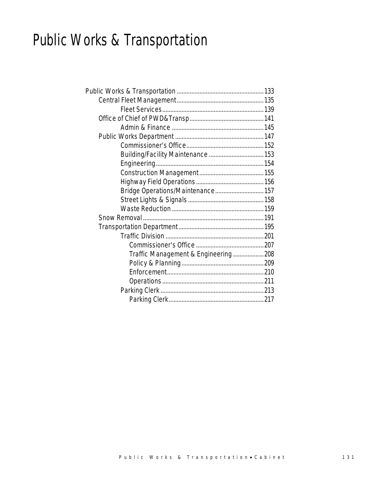# Public Works & Transportation

| Bridge Operations/Maintenance 157   |  |
|-------------------------------------|--|
|                                     |  |
|                                     |  |
|                                     |  |
|                                     |  |
|                                     |  |
|                                     |  |
| Traffic Management & Engineering208 |  |
|                                     |  |
|                                     |  |
|                                     |  |
|                                     |  |
|                                     |  |
|                                     |  |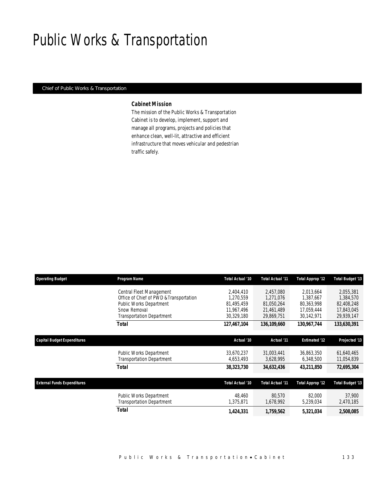# Public Works & Transportation

### *Chief of Public Works & Transportation*

#### *Cabinet Mission*

The mission of the Public Works & Transportation Cabinet is to develop, implement, support and manage all programs, projects and policies that enhance clean, well-lit, attractive and efficient infrastructure that moves vehicular and pedestrian traffic safely.

| <b>Operating Budget</b>            | Program Name                                                                                                                                       | Total Actual '10                                                 | Total Actual '11                                                 | <b>Total Approp '12</b>                                          | Total Budget '13                                                 |
|------------------------------------|----------------------------------------------------------------------------------------------------------------------------------------------------|------------------------------------------------------------------|------------------------------------------------------------------|------------------------------------------------------------------|------------------------------------------------------------------|
|                                    | Central Fleet Management<br>Office of Chief of PWD & Transportation<br>Public Works Department<br>Snow Removal<br><b>Transportation Department</b> | 2,404,410<br>1,270,559<br>81,495,459<br>11,967,496<br>30,329,180 | 2,457,080<br>1,271,076<br>81,050,264<br>21,461,489<br>29,869,751 | 2,013,664<br>1,387,667<br>80,363,998<br>17,059,444<br>30,142,971 | 2,055,381<br>1,384,570<br>82,408,248<br>17,843,045<br>29,939,147 |
|                                    | <b>Total</b>                                                                                                                                       | 127,467,104                                                      | 136,109,660                                                      | 130,967,744                                                      | 133,630,391                                                      |
| <b>Capital Budget Expenditures</b> |                                                                                                                                                    | Actual '10                                                       | Actual '11                                                       | <b>Estimated '12</b>                                             | Projected '13                                                    |
|                                    | Public Works Department<br><b>Transportation Department</b>                                                                                        | 33,670,237<br>4,653,493                                          | 31,003,441<br>3,628,995                                          | 36.863.350<br>6,348,500                                          | 61,640,465<br>11,054,839                                         |
|                                    | <b>Total</b>                                                                                                                                       | 38,323,730                                                       | 34,632,436                                                       | 43,211,850                                                       | 72,695,304                                                       |
| <b>External Funds Expenditures</b> |                                                                                                                                                    | Total Actual '10                                                 | Total Actual '11                                                 | Total Approp '12                                                 | <b>Total Budget '13</b>                                          |
|                                    | Public Works Department<br><b>Transportation Department</b>                                                                                        | 48.460<br>1,375,871                                              | 80.570<br>1,678,992                                              | 82,000<br>5,239,034                                              | 37,900<br>2,470,185                                              |
|                                    | <b>Total</b>                                                                                                                                       | 1,424,331                                                        | 1,759,562                                                        | 5,321,034                                                        | 2,508,085                                                        |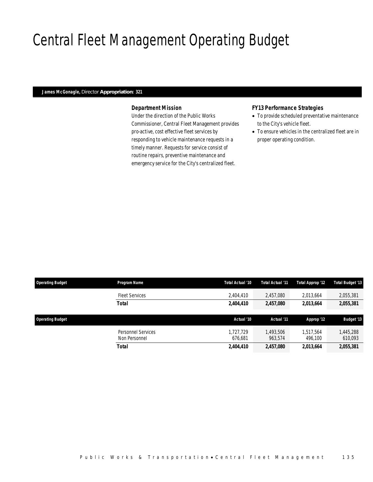# Central Fleet Management Operating Budget

### *James McGonagle, Director Appropriation: 321*

## *Department Mission*

Under the direction of the Public Works Commissioner, Central Fleet Management provides pro-active, cost effective fleet services by responding to vehicle maintenance requests in a timely manner. Requests for service consist of routine repairs, preventive maintenance and emergency service for the City's centralized fleet.

### *FY13 Performance Strategies*

- To provide scheduled preventative maintenance to the City's vehicle fleet.
- To ensure vehicles in the centralized fleet are in proper operating condition.

| <b>Operating Budget</b> | Program Name                        | Total Actual '10     | Total Actual '11     | Total Approp '12     | Total Budget '13     |
|-------------------------|-------------------------------------|----------------------|----------------------|----------------------|----------------------|
|                         | <b>Fleet Services</b>               | 2,404,410            | 2,457,080            | 2,013,664            | 2,055,381            |
|                         | Total                               | 2,404,410            | 2,457,080            | 2,013,664            | 2,055,381            |
| <b>Operating Budget</b> |                                     | Actual '10           | Actual '11           | Approp '12           | <b>Budget '13</b>    |
|                         | Personnel Services<br>Non Personnel | 1.727.729<br>676.681 | 1,493,506<br>963,574 | 1,517,564<br>496,100 | 1,445,288<br>610,093 |
|                         | <b>Total</b>                        | 2,404,410            | 2,457,080            | 2,013,664            | 2,055,381            |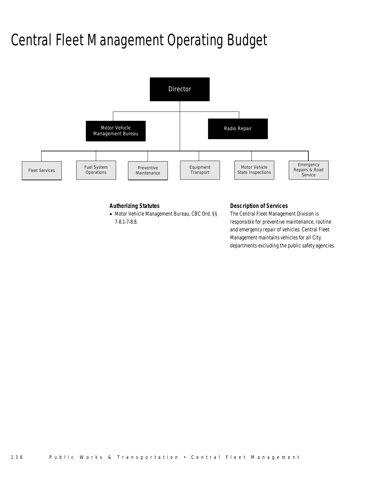# Central Fleet Management Operating Budget



## *Authorizing Statutes*

• Motor Vehicle Management Bureau, CBC Ord. §§ 7-8.1-7-8.8.

### *Description of Services*

The Central Fleet Management Division is responsible for preventive maintenance, routine and emergency repair of vehicles. Central Fleet Management maintains vehicles for all City departments excluding the public safety agencies.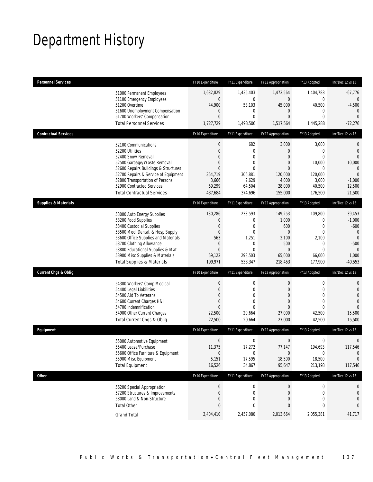# Department History

| <b>Personnel Services</b>       |                                                              | FY10 Expenditure      | FY11 Expenditure | FY12 Appropriation | FY13 Adopted     | Inc/Dec 12 vs 13         |
|---------------------------------|--------------------------------------------------------------|-----------------------|------------------|--------------------|------------------|--------------------------|
|                                 | 51000 Permanent Employees                                    | 1,682,829             | 1,435,403        | 1,472,564          | 1,404,788        | $-67,776$                |
|                                 | 51100 Emergency Employees                                    | 0                     | $\overline{0}$   | $\mathbf 0$        | $\mathbf 0$      | $\overline{0}$           |
|                                 | 51200 Overtime<br>51600 Unemployment Compensation            | 44,900<br>$\mathbf 0$ | 58,103<br>0      | 45,000<br>$\theta$ | 40,500<br>0      | $-4,500$<br>$\mathbf{0}$ |
|                                 | 51700 Workers' Compensation                                  | $\overline{0}$        | $\mathbf{0}$     | $\overline{0}$     | $\mathbf{0}$     | $\overline{0}$           |
|                                 | <b>Total Personnel Services</b>                              | 1,727,729             | 1,493,506        | 1,517,564          | 1,445,288        | $-72,276$                |
| <b>Contractual Services</b>     |                                                              | FY10 Expenditure      | FY11 Expenditure | FY12 Appropriation | FY13 Adopted     | Inc/Dec 12 vs 13         |
|                                 | 52100 Communications                                         | $\boldsymbol{0}$      | 682              | 3,000              | 3,000            | 0                        |
|                                 | 52200 Utilities                                              | 0                     | $\mathbf{0}$     | $\theta$           | $\mathbf{0}$     | $\mathbf{0}$             |
|                                 | 52400 Snow Removal                                           | 0                     | $\mathbf{0}$     | $\overline{0}$     | $\Omega$         | $\Omega$                 |
|                                 | 52500 Garbage/Waste Removal                                  | 0                     | 0                | $\theta$           | 10,000           | 10,000                   |
|                                 | 52600 Repairs Buildings & Structures                         | $\Omega$              | $\Omega$         | $\Omega$           | $\Omega$         | $\overline{0}$           |
|                                 | 52700 Repairs & Service of Equipment                         | 364,719               | 306,881          | 120,000            | 120,000          | $\overline{0}$           |
|                                 | 52800 Transportation of Persons<br>52900 Contracted Services | 3,666<br>69,299       | 2,629<br>64,504  | 4,000<br>28,000    | 3,000<br>40,500  | $-1,000$<br>12,500       |
|                                 | <b>Total Contractual Services</b>                            | 437,684               | 374,696          | 155,000            | 176,500          | 21,500                   |
| <b>Supplies &amp; Materials</b> |                                                              | FY10 Expenditure      | FY11 Expenditure | FY12 Appropriation | FY13 Adopted     | Inc/Dec 12 vs 13         |
|                                 |                                                              |                       | 233,593          | 149,253            | 109,800          |                          |
|                                 | 53000 Auto Energy Supplies<br>53200 Food Supplies            | 130,286<br>0          | $\mathbf 0$      | 1,000              | 0                | $-39,453$<br>$-1,000$    |
|                                 | 53400 Custodial Supplies                                     | $\overline{0}$        | $\mathbf{0}$     | 600                | $\overline{0}$   | $-600$                   |
|                                 | 53500 Med, Dental, & Hosp Supply                             | $\overline{0}$        | $\mathbf{0}$     | $\overline{0}$     | $\overline{0}$   | $\overline{0}$           |
|                                 | 53600 Office Supplies and Materials                          | 563                   | 1,251            | 2,100              | 2,100            | $\mathbf{0}$             |
|                                 | 53700 Clothing Allowance                                     | $\mathbf 0$           | $\mathbf 0$      | 500                | 0                | $-500$                   |
|                                 | 53800 Educational Supplies & Mat                             | $\mathbf{0}$          | $\mathbf{0}$     | $\theta$           | $\theta$         | $\theta$                 |
|                                 | 53900 Misc Supplies & Materials                              | 69,122                | 298,503          | 65,000             | 66,000           | 1,000                    |
|                                 | <b>Total Supplies &amp; Materials</b>                        | 199,971               | 533,347          | 218,453            | 177,900          | $-40,553$                |
| <b>Current Chgs &amp; Oblig</b> |                                                              | FY10 Expenditure      | FY11 Expenditure | FY12 Appropriation | FY13 Adopted     | Inc/Dec 12 vs 13         |
|                                 | 54300 Workers' Comp Medical                                  | $\boldsymbol{0}$      | 0                | $\mathbf 0$        | $\boldsymbol{0}$ | 0                        |
|                                 | 54400 Legal Liabilities                                      | $\overline{0}$        | $\mathbf{0}$     | $\overline{0}$     | $\mathbf{0}$     | $\mathbf 0$              |
|                                 | 54500 Aid To Veterans                                        | $\Omega$              | $\Omega$         | $\theta$           | $\Omega$         | $\overline{0}$           |
|                                 | 54600 Current Charges H&I                                    | $\overline{0}$        | $\mathbf{0}$     | $\theta$           | $\mathbf{0}$     | $\overline{0}$           |
|                                 | 54700 Indemnification                                        | $\Omega$              | $\Omega$         | $\overline{0}$     | $\Omega$         | $\Omega$                 |
|                                 | 54900 Other Current Charges                                  | 22,500                | 20,664           | 27,000             | 42,500           | 15,500                   |
|                                 | Total Current Chgs & Oblig                                   | 22,500                | 20,664           | 27,000             | 42,500           | 15,500                   |
| Equipment                       |                                                              | FY10 Expenditure      | FY11 Expenditure | FY12 Appropriation | FY13 Adopted     | Inc/Dec 12 vs 13         |
|                                 | 55000 Automotive Equipment                                   | $\boldsymbol{0}$      | 0                | $\boldsymbol{0}$   | 0                | 0                        |
|                                 | 55400 Lease/Purchase                                         | 11,375                | 17,272           | 77,147             | 194,693          | 117,546                  |
|                                 | 55600 Office Furniture & Equipment                           | 0                     | 0                | $\mathbf 0$        | 0                | $\theta$                 |
|                                 | 55900 Misc Equipment                                         | 5,151                 | 17,595           | 18,500             | 18,500           | $\overline{0}$           |
|                                 | <b>Total Equipment</b>                                       | 16,526                | 34,867           | 95,647             | 213,193          | 117,546                  |
| Other                           |                                                              | FY10 Expenditure      | FY11 Expenditure | FY12 Appropriation | FY13 Adopted     | Inc/Dec 12 vs 13         |
|                                 | 56200 Special Appropriation                                  | $\boldsymbol{0}$      | $\boldsymbol{0}$ | $\mathbf 0$        | 0                | 0                        |
|                                 | 57200 Structures & Improvements                              | 0                     | 0                | $\theta$           | 0                | $\mathbf 0$              |
|                                 | 58000 Land & Non-Structure                                   | 0                     | $\mathbf 0$      | 0                  | $\mathbf 0$      | 0                        |
|                                 | <b>Total Other</b>                                           | 0                     | 0                | 0                  | 0                | 0                        |
|                                 | <b>Grand Total</b>                                           | 2,404,410             | 2,457,080        | 2,013,664          | 2,055,381        | 41,717                   |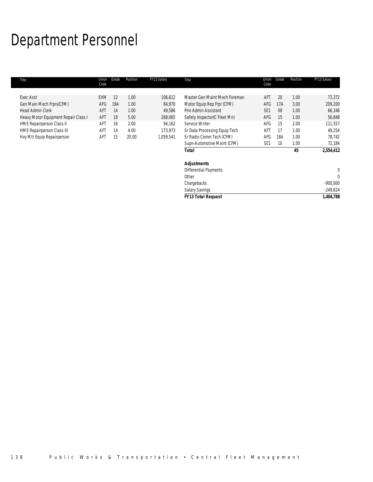# Department Personnel

| Title                                | Union<br>Code | Grade | Position | FY13 Salary | Title                         | Union<br>Code   | Grade | Position | FY13 Salary  |
|--------------------------------------|---------------|-------|----------|-------------|-------------------------------|-----------------|-------|----------|--------------|
| Exec Asst                            | <b>EXM</b>    | 12    | 1.00     | 106,612     | Master Gen Maint Mech Foreman | AFT             | 20    | 1.00     | 73,372       |
| Gen Main Mech Frprs(CFM)             | AFG           | 19A   | 1.00     | 84,970      | Motor Equip Rep Frpr (CFM)    | AFG             | 17A   | 3.00     | 209,200      |
| <b>Head Admin Clerk</b>              | AFT           | 14    | 1.00     | 49,586      | Prin Admin Assistant          | SE <sub>1</sub> | 08    | 1.00     | 66,346       |
| Heavy Motor Equipment Repair Class I | AFT           | 18    | 5.00     | 268,065     | Safety Inspector(C Fleet Mn)  | AFG             | 15    | 1.00     | 56,848       |
| HME Repairperson Class II            | AFT           | 16    | 2.00     | 94,162      | Service Writer                | AFG             | 15    | 2.00     | 111,557      |
| <b>HME Repairperson Class III</b>    | AFT           | 14    | 4.00     | 173,973     | Sr Data Processing Equip Tech | AFT             | 17    | 1.00     | 49,254       |
| Hvy Mtr Equip Repairperson           | AFT           | 15    | 20.00    | 1,059,541   | Sr Radio Comm Tech (CFM)      | AFG             | 18A   | 1.00     | 78,742       |
|                                      |               |       |          |             | Supn-Automotive Maint (CFM)   | SE <sub>1</sub> | 10    | 1.00     | 72,184       |
|                                      |               |       |          |             | Total                         |                 |       | 45       | 2,554,412    |
|                                      |               |       |          |             | <b>Adjustments</b>            |                 |       |          |              |
|                                      |               |       |          |             | <b>Differential Payments</b>  |                 |       |          | 0            |
|                                      |               |       |          |             | Other                         |                 |       |          | $\mathbf{0}$ |
|                                      |               |       |          |             | Chargebacks                   |                 |       |          | $-900,000$   |
|                                      |               |       |          |             | <b>Salary Savings</b>         |                 |       |          | $-249,624$   |
|                                      |               |       |          |             | <b>FY13 Total Request</b>     |                 |       |          | 1,404,788    |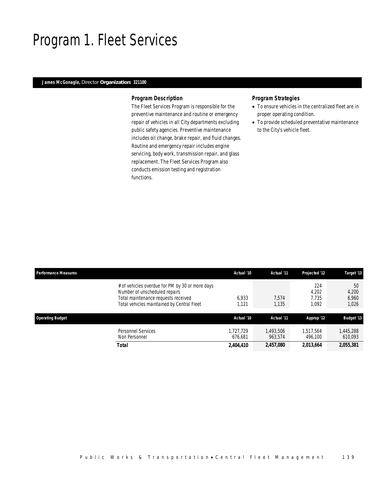## Program 1. Fleet Services

### *James McGonagle, Director Organization: 321100*

### *Program Description*

The Fleet Services Program is responsible for the preventive maintenance and routine or emergency repair of vehicles in all City departments excluding public safety agencies. Preventive maintenance includes oil change, brake repair, and fluid changes. Routine and emergency repair includes engine servicing, body work, transmission repair, and glass replacement. The Fleet Services Program also conducts emission testing and registration functions.

### *Program Strategies*

- To ensure vehicles in the centralized fleet are in proper operating condition.
- To provide scheduled preventative maintenance to the City's vehicle fleet.

| <b>Performance Measures</b> |                                                                                                                                                                       | Actual '10           | Actual '11           | Projected '12                  | Target '13                    |
|-----------------------------|-----------------------------------------------------------------------------------------------------------------------------------------------------------------------|----------------------|----------------------|--------------------------------|-------------------------------|
|                             | # of vehicles overdue for PM by 30 or more days<br>Number of unscheduled repairs<br>Total maintenance requests received<br>Total vehicles maintained by Central Fleet | 6.933<br>1,121       | 7.574<br>1,135       | 224<br>4,202<br>7.735<br>1,092 | 50<br>4,200<br>6.960<br>1,026 |
| <b>Operating Budget</b>     |                                                                                                                                                                       | Actual '10           | Actual '11           | Approp '12                     | <b>Budget '13</b>             |
|                             | Personnel Services<br>Non Personnel                                                                                                                                   | 1.727.729<br>676.681 | 1,493,506<br>963.574 | 1.517.564<br>496.100           | 1,445,288<br>610,093          |
|                             | Total                                                                                                                                                                 | 2,404,410            | 2,457,080            | 2,013,664                      | 2,055,381                     |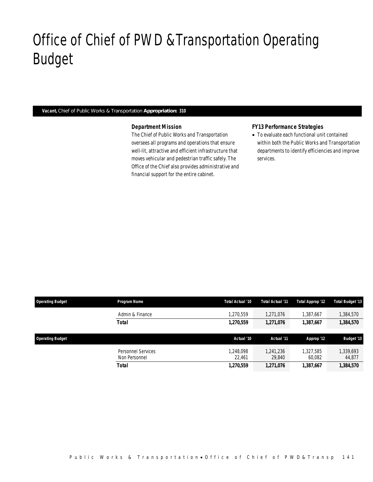# Office of Chief of PWD &Transportation Operating Budget

### *Vacant, Chief of Public Works & Transportation Appropriation: 310*

Office of Chief of PWD&Transp

### *Department Mission*

The Chief of Public Works and Transportation oversees all programs and operations that ensure well-lit, attractive and efficient infrastructure that moves vehicular and pedestrian traffic safely. The Office of the Chief also provides administrative and financial support for the entire cabinet.

### *FY13 Performance Strategies*

• To evaluate each functional unit contained within both the Public Works and Transportation departments to identify efficiencies and improve services.

| <b>Operating Budget</b> | Program Name                        | Total Actual '10    | Total Actual '11    | Total Approp '12    | <b>Total Budget '13</b> |
|-------------------------|-------------------------------------|---------------------|---------------------|---------------------|-------------------------|
|                         | Admin & Finance                     | 1,270,559           | 1,271,076           | 1,387,667           | ,384,570                |
|                         | Total                               | 1,270,559           | 1,271,076           | 1,387,667           | 1,384,570               |
| <b>Operating Budget</b> |                                     | Actual '10          | Actual '11          | Approp '12          | <b>Budget '13</b>       |
|                         | Personnel Services<br>Non Personnel | 1.248.098<br>22.461 | 1.241.236<br>29,840 | 1.327.585<br>60.082 | .339,693<br>44,877      |
|                         | <b>Total</b>                        | 1,270,559           | 1,271,076           | 1,387,667           | 1,384,570               |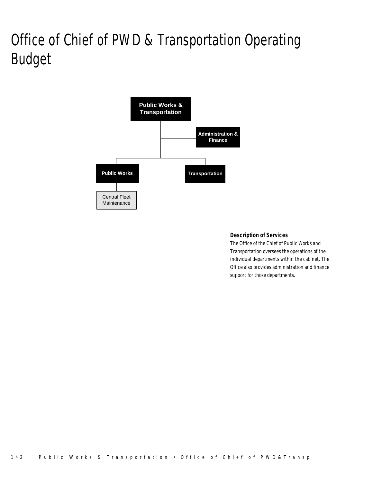# Office of Chief of PWD & Transportation Operating Budget



## *Description of Services*

The Office of the Chief of Public Works and Transportation oversees the operations of the individual departments within the cabinet. The Office also provides administration and finance support for those departments.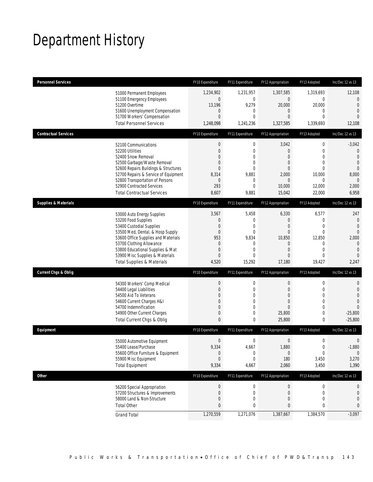# Department History

| <b>Personnel Services</b>       |                                                                     | FY10 Expenditure                 | FY11 Expenditure             | FY12 Appropriation               | FY13 Adopted                 | Inc/Dec 12 vs 13                 |
|---------------------------------|---------------------------------------------------------------------|----------------------------------|------------------------------|----------------------------------|------------------------------|----------------------------------|
|                                 | 51000 Permanent Employees                                           | 1,234,902                        | 1,231,957                    | 1,307,585                        | 1,319,693                    | 12,108                           |
|                                 | 51100 Emergency Employees                                           | $\boldsymbol{0}$                 | 0                            | $\mathbf 0$                      | 0                            | $\mathbf 0$                      |
|                                 | 51200 Overtime<br>51600 Unemployment Compensation                   | 13,196<br>$\mathbf 0$            | 9,279<br>$\mathbf 0$         | 20,000<br>$\mathbf 0$            | 20,000<br>$\mathbf 0$        | $\mathbf{0}$<br>$\overline{0}$   |
|                                 | 51700 Workers' Compensation                                         | $\overline{0}$                   | $\overline{0}$               | 0                                | $\mathbf{0}$                 | $\overline{0}$                   |
|                                 | <b>Total Personnel Services</b>                                     | 1,248,098                        | 1,241,236                    | 1,327,585                        | 1,339,693                    | 12,108                           |
| <b>Contractual Services</b>     |                                                                     | FY10 Expenditure                 | FY11 Expenditure             | FY12 Appropriation               | FY13 Adopted                 | Inc/Dec 12 vs 13                 |
|                                 | 52100 Communications                                                | $\boldsymbol{0}$                 | $\boldsymbol{0}$             | 3,042                            | $\boldsymbol{0}$             | $-3,042$                         |
|                                 | 52200 Utilities                                                     | $\overline{0}$                   | $\mathbf 0$                  | $\mathbf{0}$                     | $\mathbf{0}$                 | $\theta$                         |
|                                 | 52400 Snow Removal                                                  | 0                                | $\overline{0}$               | 0                                | $\mathbf{0}$<br>$\mathbf{0}$ | $\overline{0}$<br>$\overline{0}$ |
|                                 | 52500 Garbage/Waste Removal<br>52600 Repairs Buildings & Structures | $\overline{0}$<br>$\overline{0}$ | $\mathbf{0}$<br>$\mathbf{0}$ | $\overline{0}$<br>$\overline{0}$ | $\mathbf{0}$                 | $\theta$                         |
|                                 | 52700 Repairs & Service of Equipment                                | 8,314                            | 9,881                        | 2,000                            | 10,000                       | 8,000                            |
|                                 | 52800 Transportation of Persons                                     | 0                                | 0                            | $\mathbf{0}$                     | 0                            | $\mathbf{0}$                     |
|                                 | 52900 Contracted Services                                           | 293                              | $\overline{0}$               | 10,000                           | 12,000                       | 2,000                            |
|                                 | <b>Total Contractual Services</b>                                   | 8,607                            | 9,881                        | 15,042                           | 22,000                       | 6,958                            |
| <b>Supplies &amp; Materials</b> |                                                                     | FY10 Expenditure                 | FY11 Expenditure             | FY12 Appropriation               | FY13 Adopted                 | Inc/Dec 12 vs 13                 |
|                                 | 53000 Auto Energy Supplies                                          | 3,567                            | 5,458                        | 6,330                            | 6,577                        | 247                              |
|                                 | 53200 Food Supplies                                                 | 0                                | $\mathbf 0$                  | $\mathbf{0}$                     | $\mathbf 0$                  | $\mathbf{0}$                     |
|                                 | 53400 Custodial Supplies                                            | 0                                | 0                            | 0                                | $\mathbf{0}$                 | $\overline{0}$                   |
|                                 | 53500 Med, Dental, & Hosp Supply                                    | $\overline{0}$                   | $\mathbf 0$                  | $\mathbf{0}$                     | $\mathbf 0$                  | $\overline{0}$                   |
|                                 | 53600 Office Supplies and Materials<br>53700 Clothing Allowance     | 953<br>$\mathbf 0$               | 9,834<br>0                   | 10,850<br>$\mathbf 0$            | 12,850<br>$\mathbf 0$        | 2,000<br>$\mathbf{0}$            |
|                                 | 53800 Educational Supplies & Mat                                    | $\overline{0}$                   | $\mathbf{0}$                 | 0                                | $\mathbf{0}$                 | $\mathbf{0}$                     |
|                                 | 53900 Misc Supplies & Materials                                     | 0                                | $\overline{0}$               | 0                                | $\mathbf{0}$                 | $\overline{0}$                   |
|                                 | <b>Total Supplies &amp; Materials</b>                               | 4,520                            | 15,292                       | 17,180                           | 19,427                       | 2,247                            |
| <b>Current Chgs &amp; Oblig</b> |                                                                     | FY10 Expenditure                 | FY11 Expenditure             | FY12 Appropriation               | FY13 Adopted                 | Inc/Dec 12 vs 13                 |
|                                 | 54300 Workers' Comp Medical                                         | $\boldsymbol{0}$                 | $\mathbf 0$                  | $\boldsymbol{0}$                 | $\boldsymbol{0}$             | 0                                |
|                                 | 54400 Legal Liabilities                                             | $\boldsymbol{0}$                 | $\mathbf 0$                  | $\overline{0}$                   | $\mathbf 0$                  | $\mathbf 0$                      |
|                                 | 54500 Aid To Veterans                                               | $\Omega$                         | 0                            | 0                                | $\mathbf{0}$                 | $\overline{0}$                   |
|                                 | 54600 Current Charges H&I                                           | 0                                | $\mathbf 0$                  | 0                                | $\mathbf 0$                  | $\overline{0}$                   |
|                                 | 54700 Indemnification                                               | 0                                | $\mathbf{0}$                 | 0                                | $\mathbf{0}$                 | $\overline{0}$                   |
|                                 | 54900 Other Current Charges<br>Total Current Chgs & Oblig           | $\mathbf 0$<br>$\mathbf{0}$      | $\mathbf 0$<br>0             | 25,800<br>25,800                 | $\mathbf 0$<br>0             | $-25,800$<br>$-25,800$           |
|                                 |                                                                     |                                  |                              |                                  |                              |                                  |
| Equipment                       |                                                                     | FY10 Expenditure                 | FY11 Expenditure             | FY12 Appropriation               | FY13 Adopted                 | Inc/Dec 12 vs 13                 |
|                                 | 55000 Automotive Equipment                                          | 0                                | 0                            | $\boldsymbol{0}$                 | $\boldsymbol{0}$             | $\mathbf 0$                      |
|                                 | 55400 Lease/Purchase                                                | 9,334                            | 4,667                        | 1,880                            | 0                            | $-1,880$                         |
|                                 | 55600 Office Furniture & Equipment<br>55900 Misc Equipment          | 0<br>$\boldsymbol{0}$            | 0<br>$\boldsymbol{0}$        | $\boldsymbol{0}$<br>180          | $\boldsymbol{0}$<br>3,450    | $\mathbf{0}$<br>3,270            |
|                                 | <b>Total Equipment</b>                                              | 9,334                            | 4,667                        | 2,060                            | 3,450                        | 1,390                            |
| Other                           |                                                                     | FY10 Expenditure                 | FY11 Expenditure             | FY12 Appropriation               | FY13 Adopted                 | Inc/Dec 12 vs 13                 |
|                                 |                                                                     |                                  |                              |                                  |                              |                                  |
|                                 | 56200 Special Appropriation                                         | $\boldsymbol{0}$                 | 0                            | $\mathbf 0$                      | 0                            | 0                                |
|                                 | 57200 Structures & Improvements<br>58000 Land & Non-Structure       | 0<br>0                           | 0<br>0                       | $\mathbf 0$<br>0                 | 0<br>$\mathbf{0}$            | $\mathbf 0$<br>0                 |
|                                 | <b>Total Other</b>                                                  | 0                                | 0                            | 0                                | 0                            | 0                                |
|                                 |                                                                     | 1,270,559                        | 1,271,076                    | 1,387,667                        | 1,384,570                    | $-3,097$                         |
|                                 | <b>Grand Total</b>                                                  |                                  |                              |                                  |                              |                                  |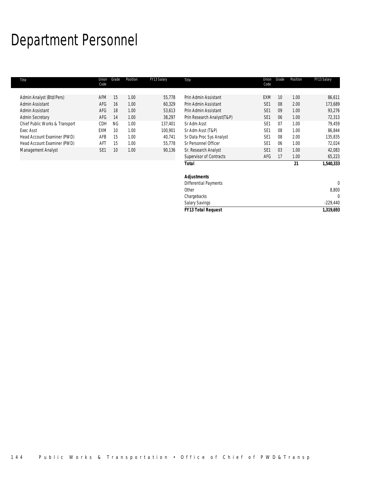# Department Personnel

| Title                          | Union<br>Code   | Grade     | Position | FY13 Salary | Title                        | Union<br>Code   | Grade | Position | FY13 Salary  |
|--------------------------------|-----------------|-----------|----------|-------------|------------------------------|-----------------|-------|----------|--------------|
|                                |                 |           |          |             |                              |                 |       |          |              |
| Admin Analyst (Btd/Pers)       | AFM             | 15        | 1.00     | 55,778      | Prin Admin Assistant         | <b>EXM</b>      | 10    | 1.00     | 86,611       |
| Admin Assistant                | AFG             | 16        | 1.00     | 60,329      | Prin Admin Assistant         | SE <sub>1</sub> | 08    | 2.00     | 173,689      |
| Admin Assistant                | AFG             | 18        | 1.00     | 53,613      | Prin Admin Assistant         | SE <sub>1</sub> | 09    | 1.00     | 93,276       |
| <b>Admin Secretary</b>         | AFG             | 14        | 1.00     | 38,297      | Prin Research Analyst(T&P)   | SE <sub>1</sub> | 06    | 1.00     | 72,313       |
| Chief Public Works & Transport | CDH             | <b>NG</b> | 1.00     | 137,401     | Sr Adm Asst                  | SE <sub>1</sub> | 07    | 1.00     | 79,459       |
| <b>Exec Asst</b>               | <b>EXM</b>      | 10        | 1.00     | 100,901     | Sr Adm Asst (T&P)            | SE <sub>1</sub> | 08    | 1.00     | 86,844       |
| Head Account Examiner (PWD)    | AFB             | 15        | 1.00     | 40,741      | Sr Data Proc Sys Analyst     | SE <sub>1</sub> | 08    | 2.00     | 135,835      |
| Head Account Examiner (PWD)    | AFT             | 15        | 1.00     | 55,778      | Sr Personnel Officer         | SE <sub>1</sub> | 06    | 1.00     | 72,024       |
| Management Analyst             | SE <sub>1</sub> | 10        | 1.00     | 90,136      | Sr. Research Analyst         | SE <sub>1</sub> | 03    | 1.00     | 42,083       |
|                                |                 |           |          |             | Supervisor of Contracts      | AFG             | 17    | 1.00     | 65,223       |
|                                |                 |           |          |             | <b>Total</b>                 |                 |       | 21       | 1,540,333    |
|                                |                 |           |          |             | <b>Adjustments</b>           |                 |       |          |              |
|                                |                 |           |          |             | <b>Differential Payments</b> |                 |       |          | $\mathbf{0}$ |
|                                |                 |           |          |             | Other                        |                 |       |          | 8,800        |
|                                |                 |           |          |             | Chargebacks                  |                 |       |          | $\Omega$     |
|                                |                 |           |          |             | <b>Salary Savings</b>        |                 |       |          | $-229,440$   |
|                                |                 |           |          |             | <b>FY13 Total Request</b>    |                 |       |          | 1,319,693    |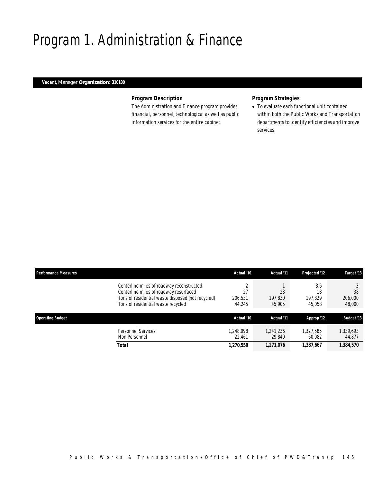## Program 1. Administration & Finance

## *Vacant, Manager Organization: 310100*

## *Program Description*

The Administration and Finance program provides financial, personnel, technological as well as public information services for the entire cabinet.

## *Program Strategies*

• To evaluate each functional unit contained within both the Public Works and Transportation departments to identify efficiencies and improve services.

| <b>Performance Measures</b> |                                                                                                                                                                                | Actual '10                   | Actual '11              | Projected '12                  | Target '13              |
|-----------------------------|--------------------------------------------------------------------------------------------------------------------------------------------------------------------------------|------------------------------|-------------------------|--------------------------------|-------------------------|
|                             | Centerline miles of roadway reconstructed<br>Centerline miles of roadway resurfaced<br>Tons of residential waste disposed (not recycled)<br>Tons of residential waste recycled | C<br>27<br>206,531<br>44,245 | 23<br>197.830<br>45,905 | 3.6<br>18<br>197.829<br>45,058 | 38<br>206,000<br>48,000 |
| <b>Operating Budget</b>     |                                                                                                                                                                                | Actual '10                   | Actual '11              | Approp '12                     | <b>Budget '13</b>       |
|                             | <b>Personnel Services</b><br>Non Personnel                                                                                                                                     | 1,248,098<br>22.461          | 1,241,236<br>29.840     | 1,327,585<br>60.082            | 1,339,693<br>44,877     |
|                             | Total                                                                                                                                                                          | 1,270,559                    | 1,271,076               | 1,387,667                      | 1,384,570               |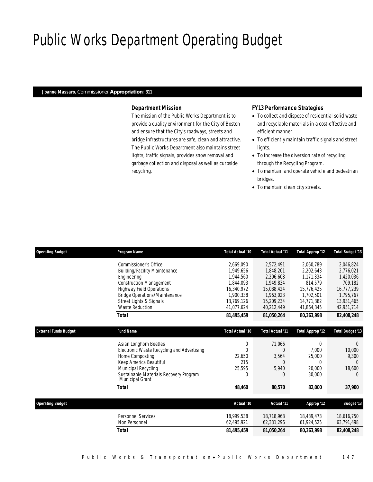# Public Works Department Operating Budget

### *Joanne Massaro, Commissioner Appropriation: 311*

## *Department Mission*

The mission of the Public Works Department is to provide a quality environment for the City of Boston and ensure that the City's roadways, streets and bridge infrastructures are safe, clean and attractive. The Public Works Department also maintains street lights, traffic signals, provides snow removal and garbage collection and disposal as well as curbside recycling.

### *FY13 Performance Strategies*

- To collect and dispose of residential solid waste and recyclable materials in a cost-effective and efficient manner.
- To efficiently maintain traffic signals and street lights.
- To increase the diversion rate of recycling through the Recycling Program.
- To maintain and operate vehicle and pedestrian bridges.
- To maintain clean city streets.

| <b>Operating Budget</b>      | Program Name                                                     | Total Actual '10 | <b>Total Actual '11</b> | Total Approp '12 | <b>Total Budget '13</b> |
|------------------------------|------------------------------------------------------------------|------------------|-------------------------|------------------|-------------------------|
|                              | Commissioner's Office                                            | 2,669,090        | 2,572,491               | 2,060,789        | 2,046,824               |
|                              | <b>Building/Facility Maintenance</b>                             | 1.949.656        | 1,848,201               | 2,202,643        | 2,776,021               |
|                              | Engineering                                                      | 1.944.560        | 2,206,608               | 1,171,334        | 1,420,036               |
|                              | <b>Construction Management</b>                                   | 1.844.093        | 1,949,834               | 814,579          | 709,182                 |
|                              | <b>Highway Field Operations</b>                                  | 16.340.972       | 15.088.424              | 15.776.425       | 16,777,239              |
|                              | <b>Bridge Operations/Maintenance</b>                             | 1.900.338        | 1.963.023               | 1,702,501        | 1,795,767               |
|                              | Street Lights & Signals                                          | 13,769,126       | 15,209,234              | 14,771,382       | 13,931,465              |
|                              | <b>Waste Reduction</b>                                           | 41.077.624       | 40,212,449              | 41,864,345       | 42,951,714              |
|                              | Total                                                            | 81,495,459       | 81,050,264              | 80,363,998       | 82,408,248              |
|                              |                                                                  |                  |                         |                  |                         |
| <b>External Funds Budget</b> | <b>Fund Name</b>                                                 | Total Actual '10 | <b>Total Actual '11</b> | Total Approp '12 | <b>Total Budget '13</b> |
|                              | Asian Longhorn Beetles                                           | 0                | 71,066                  | 0                | $\Omega$                |
|                              | Electronic Waste Recycling and Advertising                       | $\Omega$         | $\left($                | 7.000            | 10,000                  |
|                              | Home Composting                                                  | 22,650           | 3,564                   | 25,000           | 9.300                   |
|                              | Keep America Beautiful                                           | 215              |                         | $\Omega$         |                         |
|                              | Municipal Recycling                                              | 25,595           | 5,940                   | 20,000           | 18,600                  |
|                              | Sustainable Materials Recovery Program<br><b>Municipal Grant</b> | $\Omega$         | 0                       | 30,000           | $\Omega$                |
|                              | Total                                                            | 48,460           | 80,570                  | 82,000           | 37,900                  |
|                              |                                                                  |                  |                         |                  |                         |
| <b>Operating Budget</b>      |                                                                  | Actual '10       | Actual '11              | Approp '12       | <b>Budget '13</b>       |
|                              | Personnel Services                                               | 18,999,538       | 18,718,968              | 18,439,473       | 18.616.750              |
|                              | Non Personnel                                                    | 62,495,921       | 62,331,296              | 61,924,525       | 63,791,498              |
|                              | <b>Total</b>                                                     | 81,495,459       | 81,050,264              | 80.363.998       | 82,408,248              |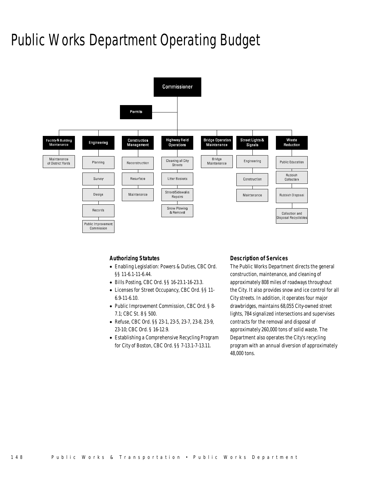## Public Works Department Operating Budget



### *Authorizing Statutes*

- Enabling Legislation: Powers & Duties, CBC Ord. §§ 11-6.1-11-6.44.
- Bills Posting, CBC Ord. §§ 16-23.1-16-23.3.
- Licenses for Street Occupancy, CBC Ord. §§ 11- 6.9-11-6.10.
- Public Improvement Commission, CBC Ord. § 8- 7.1; CBC St. 8 § 500.
- Refuse, CBC Ord. §§ 23-1, 23-5, 23-7, 23-8, 23-9, 23-10; CBC Ord. § 16-12.9.
- Establishing a Comprehensive Recycling Program for City of Boston, CBC Ord. §§ 7-13.1-7-13.11.

#### *Description of Services*

The Public Works Department directs the general construction, maintenance, and cleaning of approximately 808 miles of roadways throughout the City. It also provides snow and ice control for all City streets. In addition, it operates four major drawbridges, maintains 68,055 City-owned street lights, 784 signalized intersections and supervises contracts for the removal and disposal of approximately 260,000 tons of solid waste. The Department also operates the City's recycling program with an annual diversion of approximately 48,000 tons.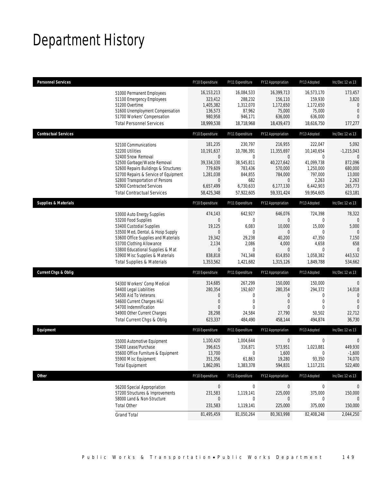# Department History

| <b>Personnel Services</b>       |                                                                                                                                                                                                                                                                                                      | FY10 Expenditure                                                                                             | FY11 Expenditure                                                                                            | FY12 Appropriation                                                                                       | FY13 Adopted                                                                                                    | Inc/Dec 12 vs 13                                                                          |
|---------------------------------|------------------------------------------------------------------------------------------------------------------------------------------------------------------------------------------------------------------------------------------------------------------------------------------------------|--------------------------------------------------------------------------------------------------------------|-------------------------------------------------------------------------------------------------------------|----------------------------------------------------------------------------------------------------------|-----------------------------------------------------------------------------------------------------------------|-------------------------------------------------------------------------------------------|
|                                 | 51000 Permanent Employees<br>51100 Emergency Employees<br>51200 Overtime<br>51600 Unemployment Compensation<br>51700 Workers' Compensation<br><b>Total Personnel Services</b>                                                                                                                        | 16, 153, 213<br>323,412<br>1,405,382<br>136,573<br>980,958<br>18,999,538                                     | 16,084,533<br>288,232<br>1,312,070<br>87,962<br>946,171<br>18,718,968                                       | 16,399,713<br>156,110<br>1,172,650<br>75,000<br>636,000<br>18,439,473                                    | 16,573,170<br>159,930<br>1,172,650<br>75,000<br>636,000<br>18,616,750                                           | 173,457<br>3,820<br>$\Omega$<br>$\mathbf{0}$<br>$\Omega$<br>177,277                       |
| <b>Contractual Services</b>     |                                                                                                                                                                                                                                                                                                      | FY10 Expenditure                                                                                             | FY11 Expenditure                                                                                            | FY12 Appropriation                                                                                       | FY13 Adopted                                                                                                    | Inc/Dec 12 vs 13                                                                          |
|                                 | 52100 Communications<br>52200 Utilities<br>52400 Snow Removal<br>52500 Garbage/Waste Removal<br>52600 Repairs Buildings & Structures<br>52700 Repairs & Service of Equipment<br>52800 Transportation of Persons<br>52900 Contracted Services<br><b>Total Contractual Services</b>                    | 181,235<br>10,191,637<br>0<br>39,334,330<br>779,609<br>1,281,038<br>$\mathbf 0$<br>6,657,499<br>58,425,348   | 230,797<br>10,786,391<br>0<br>38,545,811<br>783,436<br>844,855<br>682<br>6,730,633<br>57,922,605            | 216,955<br>11,355,697<br>0<br>40,227,642<br>570,000<br>784,000<br>$\mathbf 0$<br>6,177,130<br>59,331,424 | 222,047<br>10,140,654<br>$\mathbf{0}$<br>41,099,738<br>1,250,000<br>797,000<br>2,263<br>6,442,903<br>59,954,605 | 5,092<br>$-1,215,043$<br>0<br>872,096<br>680,000<br>13,000<br>2,263<br>265,773<br>623,181 |
| <b>Supplies &amp; Materials</b> |                                                                                                                                                                                                                                                                                                      | FY10 Expenditure                                                                                             | FY11 Expenditure                                                                                            | FY12 Appropriation                                                                                       | FY13 Adopted                                                                                                    | Inc/Dec 12 vs 13                                                                          |
|                                 | 53000 Auto Energy Supplies<br>53200 Food Supplies<br>53400 Custodial Supplies<br>53500 Med, Dental, & Hosp Supply<br>53600 Office Supplies and Materials<br>53700 Clothing Allowance<br>53800 Educational Supplies & Mat<br>53900 Misc Supplies & Materials<br><b>Total Supplies &amp; Materials</b> | 474,143<br>$\mathbf 0$<br>19,125<br>$\overline{0}$<br>19,342<br>2,134<br>$\mathbf 0$<br>838,818<br>1,353,562 | 642,927<br>$\mathbf 0$<br>6,083<br>$\mathbf 0$<br>29,238<br>2,086<br>$\overline{0}$<br>741,348<br>1,421,682 | 646,076<br>$\overline{0}$<br>10,000<br>0<br>40,200<br>4,000<br>$\overline{0}$<br>614,850<br>1,315,126    | 724,398<br>$\mathbf{0}$<br>15,000<br>$\mathbf 0$<br>47,350<br>4,658<br>$\mathbf{0}$<br>1,058,382<br>1,849,788   | 78,322<br>$\Omega$<br>5,000<br>$\Omega$<br>7,150<br>658<br>$\Omega$<br>443,532<br>534,662 |
| <b>Current Chgs &amp; Oblig</b> |                                                                                                                                                                                                                                                                                                      | FY10 Expenditure                                                                                             | FY11 Expenditure                                                                                            | FY12 Appropriation                                                                                       | FY13 Adopted                                                                                                    | Inc/Dec 12 vs 13                                                                          |
|                                 | 54300 Workers' Comp Medical<br>54400 Legal Liabilities<br>54500 Aid To Veterans<br>54600 Current Charges H&I<br>54700 Indemnification<br>54900 Other Current Charges<br>Total Current Chgs & Oblig                                                                                                   | 314,685<br>280,354<br>0<br>0<br>$\Omega$<br>28,298<br>623,337                                                | 267,299<br>192,607<br>0<br>0<br>$\theta$<br>24,584<br>484,490                                               | 150,000<br>280,354<br>0<br>0<br>0<br>27,790<br>458,144                                                   | 150,000<br>294,372<br>$\mathbf 0$<br>$\mathbf{0}$<br>$\Omega$<br>50,502<br>494,874                              | $\mathbf{0}$<br>14,018<br>$\mathbf 0$<br>$\mathbf{0}$<br>$\Omega$<br>22,712<br>36,730     |
| Equipment                       |                                                                                                                                                                                                                                                                                                      | FY10 Expenditure                                                                                             | FY11 Expenditure                                                                                            | FY12 Appropriation                                                                                       | FY13 Adopted                                                                                                    | Inc/Dec 12 vs 13                                                                          |
|                                 | 55000 Automotive Equipment<br>55400 Lease/Purchase<br>55600 Office Furniture & Equipment<br>55900 Misc Equipment<br><b>Total Equipment</b>                                                                                                                                                           | 1,100,420<br>396.615<br>13,700<br>351,356<br>1,862,091                                                       | 1,004,644<br>316,871<br>$\boldsymbol{0}$<br>61,863<br>1,383,378                                             | 0<br>573,951<br>1,600<br>19,280<br>594,831                                                               | $\mathbf 0$<br>1.023.881<br>0<br>93,350<br>1,117,231                                                            | 0<br>449.930<br>$-1,600$<br>74,070<br>522,400                                             |
| <b>Other</b>                    |                                                                                                                                                                                                                                                                                                      | FY10 Expenditure                                                                                             | FY11 Expenditure                                                                                            | FY12 Appropriation                                                                                       | FY13 Adopted                                                                                                    | Inc/Dec 12 vs 13                                                                          |
|                                 | 56200 Special Appropriation<br>57200 Structures & Improvements<br>58000 Land & Non-Structure<br><b>Total Other</b>                                                                                                                                                                                   | $\pmb{0}$<br>231,583<br>0<br>231,583                                                                         | $\boldsymbol{0}$<br>1,119,141<br>0<br>1,119,141                                                             | $\overline{0}$<br>225,000<br>0<br>225,000                                                                | $\boldsymbol{0}$<br>375,000<br>0<br>375,000                                                                     | 0<br>150,000<br>$\overline{0}$<br>150,000                                                 |
|                                 | <b>Grand Total</b>                                                                                                                                                                                                                                                                                   | 81,495,459                                                                                                   | 81,050,264                                                                                                  | 80,363,998                                                                                               | 82,408,248                                                                                                      | 2,044,250                                                                                 |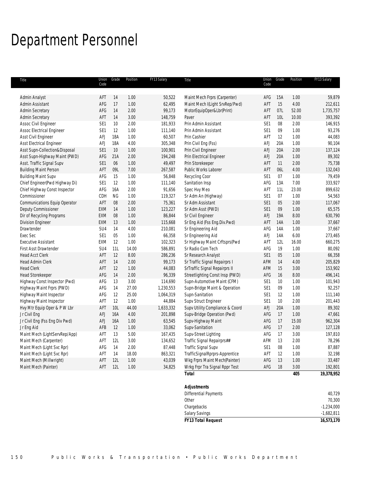## Department Personnel

| Title                          | Union<br>Code   | Grade      | Position | FY13 Salary | Title                           | Code            | Union Grade | Position | FY13 Salary |
|--------------------------------|-----------------|------------|----------|-------------|---------------------------------|-----------------|-------------|----------|-------------|
|                                |                 |            |          |             |                                 |                 |             |          |             |
| Admin Analyst                  | AFT             | 14         | 1.00     | 50,522      | Maint Mech Frprs (Carpenter)    | AFG             | 15A         | 1.00     | 59,879      |
| Admin Assistant                | AFG             | 17         | 1.00     | 62,495      | Maint Mech I(Light SrvRep/Pwd)  | AFT             | 15          | 4.00     | 212,611     |
| <b>Admin Secretary</b>         | AFG             | 14         | 2.00     | 99,173      | MotorEquipOper&Lbr(Print)       | AFT             | 07L         | 52.00    | 1,735,757   |
| Admin Secretary                | AFT             | 14         | 3.00     | 148,759     | Paver                           | AFT             | 10L         | 10.00    | 393,392     |
| Assoc Civil Engineer           | SE <sub>1</sub> | 10         | 2.00     | 181,933     | Prin Admin Assistant            | SE <sub>1</sub> | $08\,$      | 2.00     | 146,915     |
| Assoc Electrical Engineer      | SE <sub>1</sub> | 12         | 1.00     | 111,140     | Prin Admin Assistant            | SE <sub>1</sub> | 09          | 1.00     | 93,276      |
| Asst Civil Engineer            | AFJ             | 18A        | 1.00     | 60,507      | Prin Cashier                    | AFT             | 12          | 1.00     | 44,083      |
| Asst Electrical Engineer       | <b>AFJ</b>      | 18A        | 4.00     | 305,348     | Prin Civil Eng (Fss)            | <b>AFJ</b>      | 20A         | 1.00     | 90,104      |
| Asst Supn-Collection&Disposal  | SE1             | $10$       | 1.00     | 100,901     | Prin Civil Engineer             | AFJ             | 20A         | 2.00     | 137,124     |
| Asst Supn-Highway Maint (PWD)  | AFG             | 21A        | 2.00     | 194,248     | Prin Electrical Engineer        | AFJ             | 20A         | 1.00     | 89,302      |
| Asst. Traffic Signal Supv      | SE1             | 06         | 1.00     | 49,497      | Prin Storekeeper                | AFT             | 11          | 2.00     | 75,738      |
| <b>Building Maint Person</b>   | AFT             | 09L        | 7.00     | 267,587     | Public Works Laborer            | AFT             | 06L         | 4.00     | 132,043     |
| <b>Building Maint Supv</b>     | AFG             | 15         | 1.00     | 56,848      | Recycling Coor                  | SE1             | 07          | 1.00     | 79,459      |
| Chief Engineer(Pwd Highway Di) | SE <sub>1</sub> | 12         | 1.00     | 111,140     | Sanitation Insp                 | AFG             | 13A         | 7.00     | 333,927     |
| Chief Highway Const Inspector  | AFG             | 16A        | 2.00     | 91,656      | Spec Hvy Meo                    | AFT             | 11L         | 23.00    | 899,632     |
| Commissioner                   | CDH             | ${\sf NG}$ | 1.00     | 119,327     | Sr Adm An (Highway)             | SE <sub>1</sub> | 07          | 1.00     | 54,563      |
| Communications Equip Operator  | AFT             | 08         | 2.00     | 75,361      | Sr Adm Assistant                | SE1             | 05          | 2.00     | 117,067     |
| Deputy Commissioner            | EXM             | 14         | 1.00     | 123,227     | Sr Adm Asst (PWD)               | SE1             | 09          | 1.00     | 65,575      |
| Dir of Recycling Programs      | EXM             | 08         | 1.00     | 86,844      | Sr Civil Engineer               | AFJ             | 19A         | 8.00     | 630,790     |
| Division Engineer              | EXM             | 13         | 1.00     | 115,668     | Sr Eng Aid (Fss Eng.Div.Pwd)    | AFT             | 14A         | 1.00     | 37,667      |
| Drawtender                     | SU4             | 14         | 4.00     | 210,081     | Sr Engineering Aid              | AFG             | 14A         | 1.00     | 37,667      |
| Exec Sec                       | SE1             | 05         | 1.00     | 66,358      | Sr Engineering Aid              | AFJ             | 14A         | 6.00     | 273,465     |
| <b>Executive Assistant</b>     | EXM             | 12         | 1.00     | 102,323     | Sr Highway Maint Crftsprs(Pwd   | AFT             | 12L         | 16.00    | 660,275     |
| First Asst Drawtender          | SU4             | 11L        | 14.00    | 586,891     | Sr Radio Com Tech               | AFG             | 19          | 1.00     | 80,092      |
| <b>Head Acct Clerk</b>         | AFT             | 12         | 8.00     | 286,236     | Sr Research Analyst             | SE1             | 05          | 1.00     | 66,358      |
| Head Admin Clerk               | AFT             | 14         | 2.00     | 99,173      | Sr Traffic Signal Repairprs I   | AFM             | 14          | 4.00     | 205,829     |
| <b>Head Clerk</b>              | AFT             | 12         | 1.00     | 44,083      | SrTraffic Signal Repairprs II   | AFM             | 15          | 3.00     | 153,902     |
| <b>Head Storekeeper</b>        | AFG             | 14         | 2.00     | 96,339      | Streetlighting Const Insp (PWD) | AFG             | 16          | 8.00     | 496,141     |
| Highway Const Inspector (Pwd)  | AFG             | 13         | 3.00     | 114,690     | Supn-Automotive Maint (CFM)     | SE <sub>1</sub> | 10          | 1.00     | 101,943     |
| Highway Maint Frprs (PWD)      | AFG             | 14         | 27.00    | 1,230,553   | Supn-Bridge Maint & Operation   | SE <sub>1</sub> | 09          | 1.00     | 92,257      |
| Highway Maint Inspector        | AFG             | 12         | 25.00    | 1,064,319   | Supn-Sanitation                 | SE <sub>1</sub> | 12          | 1.00     | 111,140     |
| Highway Maint Inspector        | AFT             | 12         | 1.00     | 44,884      | Supv Struct Engineer            | SE1             | 10          | 2.00     | 201,443     |
| Hvy Mtr Equip Oper & P W Lbr   | AFT             | 10L        | 44.00    | 1,633,332   | Supv Utility Compliance & Coord | <b>AFJ</b>      | 20A         | 1.00     | 89,302      |
| Jr Civil Eng                   | AFJ             | 16A        | 4.00     | 201,898     | Supv-Bridge Operation (Pwd)     | AFG             | 17          | 1.00     | 47,661      |
| Jr Civil Eng (Fss Eng Div Pwd) | <b>AFJ</b>      | 16A        | 1.00     | 63,545      | Supv-Highway Maint              | AFG             | 17          | 15.00    | 962,304     |
| Jr Eng Aid                     | AFB             | 12         | 1.00     | 33,062      | Supv-Sanitation                 | AFG             | 17          | 2.00     | 127,128     |
| Maint Mech (LightServRep/App)  | AFT             | 13         | 5.00     | 167,435     | Supv-Street Lighting            | AFG             | 17          | 3.00     | 197,810     |
| Maint Mech (Carpenter)         | AFT             | 12L        | 3.00     | 134,652     | Traffic Signal Repairprs##      | AFM             | 13          | 2.00     | 78,296      |
| Maint Mech (Light Svc Rpr)     | AFG             | 14         | 2.00     | 87,448      | Traffic Signal Supv             | SE <sub>1</sub> | 08          | 1.00     | 87,887      |
| Maint Mech (Light Svc Rpr)     | AFT             | 14         | 18.00    | 863,321     | TrafficSignalRprprs-Apprentice  | AFT             | 12          | 1.00     | 32,198      |
| Maint Mech (Millwright)        | AFT             | 12L        | 1.00     | 43,039      | Wkg Frprs Maint Mech(Painter)   | AFG             | 13          | 1.00     | 33,487      |
| Maint Mech (Painter)           | AFT             | 12L        | 1.00     | 34,825      | Wrkg Frpr Tra Signal Rppr Test  | AFG             | 18          | 3.00     | 192,801     |
|                                |                 |            |          |             | <b>Total</b>                    |                 |             | 405      | 19,378,952  |
|                                |                 |            |          |             | <b>Adjustments</b>              |                 |             |          |             |
|                                |                 |            |          |             | <b>Differential Payments</b>    |                 |             |          | 40,729      |
|                                |                 |            |          |             | Other                           |                 |             |          | 70,300      |
|                                |                 |            |          |             |                                 |                 |             |          |             |

chargebacks  $-1,234,000$ Salary Savings -1,682,811

*FY13 Total Request 16,573,170*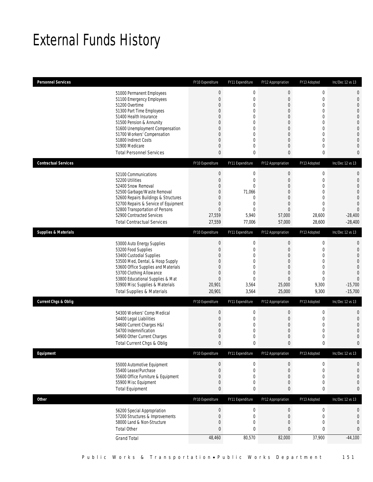# External Funds History

| <b>Personnel Services</b>       |                                                                                                                                                                                                                                                                                                            | FY10 Expenditure                                                                                         | FY11 Expenditure                                                                                                    | FY12 Appropriation                                                                                                                                                             | FY13 Adopted                                                                                                                                                             | Inc/Dec 12 vs 13                                                                                                                                                                |
|---------------------------------|------------------------------------------------------------------------------------------------------------------------------------------------------------------------------------------------------------------------------------------------------------------------------------------------------------|----------------------------------------------------------------------------------------------------------|---------------------------------------------------------------------------------------------------------------------|--------------------------------------------------------------------------------------------------------------------------------------------------------------------------------|--------------------------------------------------------------------------------------------------------------------------------------------------------------------------|---------------------------------------------------------------------------------------------------------------------------------------------------------------------------------|
|                                 | 51000 Permanent Employees<br>51100 Emergency Employees<br>51200 Overtime<br>51300 Part Time Employees<br>51400 Health Insurance<br>51500 Pension & Annunity<br>51600 Unemployment Compensation<br>51700 Workers' Compensation<br>51800 Indirect Costs<br>51900 Medicare<br><b>Total Personnel Services</b> | $\bf 0$<br>$\boldsymbol{0}$<br>0<br>0<br>0<br>0<br>0<br>0<br>0<br>0<br>0                                 | $\boldsymbol{0}$<br>0<br>0<br>0<br>0<br>$\mathbf 0$<br>0<br>0<br>$\overline{0}$<br>0<br>0                           | $\mathbf 0$<br>$\boldsymbol{0}$<br>$\mathbf 0$<br>$\overline{0}$<br>$\overline{0}$<br>$\mathbf 0$<br>$\overline{0}$<br>$\overline{0}$<br>$\overline{0}$<br>$\overline{0}$<br>0 | $\boldsymbol{0}$<br>$\mathbf 0$<br>$\mathbf 0$<br>$\mathbf{0}$<br>$\mathbf{0}$<br>$\mathbf 0$<br>$\mathbf{0}$<br>$\mathbf{0}$<br>$\mathbf{0}$<br>$\mathbf 0$<br>$\bf{0}$ | $\mathbf 0$<br>$\mathbf 0$<br>$\mathbf{0}$<br>$\mathbf{0}$<br>$\overline{0}$<br>$\overline{0}$<br>$\mathbf 0$<br>$\mathbf{0}$<br>$\mathbf{0}$<br>$\overline{0}$<br>$\mathbf{0}$ |
| <b>Contractual Services</b>     |                                                                                                                                                                                                                                                                                                            | FY10 Expenditure                                                                                         | FY11 Expenditure                                                                                                    | FY12 Appropriation                                                                                                                                                             | FY13 Adopted                                                                                                                                                             | Inc/Dec 12 vs 13                                                                                                                                                                |
|                                 | 52100 Communications<br>52200 Utilities<br>52400 Snow Removal<br>52500 Garbage/Waste Removal<br>52600 Repairs Buildings & Structures<br>52700 Repairs & Service of Equipment<br>52800 Transportation of Persons<br>52900 Contracted Services<br><b>Total Contractual Services</b>                          | $\boldsymbol{0}$<br>$\boldsymbol{0}$<br>0<br>0<br>0<br>$\mathbf 0$<br>$\overline{0}$<br>27,559<br>27,559 | $\boldsymbol{0}$<br>$\boldsymbol{0}$<br>$\theta$<br>71,066<br>0<br>$\mathbf 0$<br>$\overline{0}$<br>5,940<br>77,006 | $\boldsymbol{0}$<br>$\boldsymbol{0}$<br>$\overline{0}$<br>$\overline{0}$<br>$\overline{0}$<br>$\mathbf 0$<br>$\overline{0}$<br>57,000<br>57,000                                | $\boldsymbol{0}$<br>$\mathbf 0$<br>$\mathbf{0}$<br>$\mathbf 0$<br>$\mathbf{0}$<br>$\mathbf 0$<br>$\mathbf{0}$<br>28,600<br>28,600                                        | $\mathbf 0$<br>$\mathbf{0}$<br>$\overline{0}$<br>$\overline{0}$<br>$\mathbf 0$<br>$\overline{0}$<br>$\overline{0}$<br>$-28,400$<br>$-28,400$                                    |
| <b>Supplies &amp; Materials</b> |                                                                                                                                                                                                                                                                                                            | FY10 Expenditure                                                                                         | FY11 Expenditure                                                                                                    | FY12 Appropriation                                                                                                                                                             | FY13 Adopted                                                                                                                                                             | Inc/Dec 12 vs 13                                                                                                                                                                |
|                                 | 53000 Auto Energy Supplies<br>53200 Food Supplies<br>53400 Custodial Supplies<br>53500 Med, Dental, & Hosp Supply<br>53600 Office Supplies and Materials<br>53700 Clothing Allowance<br>53800 Educational Supplies & Mat<br>53900 Misc Supplies & Materials<br><b>Total Supplies &amp; Materials</b>       | $\theta$<br>$\boldsymbol{0}$<br>0<br>0<br>0<br>$\mathbf 0$<br>$\boldsymbol{0}$<br>20,901<br>20,901       | $\boldsymbol{0}$<br>0<br>0<br>0<br>$\overline{0}$<br>0<br>$\overline{0}$<br>3,564<br>3,564                          | $\boldsymbol{0}$<br>$\boldsymbol{0}$<br>$\overline{0}$<br>$\overline{0}$<br>$\overline{0}$<br>$\overline{0}$<br>$\overline{0}$<br>25,000<br>25,000                             | $\boldsymbol{0}$<br>$\mathbf 0$<br>$\mathbf{0}$<br>$\mathbf{0}$<br>$\mathbf{0}$<br>$\mathbf 0$<br>$\mathbf{0}$<br>9,300<br>9,300                                         | $\mathbf{0}$<br>$\mathbf 0$<br>$\overline{0}$<br>$\overline{0}$<br>$\mathbf 0$<br>$\overline{0}$<br>$\overline{0}$<br>$-15,700$<br>$-15,700$                                    |
| <b>Current Chgs &amp; Oblig</b> |                                                                                                                                                                                                                                                                                                            | FY10 Expenditure                                                                                         | FY11 Expenditure                                                                                                    | FY12 Appropriation                                                                                                                                                             | FY13 Adopted                                                                                                                                                             | Inc/Dec 12 vs 13                                                                                                                                                                |
|                                 | 54300 Workers' Comp Medical<br>54400 Legal Liabilities<br>54600 Current Charges H&I<br>54700 Indemnification<br>54900 Other Current Charges<br>Total Current Chgs & Oblig                                                                                                                                  | $\theta$<br>$\boldsymbol{0}$<br>0<br>0<br>0<br>$\mathbf{0}$                                              | $\boldsymbol{0}$<br>0<br>0<br>0<br>$\mathbf 0$<br>0                                                                 | $\boldsymbol{0}$<br>$\boldsymbol{0}$<br>$\overline{0}$<br>$\overline{0}$<br>$\mathbf 0$<br>0                                                                                   | $\boldsymbol{0}$<br>$\mathbf 0$<br>$\mathbf{0}$<br>$\mathbf 0$<br>$\mathbf 0$<br>$\mathbf{0}$                                                                            | $\mathbf 0$<br>$\mathbf{0}$<br>$\overline{0}$<br>$\overline{0}$<br>$\mathbf 0$<br>$\mathbf{0}$                                                                                  |
| Equipment                       |                                                                                                                                                                                                                                                                                                            | FY10 Expenditure                                                                                         | FY11 Expenditure                                                                                                    | FY12 Appropriation                                                                                                                                                             | FY13 Adopted                                                                                                                                                             | Inc/Dec 12 vs 13                                                                                                                                                                |
|                                 | 55000 Automotive Equipment<br>55400 Lease/Purchase<br>55600 Office Furniture & Equipment<br>55900 Misc Equipment<br><b>Total Equipment</b>                                                                                                                                                                 | $\boldsymbol{0}$<br>$\boldsymbol{0}$<br>0<br>0<br>0                                                      | 0<br>$\boldsymbol{0}$<br>0<br>0<br>0                                                                                | 0<br>$\boldsymbol{0}$<br>$\boldsymbol{0}$<br>0<br>0                                                                                                                            | $\boldsymbol{0}$<br>$\boldsymbol{0}$<br>$\mathbf 0$<br>$\boldsymbol{0}$<br>$\boldsymbol{0}$                                                                              | 0<br>$\mathbf 0$<br>$\mathbf 0$<br>$\mathbf 0$<br>0                                                                                                                             |
| Other                           |                                                                                                                                                                                                                                                                                                            | FY10 Expenditure                                                                                         | FY11 Expenditure                                                                                                    | FY12 Appropriation                                                                                                                                                             | FY13 Adopted                                                                                                                                                             | Inc/Dec 12 vs 13                                                                                                                                                                |
|                                 | 56200 Special Appropriation<br>57200 Structures & Improvements<br>58000 Land & Non-Structure<br><b>Total Other</b>                                                                                                                                                                                         | $\boldsymbol{0}$<br>$\boldsymbol{0}$<br>0<br>0                                                           | $\bf 0$<br>$\boldsymbol{0}$<br>0<br>0                                                                               | $\boldsymbol{0}$<br>$\boldsymbol{0}$<br>0<br>$\bf 0$                                                                                                                           | $\boldsymbol{0}$<br>$\boldsymbol{0}$<br>$\mathbf 0$<br>$\pmb{0}$                                                                                                         | 0<br>$\mathbf 0$<br>$\mathbf 0$<br>0                                                                                                                                            |
|                                 | <b>Grand Total</b>                                                                                                                                                                                                                                                                                         | 48,460                                                                                                   | 80,570                                                                                                              | 82,000                                                                                                                                                                         | 37,900                                                                                                                                                                   | $-44,100$                                                                                                                                                                       |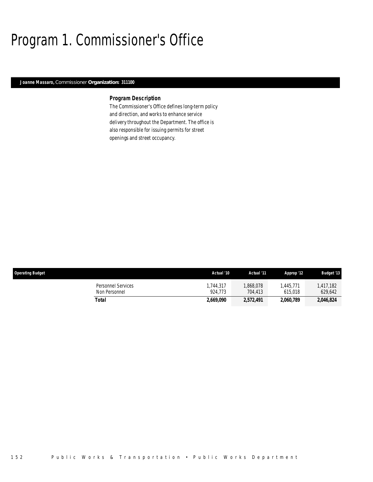# Program 1. Commissioner's Office

## *Joanne Massaro, Commissioner Organization: 311100*

## *Program Description*

The Commissioner's Office defines long-term policy and direction, and works to enhance service delivery throughout the Department. The office is also responsible for issuing permits for street openings and street occupancy.

| <b>Operating Budget</b>             | Actual '10          | Actual '11          | Approp '12          | <b>Budget '13</b>   |
|-------------------------------------|---------------------|---------------------|---------------------|---------------------|
| Personnel Services<br>Non Personnel | ,744,317<br>924.773 | ,868,078<br>704.413 | .445.771<br>615,018 | .417.182<br>629,642 |
| Total                               | 2,669,090           | 2,572,491           | 2.060.789           | 2,046,824           |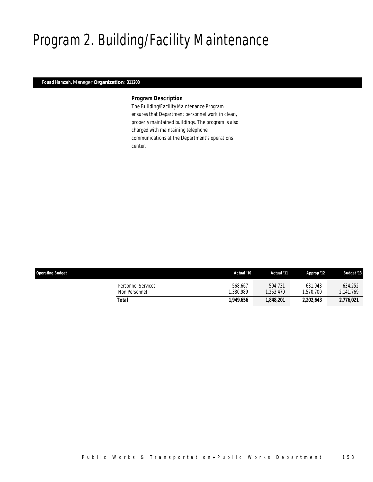# Program 2. Building/Facility Maintenance

## *Fouad Hamzeh, Manager Organization: 311200*

### *Program Description*

The Building/Facility Maintenance Program ensures that Department personnel work in clean, properly maintained buildings. The program is also charged with maintaining telephone communications at the Department's operations center.

| <b>Operating Budget</b>                    | Actual '10           | Actual '11          | Approp '12           | <b>Budget '13</b>    |
|--------------------------------------------|----------------------|---------------------|----------------------|----------------------|
| <b>Personnel Services</b><br>Non Personnel | 568.667<br>1.380.989 | 594.731<br>.253.470 | 631.943<br>1.570.700 | 634,252<br>2,141,769 |
| Total                                      | 1,949.656            | 1,848,201           | 2,202,643            | 2,776,021            |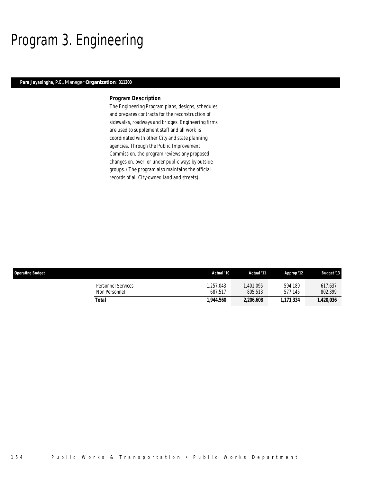## Program 3. Engineering

## *Para Jayasinghe, P.E., Manager Organization: 311300*

### *Program Description*

The Engineering Program plans, designs, schedules and prepares contracts for the reconstruction of sidewalks, roadways and bridges. Engineering firms are used to supplement staff and all work is coordinated with other City and state planning agencies. Through the Public Improvement Commission, the program reviews any proposed changes on, over, or under public ways by outside groups. (The program also maintains the official records of all City-owned land and streets).

| <b>Operating Budget</b>             | Actual '10          | Actual '11          | Approp '12         | <b>Budget '13</b>  |
|-------------------------------------|---------------------|---------------------|--------------------|--------------------|
| Personnel Services<br>Non Personnel | .257.043<br>687.517 | .401.095<br>805.513 | 594.189<br>577.145 | 617,637<br>802,399 |
| Total                               | 1,944,560           | 2,206,608           | 1.171.334          | 1,420,036          |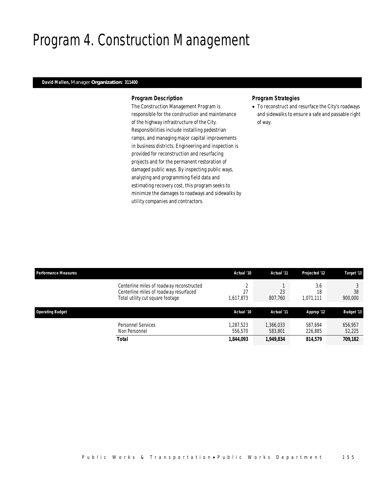## Program 4. Construction Management

## *David Mallen, Manager Organization: 311400*

### *Program Description*

The Construction Management Program is responsible for the construction and maintenance of the highway infrastructure of the City. Responsibilities include installing pedestrian ramps, and managing major capital improvements in business districts. Engineering and inspection is provided for reconstruction and resurfacing projects and for the permanent restoration of damaged public ways. By inspecting public ways, analyzing and programming field data and estimating recovery cost, this program seeks to minimize the damages to roadways and sidewalks by utility companies and contractors.

## *Program Strategies*

• To reconstruct and resurface the City's roadways and sidewalks to ensure a safe and passable right of way.

| <b>Performance Measures</b> |                                                                                                                         | Actual '10          | Actual '11           | <b>Projected '12</b>   | Target '13        |
|-----------------------------|-------------------------------------------------------------------------------------------------------------------------|---------------------|----------------------|------------------------|-------------------|
|                             | Centerline miles of roadway reconstructed<br>Centerline miles of roadway resurfaced<br>Total utility cut square footage | 27<br>1,617,873     | 23<br>807,760        | 3.6<br>18<br>1,071,111 | 38<br>900,000     |
| <b>Operating Budget</b>     |                                                                                                                         | Actual '10          | Actual '11           | Approp '12             | <b>Budget '13</b> |
|                             | <b>Personnel Services</b><br>Non Personnel                                                                              | .287.523<br>556,570 | 1,366,033<br>583,801 | 587.694<br>226,885     | 656,957<br>52,225 |
|                             |                                                                                                                         |                     |                      |                        | 709,182           |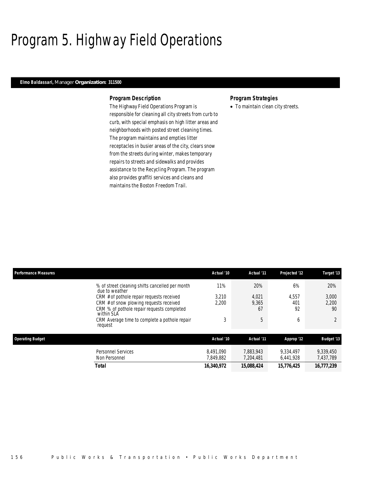# Program 5. Highway Field Operations

### *Elmo Baldassari, Manager Organization: 311500*

### *Program Description*

The Highway Field Operations Program is responsible for cleaning all city streets from curb to curb, with special emphasis on high litter areas and neighborhoods with posted street cleaning times. The program maintains and empties litter receptacles in busier areas of the city, clears snow from the streets during winter, makes temporary repairs to streets and sidewalks and provides assistance to the Recycling Program. The program also provides graffiti services and cleans and maintains the Boston Freedom Trail.

### *Program Strategies*

• To maintain clean city streets.

| <b>Performance Measures</b> |                                                                   | Actual '10             | Actual '11             | Projected '12          | Target '13             |
|-----------------------------|-------------------------------------------------------------------|------------------------|------------------------|------------------------|------------------------|
|                             | % of street cleaning shifts cancelled per month<br>due to weather | 11%                    | 20%                    | 6%                     | 20%                    |
|                             | CRM # of pothole repair requests received                         | 3.210                  | 4,021                  | 4,557                  | 3,000                  |
|                             | CRM # of snow plowing requests received                           | 2,200                  | 9,365                  | 401                    | 2,200                  |
|                             | CRM % of pothole repair requests completed<br>within SLA          |                        | 67                     | 92                     | 90                     |
|                             | CRM Average time to complete a pothole repair<br>request          | 3                      | 5                      | 6                      |                        |
| <b>Operating Budget</b>     |                                                                   | Actual '10             | Actual '11             | Approp '12             | <b>Budget '13</b>      |
|                             | <b>Personnel Services</b><br>Non Personnel                        | 8.491.090<br>7.849.882 | 7.883.943<br>7.204.481 | 9.334.497<br>6,441,928 | 9,339,450<br>7,437,789 |
|                             | Total                                                             | 16,340,972             | 15.088.424             | 15,776,425             | 16,777,239             |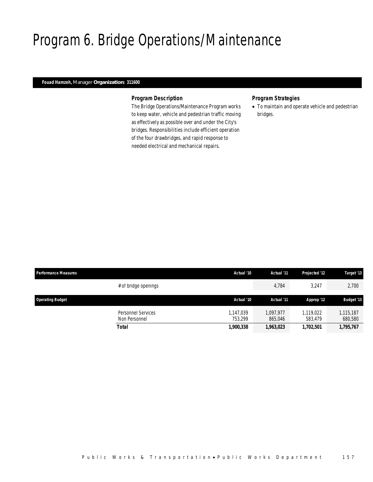## Program 6. Bridge Operations/Maintenance

## *Fouad Hamzeh, Manager Organization: 311600*

### *Program Description*

The Bridge Operations/Maintenance Program works to keep water, vehicle and pedestrian traffic moving as effectively as possible over and under the City's bridges. Responsibilities include efficient operation of the four drawbridges, and rapid response to needed electrical and mechanical repairs.

## *Program Strategies*

• To maintain and operate vehicle and pedestrian bridges.

| <b>Performance Measures</b> |                                            | Actual '10           | Actual '11           | Projected '12        | Target '13           |
|-----------------------------|--------------------------------------------|----------------------|----------------------|----------------------|----------------------|
|                             | # of bridge openings                       |                      | 4,784                | 3,247                | 2,700                |
| <b>Operating Budget</b>     |                                            | Actual '10           | Actual '11           | Approp '12           | <b>Budget '13</b>    |
|                             | <b>Personnel Services</b><br>Non Personnel | 1.147.039<br>753.299 | 1.097.977<br>865,046 | 1,119,022<br>583.479 | 1,115,187<br>680,580 |
|                             | <b>Total</b>                               | 1,900,338            | 1,963,023            | 1,702,501            | 1,795,767            |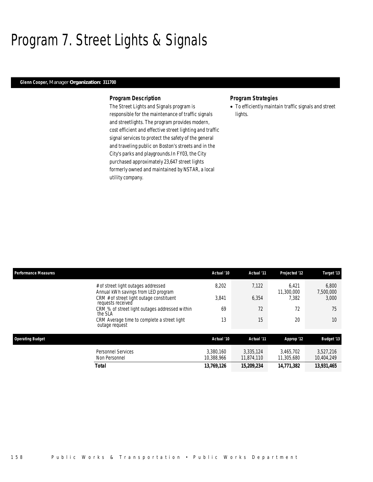## Program 7. Street Lights & Signals

### *Glenn Cooper, Manager Organization: 311700*

### *Program Description*

The Street Lights and Signals program is responsible for the maintenance of traffic signals and streetlights. The program provides modern, cost efficient and effective street lighting and traffic signal services to protect the safety of the general and traveling public on Boston's streets and in the City's parks and playgrounds.In FY03, the City purchased approximately 23,647 street lights formerly owned and maintained by NSTAR, a local utility company.

### *Program Strategies*

• To efficiently maintain traffic signals and street lights.

| <b>Performance Measures</b>                                                | Actual '10              | Actual '11              | Projected '12           | Target '13              |
|----------------------------------------------------------------------------|-------------------------|-------------------------|-------------------------|-------------------------|
| # of street light outages addressed<br>Annual kWh savings from LED program | 8,202                   | 7,122                   | 6.421<br>11,300,000     | 6,800<br>7,500,000      |
| CRM # of street light outage constituent<br>requests received              | 3.841                   | 6,354                   | 7.382                   | 3,000                   |
| CRM % of street light outages addressed within<br>the SLA                  | 69                      | 72                      | 72                      | 75                      |
| CRM Average time to complete a street light<br>outage request              | 13                      | 15                      | 20                      | 10                      |
| <b>Operating Budget</b>                                                    | Actual '10              | Actual '11              | Approp '12              | <b>Budget '13</b>       |
| Personnel Services<br>Non Personnel                                        | 3.380.160<br>10.388.966 | 3.335.124<br>11.874.110 | 3.465.702<br>11,305,680 | 3,527,216<br>10,404,249 |
| <b>Total</b>                                                               | 13,769,126              | 15,209,234              | 14,771,382              | 13,931,465              |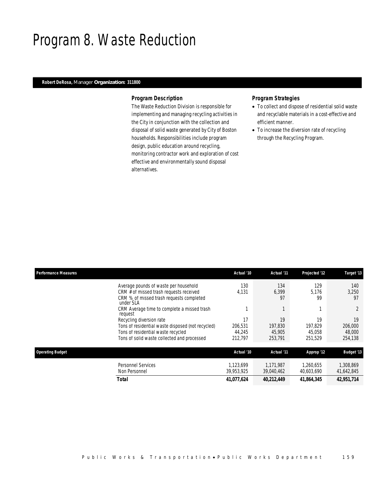## Program 8. Waste Reduction

## *Robert DeRosa, Manager Organization: 311800*

### *Program Description*

The Waste Reduction Division is responsible for implementing and managing recycling activities in the City in conjunction with the collection and disposal of solid waste generated by City of Boston households. Responsibilities include program design, public education around recycling, monitoring contractor work and exploration of cost effective and environmentally sound disposal alternatives.

### *Program Strategies*

- To collect and dispose of residential solid waste and recyclable materials in a cost-effective and efficient manner.
- To increase the diversion rate of recycling through the Recycling Program.

| <b>Performance Measures</b>                                                                      | Actual '10 | Actual '11  | Projected '12 | Target '13        |
|--------------------------------------------------------------------------------------------------|------------|-------------|---------------|-------------------|
| Average pounds of waste per household                                                            | 130        | 134         | 129           | 140               |
| CRM # of missed trash requests received<br>CRM % of missed trash requests completed<br>under SLA | 4,131      | 6,399<br>97 | 5.176<br>99   | 3,250<br>97       |
| CRM Average time to complete a missed trash<br>request                                           |            |             |               |                   |
| Recycling diversion rate                                                                         | 17         | 19          | 19            | 19                |
| Tons of residential waste disposed (not recycled)                                                | 206.531    | 197.830     | 197.829       | 206,000           |
| Tons of residential waste recycled                                                               | 44.245     | 45.905      | 45.058        | 48,000            |
| Tons of solid waste collected and processed                                                      | 212,797    | 253,791     | 251,529       | 254,138           |
| <b>Operating Budget</b>                                                                          | Actual '10 | Actual '11  | Approp '12    | <b>Budget '13</b> |
| <b>Personnel Services</b>                                                                        | 1.123.699  | 1.171.987   | 1.260.655     | 1,308,869         |
| Non Personnel                                                                                    | 39,953,925 | 39,040,462  | 40,603,690    | 41,642,845        |
| Total                                                                                            | 41,077,624 | 40,212,449  | 41,864,345    | 42,951,714        |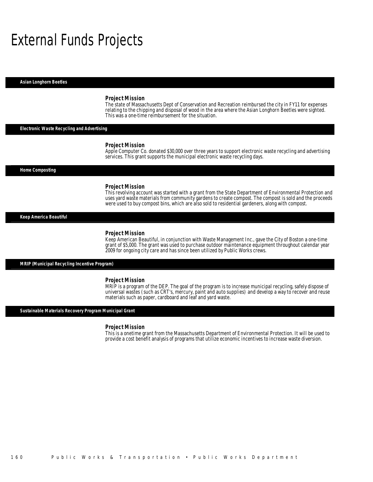## External Funds Projects

*Asian Longhorn Beetles* 

#### *Project Mission*

The state of Massachusetts Dept of Conservation and Recreation reimbursed the city in FY11 for expenses relating to the chipping and disposal of wood in the area where the Asian Longhorn Beetles were sighted. This was a one-time reimbursement for the situation.

### *Electronic Waste Recycling and Advertising*

#### *Project Mission*

Apple Computer Co. donated \$30,000 over three years to support electronic waste recycling and advertising services. This grant supports the municipal electronic waste recycling days.

*Home Composting* 

#### *Project Mission*

This revolving account was started with a grant from the State Department of Environmental Protection and uses yard waste materials from community gardens to create compost. The compost is sold and the proceeds were used to buy compost bins, which are also sold to residential gardeners, along with compost. 

### *Keep America Beautiful*

#### *Project Mission*

Keep American Beautiful, in conjunction with Waste Management Inc., gave the City of Boston a one-time grant of \$5,000. The grant was used to purchase outdoor maintenance equipment throughout calendar year 2009 for ongoing city care and has since been utilized by Public Works crews.

*MRIP (Municipal Recycling Incentive Program)* 

#### *Project Mission*

MRIP is a program of the DEP. The goal of the program is to increase municipal recycling, safely dispose of universal wastes (such as CRT's, mercury, paint and auto supplies) and develop a way to recover and reuse materials such as paper, cardboard and leaf and yard waste.

#### *Sustainable Materials Recovery Program Municipal Grant*

### *Project Mission*

This is a onetime grant from the Massachusetts Department of Environmental Protection. It will be used to provide a cost benefit analysis of programs that utilize economic incentives to increase waste diversion.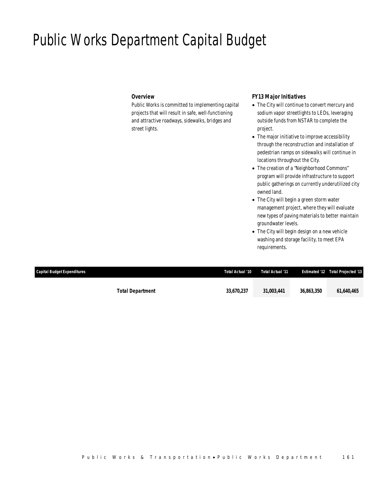## Public Works Department Capital Budget

## *Overview*

Public Works is committed to implementing capital projects that will result in safe, well-functioning and attractive roadways, sidewalks, bridges and street lights.

## *FY13 Major Initiatives*

- The City will continue to convert mercury and sodium vapor streetlights to LEDs, leveraging outside funds from NSTAR to complete the project.
- The major initiative to improve accessibility through the reconstruction and installation of pedestrian ramps on sidewalks will continue in locations throughout the City.
- The creation of a "Neighborhood Commons" program will provide infrastructure to support public gatherings on currently underutilized city owned land.
- The City will begin a green storm water management project, where they will evaluate new types of paving materials to better maintain groundwater levels.
- The City will begin design on a new vehicle washing and storage facility, to meet EPA requirements.

| Capital Budget Expenditures | Total Actual '10 | Total Actual '11 |            | <b>Estimated '12  Total Projected '13</b> |
|-----------------------------|------------------|------------------|------------|-------------------------------------------|
| <b>Total Department</b>     | 33.670.237       | 31.003.441       | 36.863.350 | 61,640,465                                |
|                             |                  |                  |            |                                           |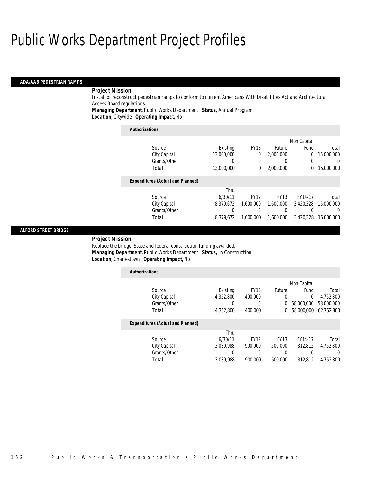#### *ADA/AAB PEDESTRIAN RAMPS*

### *Project Mission*

Install or reconstruct pedestrian ramps to conform to current Americans With Disabilities Act and Architectural Access Board regulations.

*Managing Department,* Public Works Department *Status,* Annual Program

*Location,* Citywide *Operating Impact,* No

| <b>Authorizations</b>                    |            |             |               |             |            |
|------------------------------------------|------------|-------------|---------------|-------------|------------|
|                                          |            |             |               | Non Capital |            |
| Source                                   | Existing   | <b>FY13</b> | <b>Future</b> | Fund        | Total      |
| City Capital                             | 13,000,000 | 0           | 2,000,000     | 0           | 15,000,000 |
| Grants/Other                             |            |             |               | 0           | 0          |
| Total                                    | 13,000,000 | $\theta$    | 2,000,000     | 0           | 15,000,000 |
| <b>Expenditures (Actual and Planned)</b> |            |             |               |             |            |
|                                          | Thru       |             |               |             |            |
| Source                                   | 6/30/11    | <b>FY12</b> | <b>FY13</b>   | FY14-17     | Total      |
| City Capital                             | 8,379,672  | 1.600.000   | 1.600.000     | 3.420.328   | 15,000,000 |
| Grants/Other                             |            |             |               | 0           | $\left($   |
| Total                                    | 8.379.672  | 1.600.000   | 1.600.000     | 3.420.328   | 15,000,000 |

### *ALFORD STREET BRIDGE*

#### *Project Mission*

Replace the bridge. State and federal construction funding awarded. *Managing Department,* Public Works Department *Status,* In Construction*Location,* Charlestown *Operating Impact,* No

| <b>Authorizations</b>                    |           |             |             |             |            |
|------------------------------------------|-----------|-------------|-------------|-------------|------------|
|                                          |           |             |             | Non Capital |            |
| Source                                   | Existing  | <b>FY13</b> | Future      | Fund        | Total      |
| City Capital                             | 4,352,800 | 400,000     | 0           | 0           | 4,752,800  |
| Grants/Other                             |           |             | 0           | 58,000,000  | 58,000,000 |
| Total                                    | 4,352,800 | 400,000     | 0           | 58,000,000  | 62,752,800 |
| <b>Expenditures (Actual and Planned)</b> |           |             |             |             |            |
|                                          | Thru      |             |             |             |            |
| Source                                   | 6/30/11   | <b>FY12</b> | <b>FY13</b> | FY14-17     | Total      |
| City Capital                             | 3.039.988 | 900.000     | 500,000     | 312.812     | 4.752.800  |
| Grants/Other                             |           |             |             | 0           | 0          |
| Total                                    | 3.039.988 | 900.000     | 500,000     | 312,812     | 4.752.800  |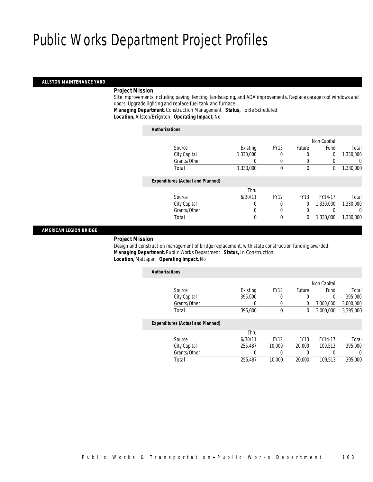### *ALLSTON MAINTENANCE YARD*

### *Project Mission*

 Site improvements including paving, fencing, landscaping, and ADA improvements. Replace garage roof windows and doors. Upgrade lighting and replace fuel tank and furnace.

*Managing Department,* Construction Management *Status,* To Be Scheduled

*Location,* Allston/Brighton *Operating Impact,* No

| <b>Authorizations</b>                    |           |             |             |                |           |
|------------------------------------------|-----------|-------------|-------------|----------------|-----------|
|                                          |           |             |             | Non Capital    |           |
| Source                                   | Existing  | <b>FY13</b> | Future      | Fund           | Total     |
| City Capital                             | 1,330,000 | 0           | 0           | $\overline{0}$ | 1,330,000 |
| Grants/Other                             |           | 0           | $\Omega$    |                | 0         |
| Total                                    | 1,330,000 | 0           | $\mathbf 0$ | 0              | 1,330,000 |
| <b>Expenditures (Actual and Planned)</b> |           |             |             |                |           |
|                                          | Thru      |             |             |                |           |
| Source                                   | 6/30/11   | <b>FY12</b> | <b>FY13</b> | FY14-17        | Total     |
| City Capital                             | 0         | 0           | 0           | 1.330.000      | 1,330,000 |
| Grants/Other                             | 0         | 0           | 0           |                | 0         |
| Total                                    | 0         | $\theta$    | 0           | 1,330,000      | 1,330,000 |
|                                          |           |             |             |                |           |

### *AMERICAN LEGION BRIDGE*

*Project Mission*

 Design and construction management of bridge replacement, with state construction funding awarded. *Managing Department,* Public Works Department *Status,* In Construction*Location,* Mattapan *Operating Impact,* No

| <b>Authorizations</b>                    |          |             |               |             |           |
|------------------------------------------|----------|-------------|---------------|-------------|-----------|
|                                          |          |             |               | Non Capital |           |
| Source                                   | Existing | <b>FY13</b> | <b>Future</b> | Fund        | Total     |
| City Capital                             | 395,000  | 0           | 0             | 0           | 395,000   |
| Grants/Other                             | 0        | 0           | 0             | 3,000,000   | 3,000,000 |
| Total                                    | 395,000  | 0           | 0             | 3,000,000   | 3,395,000 |
| <b>Expenditures (Actual and Planned)</b> |          |             |               |             |           |
|                                          | Thru     |             |               |             |           |
| Source                                   | 6/30/11  | <b>FY12</b> | <b>FY13</b>   | FY14-17     | Total     |
| City Capital                             | 255,487  | 10,000      | 20,000        | 109.513     | 395,000   |
| Grants/Other                             | 0        | 0           | 0             | 0           | $\left($  |
| Total                                    | 255,487  | 10,000      | 20,000        | 109.513     | 395,000   |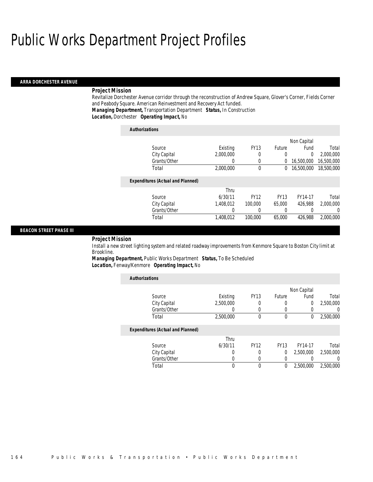#### *ARRA DORCHESTER AVENUE*

### *Project Mission*

Revitalize Dorchester Avenue corridor through the reconstruction of Andrew Square, Glover's Corner, Fields Corner and Peabody Square. American Reinvestment and Recovery Act funded. *Managing Department,* Transportation Department *Status,* In Construction*Location,* Dorchester *Operating Impact,* No

| <b>Authorizations</b>                    |           |             |               |             |            |
|------------------------------------------|-----------|-------------|---------------|-------------|------------|
|                                          |           |             |               | Non Capital |            |
| Source                                   | Existing  | <b>FY13</b> | <b>Future</b> | Fund        | Total      |
| City Capital                             | 2.000.000 | 0           | 0             | $\Omega$    | 2,000,000  |
| Grants/Other                             | 0         | 0           | 0             | 16,500,000  | 16,500,000 |
| Total                                    | 2,000,000 | $\theta$    | 0             | 16,500,000  | 18,500,000 |
| <b>Expenditures (Actual and Planned)</b> |           |             |               |             |            |
|                                          | Thru      |             |               |             |            |
| Source                                   | 6/30/11   | <b>FY12</b> | <b>FY13</b>   | FY14-17     | Total      |
| City Capital                             | 1.408.012 | 100,000     | 65,000        | 426.988     | 2.000.000  |
| Grants/Other                             | 0         | 0           | 0             |             | $\Omega$   |
| Total                                    | 1.408.012 | 100,000     | 65,000        | 426.988     | 2.000.000  |

### *BEACON STREET PHASE III*

#### *Project Mission*

Install a new street lighting system and related roadway improvements from Kenmore Square to Boston City limit at Brookline.

*Managing Department,* Public Works Department *Status,* To Be Scheduled*Location,* Fenway/Kenmore *Operating Impact,* No

| <b>Authorizations</b>                    |           |             |             |                |           |
|------------------------------------------|-----------|-------------|-------------|----------------|-----------|
|                                          |           |             |             | Non Capital    |           |
| Source                                   | Existing  | <b>FY13</b> | Future      | Fund           | Total     |
| City Capital                             | 2,500,000 | 0           | 0           | $\overline{0}$ | 2,500,000 |
| Grants/Other                             | O         | 0           |             | 0              |           |
| Total                                    | 2,500,000 | $\Omega$    | 0           | 0              | 2,500,000 |
| <b>Expenditures (Actual and Planned)</b> |           |             |             |                |           |
|                                          | Thru      |             |             |                |           |
| Source                                   | 6/30/11   | <b>FY12</b> | <b>FY13</b> | FY14-17        | Total     |
| City Capital                             | O         | $\Omega$    | 0           | 2,500,000      | 2,500,000 |
| Grants/Other                             |           | $\Omega$    | 0           | 0              |           |
| Total                                    | 0         | $\theta$    | 0           | 2.500.000      | 2,500,000 |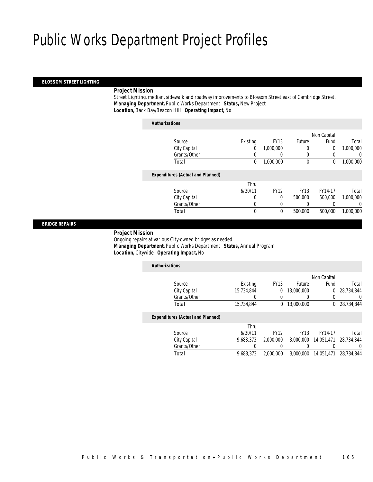### *BLOSSOM STREET LIGHTING*

## *Project Mission*

 Street Lighting, median, sidewalk and roadway improvements to Blossom Street east of Cambridge Street. *Managing Department,* Public Works Department *Status,* New Project*Location,* Back Bay/Beacon Hill *Operating Impact,* No

| <b>Authorizations</b>                    |          |             |             |             |           |
|------------------------------------------|----------|-------------|-------------|-------------|-----------|
|                                          |          |             |             | Non Capital |           |
| Source                                   | Existing | <b>FY13</b> | Future      | Fund        | Total     |
| City Capital                             | 0        | 1.000.000   | 0           | 0           | 1,000,000 |
| Grants/Other                             | 0        | 0           | 0           | 0           |           |
| Total                                    | 0        | 1,000,000   | 0           | 0           | 1,000,000 |
| <b>Expenditures (Actual and Planned)</b> |          |             |             |             |           |
|                                          | Thru     |             |             |             |           |
| Source                                   | 6/30/11  | <b>FY12</b> | <b>FY13</b> | FY14-17     | Total     |
| City Capital                             | 0        | 0           | 500,000     | 500,000     | 1,000,000 |
| Grants/Other                             | 0        | 0           | 0           |             |           |
| Total                                    | 0        | 0           | 500,000     | 500,000     | 1,000,000 |
|                                          |          |             |             |             |           |

*BRIDGE REPAIRS* 

#### *Project Mission*

 Ongoing repairs at various City-owned bridges as needed. *Managing Department,* Public Works Department *Status,* Annual Program*Location,* Citywide *Operating Impact,* No

| <b>Authorizations</b>                    |            |             |             |             |            |
|------------------------------------------|------------|-------------|-------------|-------------|------------|
|                                          |            |             |             | Non Capital |            |
| Source                                   | Existing   | <b>FY13</b> | Future      | Fund        | Total      |
| City Capital                             | 15,734,844 | 0           | 13,000,000  | 0           | 28.734.844 |
| Grants/Other                             |            | 0           | 0           | 0           | 0          |
| Total                                    | 15,734,844 | 0           | 13,000,000  | 0           | 28.734.844 |
| <b>Expenditures (Actual and Planned)</b> |            |             |             |             |            |
|                                          | Thru       |             |             |             |            |
| Source                                   | 6/30/11    | <b>FY12</b> | <b>FY13</b> | FY14-17     | Total      |
| City Capital                             | 9.683.373  | 2.000.000   | 3.000.000   | 14.051.471  | 28.734.844 |
| Grants/Other                             |            | 0           | 0           |             | $\Omega$   |
| Total                                    | 9.683.373  | 2,000,000   | 3.000.000   | 14.051.471  | 28.734.844 |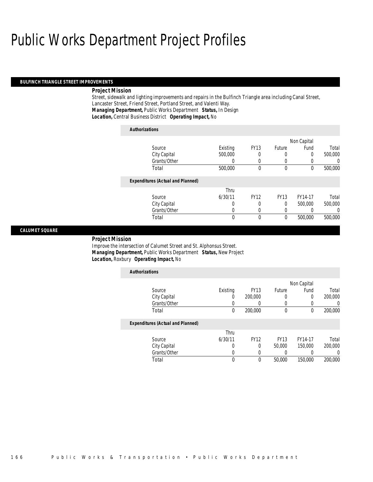#### *BULFINCH TRIANGLE STREET IMPROVEMENTS*

### *Project Mission*

Street, sidewalk and lighting improvements and repairs in the Bulfinch Triangle area including Canal Street, Lancaster Street, Friend Street, Portland Street, and Valenti Way. *Managing Department,* Public Works Department *Status,* In Design*Location,* Central Business District *Operating Impact,* No

| <b>Authorizations</b>                    |          |             |             |             |          |
|------------------------------------------|----------|-------------|-------------|-------------|----------|
|                                          |          |             |             | Non Capital |          |
| Source                                   | Existing | <b>FY13</b> | Future      | Fund        | Total    |
| City Capital                             | 500,000  | 0           | 0           | $\Omega$    | 500,000  |
| Grants/Other                             | 0        | 0           | 0           | 0           | 0        |
| Total                                    | 500,000  | $\Omega$    | $\theta$    | $\Omega$    | 500,000  |
| <b>Expenditures (Actual and Planned)</b> |          |             |             |             |          |
|                                          | Thru     |             |             |             |          |
| Source                                   | 6/30/11  | <b>FY12</b> | <b>FY13</b> | FY14-17     | Total    |
| City Capital                             | 0        | 0           | 0           | 500,000     | 500,000  |
| Grants/Other                             | 0        | $\left($    | 0           |             | $\Omega$ |
| Total                                    | 0        | 0           | 0           | 500,000     | 500,000  |

### *CALUMET SQUARE*

#### *Project Mission*

Improve the intersection of Calumet Street and St. Alphonsus Street. *Managing Department,* Public Works Department *Status,* New Project*Location,* Roxbury *Operating Impact,* No

| <b>Authorizations</b>                    |          |             |             |             |         |
|------------------------------------------|----------|-------------|-------------|-------------|---------|
|                                          |          |             |             | Non Capital |         |
| Source                                   | Existing | <b>FY13</b> | Future      | Fund        | Total   |
| City Capital                             | 0        | 200,000     |             | 0           | 200,000 |
| Grants/Other                             | 0        | 0           |             |             | 0       |
| Total                                    | 0        | 200,000     | $\mathbf 0$ | 0           | 200,000 |
| <b>Expenditures (Actual and Planned)</b> |          |             |             |             |         |
|                                          | Thru     |             |             |             |         |
| Source                                   | 6/30/11  | <b>FY12</b> | <b>FY13</b> | FY14-17     | Total   |
| City Capital                             | 0        | 0           | 50,000      | 150,000     | 200,000 |
| Grants/Other                             | O        | 0           |             |             | 0       |
| Total                                    | 0        | $\theta$    | 50,000      | 150,000     | 200,000 |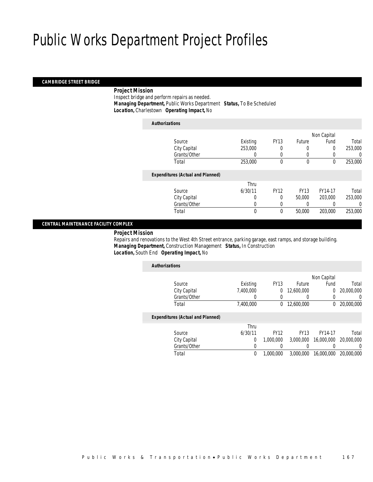#### *CAMBRIDGE STREET BRIDGE*

### *Project Mission*

 Inspect bridge and perform repairs as needed. *Managing Department,* Public Works Department *Status,* To Be Scheduled*Location,* Charlestown *Operating Impact,* No

| <b>Authorizations</b>                    |              |             |             |             |         |
|------------------------------------------|--------------|-------------|-------------|-------------|---------|
|                                          |              |             |             | Non Capital |         |
| Source                                   | Existing     | <b>FY13</b> | Future      | Fund        | Total   |
| City Capital                             | 253,000      |             | 0           | 0           | 253,000 |
| Grants/Other                             | $\left($     | 0           | $\left($    | 0           | 0       |
| Total                                    | 253,000      | $\theta$    | $\mathbf 0$ | 0           | 253,000 |
| <b>Expenditures (Actual and Planned)</b> |              |             |             |             |         |
|                                          | Thru         |             |             |             |         |
| Source                                   | 6/30/11      | <b>FY12</b> | <b>FY13</b> | FY14-17     | Total   |
| City Capital                             | 0            | $\theta$    | 50,000      | 203,000     | 253,000 |
| Grants/Other                             | 0            |             |             |             | 0       |
| Total                                    | $\mathbf{0}$ | 0           | 50,000      | 203,000     | 253,000 |
|                                          |              |             |             |             |         |

### *CENTRAL MAINTENANCE FACILITY COMPLEX*

*Project Mission*

 Repairs and renovations to the West 4th Street entrance, parking garage, east ramps, and storage building. *Managing Department,* Construction Management *Status,* In Construction*Location,* South End *Operating Impact,* No

| <b>Authorizations</b>                    |           |             |               |             |            |
|------------------------------------------|-----------|-------------|---------------|-------------|------------|
|                                          |           |             |               | Non Capital |            |
| Source                                   | Existing  | <b>FY13</b> | <b>Future</b> | Fund        | Total      |
| City Capital                             | 7.400.000 | 0           | 12,600,000    | 0           | 20,000,000 |
| Grants/Other                             |           |             | 0             | 0           | 0          |
| Total                                    | 7,400,000 | 0           | 12,600,000    | 0           | 20,000,000 |
| <b>Expenditures (Actual and Planned)</b> |           |             |               |             |            |
|                                          | Thru      |             |               |             |            |
| Source                                   | 6/30/11   | <b>FY12</b> | <b>FY13</b>   | FY14-17     | Total      |
| City Capital                             | 0         | 1.000.000   | 3.000.000     | 16,000,000  | 20,000,000 |
| Grants/Other                             | 0         | 0           | 0             | 0           | 0          |
| Total                                    | 0         | 1.000.000   | 3.000.000     | 16,000,000  | 20,000,000 |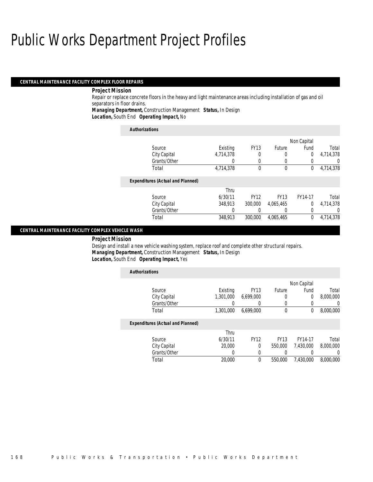#### *CENTRAL MAINTENANCE FACILITY COMPLEX FLOOR REPAIRS*

#### *Project Mission*

Repair or replace concrete floors in the heavy and light maintenance areas including installation of gas and oil separators in floor drains.

*Managing Department,* Construction Management *Status,* In Design

*Location,* South End *Operating Impact,* No

| <b>Authorizations</b>                    |           |             |             |                |           |
|------------------------------------------|-----------|-------------|-------------|----------------|-----------|
|                                          |           |             |             | Non Capital    |           |
| Source                                   | Existing  | <b>FY13</b> | Future      | Fund           | Total     |
| City Capital                             | 4,714,378 | 0           | 0           | 0              | 4,714,378 |
| Grants/Other                             | 0         | $\Omega$    | 0           | 0              | 0         |
| Total                                    | 4,714,378 | $\theta$    | $\mathbf 0$ | 0              | 4,714,378 |
| <b>Expenditures (Actual and Planned)</b> |           |             |             |                |           |
|                                          | Thru      |             |             |                |           |
| Source                                   | 6/30/11   | <b>FY12</b> | <b>FY13</b> | FY14-17        | Total     |
| City Capital                             | 348.913   | 300,000     | 4,065,465   | $\overline{0}$ | 4.714.378 |
| Grants/Other                             | 0         |             | 0           | 0              | 0         |
| Total                                    | 348.913   | 300,000     | 4.065.465   | 0              | 4.714.378 |

#### *CENTRAL MAINTENANCE FACILITY COMPLEX VEHICLE WASH*

#### *Project Mission*

Design and install a new vehicle washing system, replace roof and complete other structural repairs. *Managing Department,* Construction Management *Status,* In Design*Location,* South End *Operating Impact,* Yes

| <b>Authorizations</b>                    |           |             |             |             |           |
|------------------------------------------|-----------|-------------|-------------|-------------|-----------|
|                                          |           |             |             | Non Capital |           |
| Source                                   | Existing  | <b>FY13</b> | Future      | Fund        | Total     |
| City Capital                             | 1.301.000 | 6.699.000   | 0           | 0           | 8,000,000 |
| Grants/Other                             |           |             | 0           | 0           | 0         |
| Total                                    | 1,301,000 | 6.699.000   | $\mathbf 0$ | 0           | 8,000,000 |
| <b>Expenditures (Actual and Planned)</b> |           |             |             |             |           |
|                                          | Thru      |             |             |             |           |
| Source                                   | 6/30/11   | <b>FY12</b> | <b>FY13</b> | FY14-17     | Total     |
| City Capital                             | 20,000    | $\Omega$    | 550,000     | 7.430.000   | 8,000,000 |
| Grants/Other                             | 0         | 0           |             | 0           | 0         |
| Total                                    | 20,000    | $\theta$    | 550,000     | 7.430.000   | 8,000,000 |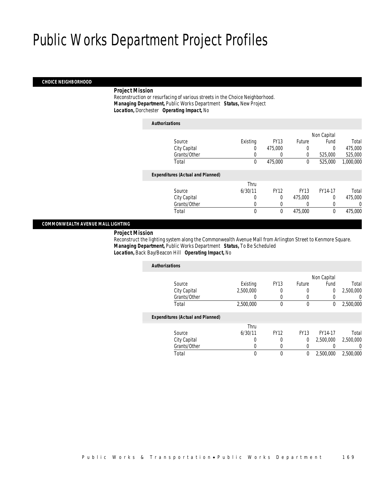#### *CHOICE NEIGHBORHOOD*

#### *Project Mission*

 Reconstruction or resurfacing of various streets in the Choice Neighborhood. *Managing Department,* Public Works Department *Status,* New Project*Location,* Dorchester *Operating Impact,* No

| <b>Authorizations</b>                    |             |             |             |             |           |
|------------------------------------------|-------------|-------------|-------------|-------------|-----------|
|                                          |             |             |             | Non Capital |           |
| Source                                   | Existing    | <b>FY13</b> | Future      | Fund        | Total     |
| City Capital                             | 0           | 475,000     | 0           | $\Omega$    | 475,000   |
| Grants/Other                             | 0           | $\Omega$    | 0           | 525,000     | 525,000   |
| Total                                    | $\mathbf 0$ | 475,000     | 0           | 525,000     | 1,000,000 |
| <b>Expenditures (Actual and Planned)</b> |             |             |             |             |           |
|                                          | Thru        |             |             |             |           |
| Source                                   | 6/30/11     | <b>FY12</b> | <b>FY13</b> | FY14-17     | Total     |
| City Capital                             | $\Omega$    | $\theta$    | 475,000     | $\Omega$    | 475,000   |
| Grants/Other                             | 0           |             | 0           | 0           |           |
| Total                                    | $\theta$    | $\theta$    | 475,000     | 0           | 475,000   |

#### *COMMONWEALTH AVENUE MALL LIGHTING*

*Project Mission*

 Reconstruct the lighting system along the Commonwealth Avenue Mall from Arlington Street to Kenmore Square. *Managing Department,* Public Works Department *Status,* To Be Scheduled*Location,* Back Bay/Beacon Hill *Operating Impact,* No

| <b>Authorizations</b>                    |           |             |             |             |           |
|------------------------------------------|-----------|-------------|-------------|-------------|-----------|
|                                          |           |             |             | Non Capital |           |
| Source                                   | Existing  | <b>FY13</b> | Future      | Fund        | Total     |
| City Capital                             | 2,500,000 | 0           | 0           | 0           | 2,500,000 |
| Grants/Other                             |           | 0           | 0           |             | U         |
| Total                                    | 2,500,000 | 0           | 0           | 0           | 2,500,000 |
| <b>Expenditures (Actual and Planned)</b> |           |             |             |             |           |
|                                          | Thru      |             |             |             |           |
| Source                                   | 6/30/11   | <b>FY12</b> | <b>FY13</b> | FY14-17     | Total     |
| City Capital                             | 0         | 0           | $\theta$    | 2,500,000   | 2,500,000 |
| Grants/Other                             | 0         | 0           | 0           |             | 0         |
| Total                                    | 0         | 0           | 0           | 2,500,000   | 2.500.000 |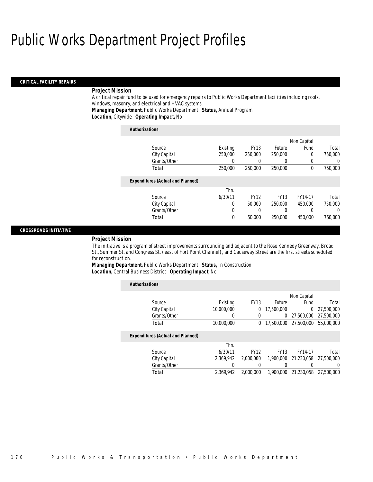#### *CRITICAL FACILITY REPAIRS*

#### *Project Mission*

A critical repair fund to be used for emergency repairs to Public Works Department facilities including roofs, windows, masonry, and electrical and HVAC systems.

*Managing Department,* Public Works Department *Status,* Annual Program

*Location,* Citywide *Operating Impact,* No

| <b>Authorizations</b>                    |          |             |               |             |         |
|------------------------------------------|----------|-------------|---------------|-------------|---------|
|                                          |          |             |               | Non Capital |         |
| Source                                   | Existing | <b>FY13</b> | <b>Future</b> | Fund        | Total   |
| City Capital                             | 250,000  | 250,000     | 250,000       | $\Omega$    | 750,000 |
| Grants/Other                             | 0        |             |               | 0           | 0       |
| Total                                    | 250,000  | 250,000     | 250,000       | $\theta$    | 750,000 |
| <b>Expenditures (Actual and Planned)</b> |          |             |               |             |         |
|                                          | Thru     |             |               |             |         |
| Source                                   | 6/30/11  | <b>FY12</b> | <b>FY13</b>   | FY14-17     | Total   |
| City Capital                             | 0        | 50,000      | 250,000       | 450.000     | 750,000 |
| Grants/Other                             | 0        |             |               | $\Omega$    | 0       |
| Total                                    | 0        | 50,000      | 250,000       | 450,000     | 750,000 |

#### *CROSSROADS INITIATIVE*

#### *Project Mission*

The initiative is a program of street improvements surrounding and adjacent to the Rose Kennedy Greenway. Broad St., Summer St. and Congress St. (east of Fort Point Channel), and Causeway Street are the first streets scheduled for reconstruction.

*Managing Department,* Public Works Department *Status,* In Construction*Location,* Central Business District *Operating Impact,* No

| <b>Authorizations</b>                    |            |             |             |                |            |
|------------------------------------------|------------|-------------|-------------|----------------|------------|
|                                          |            |             |             | Non Capital    |            |
| Source                                   | Existing   | <b>FY13</b> | Future      | Fund           | Total      |
| City Capital                             | 10,000,000 | 0           | 17,500,000  | $\overline{0}$ | 27,500,000 |
| Grants/Other                             | 0          | 0           | 0           | 27.500.000     | 27,500,000 |
| Total                                    | 10,000,000 | 0           | 17,500,000  | 27.500.000     | 55,000,000 |
| <b>Expenditures (Actual and Planned)</b> |            |             |             |                |            |
|                                          | Thru       |             |             |                |            |
| Source                                   | 6/30/11    | <b>FY12</b> | <b>FY13</b> | FY14-17        | Total      |
| City Capital                             | 2.369.942  | 2,000,000   | 1.900.000   | 21.230.058     | 27,500,000 |
| Grants/Other                             |            |             |             |                | $\Omega$   |
| Total                                    | 2.369.942  | 2,000,000   | 1,900,000   | 21,230,058     | 27,500,000 |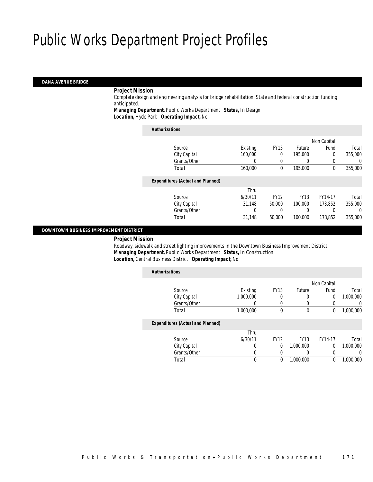#### *DANA AVENUE BRIDGE*

#### *Project Mission*

 Complete design and engineering analysis for bridge rehabilitation. State and federal construction funding anticipated.

*Managing Department,* Public Works Department *Status,* In Design

*Location,* Hyde Park *Operating Impact,* No

| <b>Authorizations</b>                    |          |             |               |             |         |
|------------------------------------------|----------|-------------|---------------|-------------|---------|
|                                          |          |             |               | Non Capital |         |
| Source                                   | Existing | <b>FY13</b> | <b>Future</b> | Fund        | Total   |
| City Capital                             | 160,000  | $\theta$    | 195,000       | 0           | 355,000 |
| Grants/Other                             | 0        | 0           | $\left($      | 0           | 0       |
| Total                                    | 160,000  | 0           | 195,000       | 0           | 355,000 |
| <b>Expenditures (Actual and Planned)</b> |          |             |               |             |         |
|                                          | Thru     |             |               |             |         |
| Source                                   | 6/30/11  | <b>FY12</b> | <b>FY13</b>   | FY14-17     | Total   |
| City Capital                             | 31,148   | 50,000      | 100,000       | 173.852     | 355,000 |
| Grants/Other                             | 0        |             |               |             | 0       |
| Total                                    | 31,148   | 50,000      | 100,000       | 173.852     | 355,000 |
|                                          |          |             |               |             |         |

#### *DOWNTOWN BUSINESS IMPROVEMENT DISTRICT*

*Project Mission*

 Roadway, sidewalk and street lighting improvements in the Downtown Business Improvement District. *Managing Department,* Public Works Department *Status,* In Construction*Location,* Central Business District *Operating Impact,* No

| <b>Authorizations</b>                    |           |             |             |                |           |
|------------------------------------------|-----------|-------------|-------------|----------------|-----------|
|                                          |           |             |             | Non Capital    |           |
| Source                                   | Existing  | <b>FY13</b> | Future      | Fund           | Total     |
| City Capital                             | 1.000.000 | 0           | 0           | $\overline{0}$ | 1,000,000 |
| Grants/Other                             | 0         | 0           | 0           | 0              | 0         |
| Total                                    | 1,000,000 | 0           | $\mathbf 0$ | 0              | 1,000,000 |
| <b>Expenditures (Actual and Planned)</b> |           |             |             |                |           |
|                                          | Thru      |             |             |                |           |
| Source                                   | 6/30/11   | <b>FY12</b> | <b>FY13</b> | FY14-17        | Total     |
| City Capital                             | 0         | 0           | 1.000.000   | $\Omega$       | 1.000.000 |
| Grants/Other                             | 0         | 0           | 0           | 0              | 0         |
| Total                                    | 0         | 0           | 1,000,000   | 0              | 1,000,000 |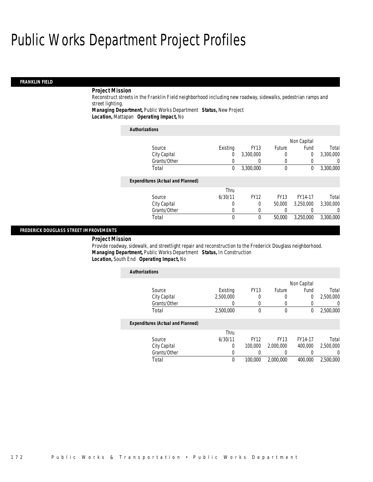### *FRANKLIN FIELD*

## *Project Mission*

Reconstruct streets in the Franklin Field neighborhood including new roadway, sidewalks, pedestrian ramps and street lighting.

*Managing Department,* Public Works Department *Status,* New Project*Location,* Mattapan *Operating Impact,* No

| <b>Authorizations</b>                    |          |             |               |             |                  |
|------------------------------------------|----------|-------------|---------------|-------------|------------------|
|                                          |          |             |               | Non Capital |                  |
| Source                                   | Existing | <b>FY13</b> | <b>Future</b> | Fund        | Total            |
| City Capital                             | 0        | 3,300,000   | 0             | 0           | 3,300,000        |
| Grants/Other                             |          |             |               |             | $\left( \right)$ |
| Total                                    | 0        | 3,300,000   | 0             | 0           | 3,300,000        |
| <b>Expenditures (Actual and Planned)</b> |          |             |               |             |                  |
|                                          | Thru     |             |               |             |                  |
| Source                                   | 6/30/11  | <b>FY12</b> | <b>FY13</b>   | FY14-17     | Total            |
| City Capital                             | O        | 0           | 50,000        | 3.250.000   | 3,300,000        |
| Grants/Other                             | 0        | 0           | 0             | 0           | 0                |
| Total                                    | 0        | 0           | 50,000        | 3,250,000   | 3,300,000        |

#### *FREDERICK DOUGLASS STREET IMPROVEMENTS*

#### *Project Mission*

Provide roadway, sidewalk, and streetlight repair and reconstruction to the Frederick Douglass neighborhood. *Managing Department,* Public Works Department *Status,* In Construction*Location,* South End *Operating Impact,* No

| <b>Authorizations</b>                    |           |             |             |             |                  |
|------------------------------------------|-----------|-------------|-------------|-------------|------------------|
|                                          |           |             |             | Non Capital |                  |
| Source                                   | Existing  | <b>FY13</b> | Future      | Fund        | Total            |
| City Capital                             | 2,500,000 | 0           |             | 0           | 2,500,000        |
| Grants/Other                             | 0         | $\Omega$    |             |             | 0                |
| Total                                    | 2,500,000 | $\theta$    | $\mathbf 0$ | 0           | 2,500,000        |
| <b>Expenditures (Actual and Planned)</b> |           |             |             |             |                  |
|                                          | Thru      |             |             |             |                  |
| Source                                   | 6/30/11   | <b>FY12</b> | <b>FY13</b> | FY14-17     | Total            |
| City Capital                             | 0         | 100,000     | 2,000,000   | 400,000     | 2.500.000        |
| Grants/Other                             | 0         |             |             |             | $\left( \right)$ |
| Total                                    | 0         | 100,000     | 2.000.000   | 400,000     | 2.500.000        |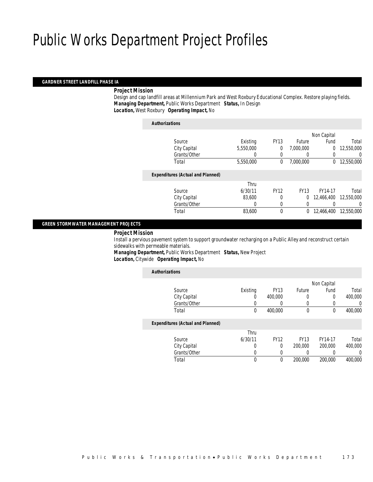#### *GARDNER STREET LANDFILL PHASE IA*

#### *Project Mission*

 Design and cap landfill areas at Millennium Park and West Roxbury Educational Complex. Restore playing fields. *Managing Department,* Public Works Department *Status,* In Design*Location,* West Roxbury *Operating Impact,* No

| <b>Authorizations</b>                    |           |             |             |             |            |
|------------------------------------------|-----------|-------------|-------------|-------------|------------|
|                                          |           |             |             | Non Capital |            |
| Source                                   | Existing  | <b>FY13</b> | Future      | Fund        | Total      |
| City Capital                             | 5,550,000 | 0           | 7,000,000   | 0           | 12,550,000 |
| Grants/Other                             | 0         | 0           | $\left($    | 0           | 0          |
| Total                                    | 5,550,000 | 0           | 7.000.000   | $\Omega$    | 12,550,000 |
| <b>Expenditures (Actual and Planned)</b> |           |             |             |             |            |
|                                          | Thru      |             |             |             |            |
| Source                                   | 6/30/11   | <b>FY12</b> | <b>FY13</b> | FY14-17     | Total      |
| City Capital                             | 83,600    | 0           | 0           | 12,466,400  | 12,550,000 |
| Grants/Other                             | 0         | 0           | 0           |             | 0          |
| Total                                    | 83,600    | 0           | 0           | 12,466,400  | 12,550,000 |
|                                          |           |             |             |             |            |

#### *GREEN STORMWATER MANAGEMENT PROJECTS*

#### *Project Mission*

 Install a pervious pavement system to support groundwater recharging on a Public Alley and reconstruct certain sidewalks with permeable materials. *Managing Department,* Public Works Department *Status,* New Project

*Location,* Citywide *Operating Impact,* No

| <b>Authorizations</b>                    |          |             |             |             |         |
|------------------------------------------|----------|-------------|-------------|-------------|---------|
|                                          |          |             |             | Non Capital |         |
| Source                                   | Existing | <b>FY13</b> | Future      | Fund        | Total   |
| City Capital                             | 0        | 400,000     | 0           | 0           | 400,000 |
| Grants/Other                             |          |             | 0           |             | 0       |
| Total                                    | 0        | 400,000     | $\mathbf 0$ | 0           | 400,000 |
| <b>Expenditures (Actual and Planned)</b> |          |             |             |             |         |
|                                          | Thru     |             |             |             |         |
| Source                                   | 6/30/11  | <b>FY12</b> | <b>FY13</b> | FY14-17     | Total   |
| City Capital                             | 0        | 0           | 200,000     | 200,000     | 400,000 |
| Grants/Other                             | 0        |             | 0           |             | 0       |
| Total                                    | 0        | 0           | 200,000     | 200,000     | 400.000 |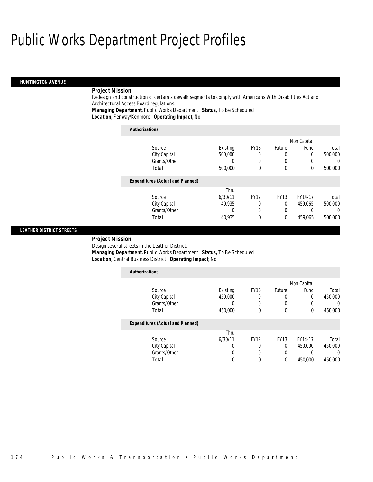#### *HUNTINGTON AVENUE*

#### *Project Mission*

Redesign and construction of certain sidewalk segments to comply with Americans With Disabilities Act and Architectural Access Board regulations.

*Managing Department,* Public Works Department *Status,* To Be Scheduled*Location,* Fenway/Kenmore *Operating Impact,* No

| <b>Authorizations</b>                    |          |             |              |             |         |
|------------------------------------------|----------|-------------|--------------|-------------|---------|
|                                          |          |             |              | Non Capital |         |
| Source                                   | Existing | <b>FY13</b> | Future       | Fund        | Total   |
| City Capital                             | 500,000  | 0           | 0            | $\Omega$    | 500,000 |
| Grants/Other                             | 0        | 0           | 0            | 0           |         |
| Total                                    | 500,000  | $\Omega$    | $\mathbf{0}$ | $\theta$    | 500,000 |
| <b>Expenditures (Actual and Planned)</b> |          |             |              |             |         |
|                                          | Thru     |             |              |             |         |
| Source                                   | 6/30/11  | <b>FY12</b> | <b>FY13</b>  | FY14-17     | Total   |
| City Capital                             | 40.935   | $\Omega$    | 0            | 459.065     | 500,000 |
| Grants/Other                             |          | 0           | 0            | 0           |         |
| Total                                    | 40.935   | $\Omega$    | 0            | 459.065     | 500,000 |

#### *LEATHER DISTRICT STREETS*

#### *Project Mission*

Design several streets in the Leather District.

*Managing Department,* Public Works Department *Status,* To Be Scheduled

*Location,* Central Business District *Operating Impact,* No

| <b>Authorizations</b>                    |          |             |             |             |          |
|------------------------------------------|----------|-------------|-------------|-------------|----------|
|                                          |          |             |             | Non Capital |          |
| Source                                   | Existing | <b>FY13</b> | Future      | Fund        | Total    |
| City Capital                             | 450,000  | 0           | 0           | 0           | 450,000  |
| Grants/Other                             | 0        | 0           | 0           | 0           | 0        |
| Total                                    | 450,000  | $\Omega$    | $\mathbf 0$ | $\theta$    | 450,000  |
| <b>Expenditures (Actual and Planned)</b> |          |             |             |             |          |
|                                          | Thru     |             |             |             |          |
| Source                                   | 6/30/11  | <b>FY12</b> | <b>FY13</b> | FY14-17     | Total    |
| City Capital                             | U        | 0           | 0           | 450,000     | 450,000  |
| Grants/Other                             | 0        | $\left($    | 0           |             | $\Omega$ |
| Total                                    | 0        | 0           | 0           | 450,000     | 450,000  |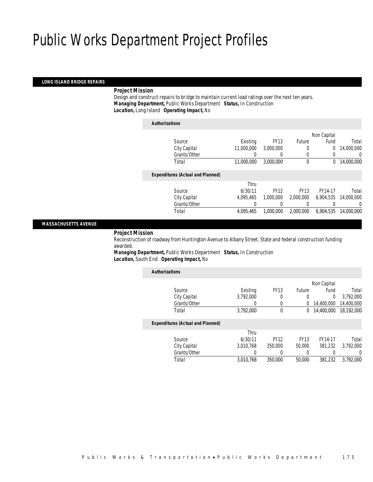#### *LONG ISLAND BRIDGE REPAIRS*

#### *Project Mission*

 Design and construct repairs to bridge to maintain current load ratings over the next ten years. *Managing Department,* Public Works Department *Status,* In Construction*Location,* Long Island *Operating Impact,* No

*Authorizations*

|                                          |            |             |               | Non Capital    |            |
|------------------------------------------|------------|-------------|---------------|----------------|------------|
| Source                                   | Existing   | <b>FY13</b> | <b>Future</b> | Fund           | Total      |
| City Capital                             | 11,000,000 | 3,000,000   |               | $\overline{0}$ | 14,000,000 |
| Grants/Other                             | 0          |             |               | 0              | 0          |
| Total                                    | 11,000,000 | 3.000.000   | $\mathbf 0$   | 0              | 14,000,000 |
|                                          |            |             |               |                |            |
| <b>Expenditures (Actual and Planned)</b> |            |             |               |                |            |
|                                          | Thru       |             |               |                |            |
| Source                                   | 6/30/11    | <b>FY12</b> | <b>FY13</b>   | FY14-17        | Total      |
| City Capital                             | 4.095.465  | 1,000,000   | 2,000,000     | 6.904.535      | 14,000,000 |
| Grants/Other                             |            |             |               |                | 0          |
| Total                                    | 4.095.465  | 1.000.000   | 2,000,000     | 6,904,535      | 14,000,000 |
|                                          |            |             |               |                |            |

#### *MASSACHUSETTS AVENUE*

#### *Project Mission*

 Reconstruction of roadway from Huntington Avenue to Albany Street. State and federal construction funding awarded.

*Managing Department,* Public Works Department *Status,* In Construction*Location,* South End *Operating Impact,* No

| <b>Authorizations</b>                    |           |             |             |             |            |
|------------------------------------------|-----------|-------------|-------------|-------------|------------|
|                                          |           |             |             | Non Capital |            |
| Source                                   | Existing  | <b>FY13</b> | Future      | Fund        | Total      |
| City Capital                             | 3,792,000 | 0           | 0           | $\Omega$    | 3.792.000  |
| Grants/Other                             | 0         | 0           | 0           | 14,400,000  | 14,400,000 |
| Total                                    | 3,792,000 | 0           | 0           | 14,400,000  | 18,192,000 |
| <b>Expenditures (Actual and Planned)</b> |           |             |             |             |            |
|                                          | Thru      |             |             |             |            |
| Source                                   | 6/30/11   | <b>FY12</b> | <b>FY13</b> | FY14-17     | Total      |
| City Capital                             | 3.010.768 | 350,000     | 50,000      | 381.232     | 3.792.000  |
| Grants/Other                             | 0         |             |             |             | U          |
| Total                                    | 3.010.768 | 350,000     | 50,000      | 381,232     | 3.792.000  |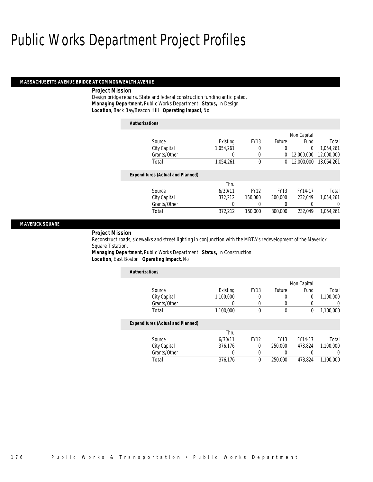#### *MASSACHUSETTS AVENUE BRIDGE AT COMMONWEALTH AVENUE*

#### *Project Mission*

Design bridge repairs. State and federal construction funding anticipated. *Managing Department,* Public Works Department *Status,* In Design*Location,* Back Bay/Beacon Hill *Operating Impact,* No

| <b>Authorizations</b>                    |           |             |             |                |            |
|------------------------------------------|-----------|-------------|-------------|----------------|------------|
|                                          |           |             |             | Non Capital    |            |
| Source                                   | Existing  | <b>FY13</b> | Future      | Fund           | Total      |
| City Capital                             | 1.054.261 | 0           | 0           | $\overline{0}$ | 1,054,261  |
| Grants/Other                             | 0         | 0           | 0           | 12,000,000     | 12,000,000 |
| Total                                    | 1,054,261 | 0           | 0           | 12,000,000     | 13,054,261 |
| <b>Expenditures (Actual and Planned)</b> |           |             |             |                |            |
|                                          | Thru      |             |             |                |            |
| Source                                   | 6/30/11   | <b>FY12</b> | <b>FY13</b> | FY14-17        | Total      |
| City Capital                             | 372.212   | 150,000     | 300,000     | 232.049        | 1.054.261  |
| Grants/Other                             | 0         | 0           | 0           |                | 0          |
| Total                                    | 372,212   | 150,000     | 300,000     | 232.049        | 1,054,261  |

#### *MAVERICK SQUARE*

#### *Project Mission*

Reconstruct roads, sidewalks and street lighting in conjunction with the MBTA's redevelopment of the Maverick Square T station.

*Managing Department,* Public Works Department *Status,* In Construction*Location,* East Boston *Operating Impact,* No

| <b>Authorizations</b>                    |                  |             |             |                |           |
|------------------------------------------|------------------|-------------|-------------|----------------|-----------|
|                                          |                  |             |             | Non Capital    |           |
| Source                                   | Existing         | <b>FY13</b> | Future      | Fund           | Total     |
| City Capital                             | 1,100,000        | 0           | 0           | $\overline{0}$ | 1,100,000 |
| Grants/Other                             |                  | 0           |             | 0              |           |
| Total                                    | 1,100,000        | $\theta$    | $\mathbf 0$ | 0              | 1,100,000 |
| <b>Expenditures (Actual and Planned)</b> |                  |             |             |                |           |
|                                          | Thru             |             |             |                |           |
| Source                                   | 6/30/11          | <b>FY12</b> | <b>FY13</b> | FY14-17        | Total     |
| City Capital                             | 376.176          | $\Omega$    | 250,000     | 473.824        | 1.100.000 |
| Grants/Other                             | $\left( \right)$ | 0           | 0           | 0              |           |
| Total                                    | 376,176          | $\theta$    | 250,000     | 473.824        | 1,100,000 |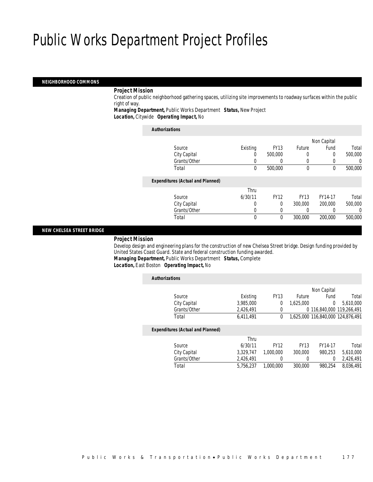#### *NEIGHBORHOOD COMMONS*

#### *Project Mission*

 Creation of public neighborhood gathering spaces, utilizing site improvements to roadway surfaces within the public right of way.

*Managing Department,* Public Works Department *Status,* New Project*Location,* Citywide *Operating Impact,* No

| <b>Authorizations</b>           |          |             |        |
|---------------------------------|----------|-------------|--------|
| Source                          | Existing | <b>FY13</b> | Future |
| C <sub>in</sub> C <sub>on</sub> | $\cap$   | EOO OOO     | $\cap$ |

| Source                                   | Existing | <b>FY13</b> | Future      | Fund    | Total    |
|------------------------------------------|----------|-------------|-------------|---------|----------|
| City Capital                             |          | 500,000     | 0           |         | 500,000  |
| Grants/Other                             |          |             | 0           |         | 0        |
| Total                                    | 0        | 500,000     | 0           | 0       | 500,000  |
| <b>Expenditures (Actual and Planned)</b> |          |             |             |         |          |
|                                          | Thru     |             |             |         |          |
| Source                                   | 6/30/11  | <b>FY12</b> | <b>FY13</b> | FY14-17 | Total    |
| City Capital                             | 0        | 0           | 300,000     | 200,000 | 500,000  |
| Grants/Other                             |          |             |             |         | $\Omega$ |
| Total                                    | 0        |             | 300,000     | 200,000 | 500,000  |

Non Capital

#### *NEW CHELSEA STREET BRIDGE*

#### *Project Mission*

 Develop design and engineering plans for the construction of new Chelsea Street bridge. Design funding provided by United States Coast Guard. State and federal construction funding awarded. *Managing Department,* Public Works Department *Status,* Complete

*Location,* East Boston *Operating Impact,* No

| <b>Authorizations</b>                    |           |             |             |                                   |           |
|------------------------------------------|-----------|-------------|-------------|-----------------------------------|-----------|
|                                          |           |             |             | Non Capital                       |           |
| Source                                   | Existing  | <b>FY13</b> | Future      | Fund                              | Total     |
| City Capital                             | 3.985.000 | 0           | 1.625.000   | $\overline{0}$                    | 5.610.000 |
| Grants/Other                             | 2.426.491 | 0           |             | 0 116.840.000 119.266.491         |           |
| Total                                    | 6.411.491 | 0           |             | 1.625.000 116.840.000 124.876.491 |           |
| <b>Expenditures (Actual and Planned)</b> |           |             |             |                                   |           |
|                                          | Thru      |             |             |                                   |           |
| Source                                   | 6/30/11   | <b>FY12</b> | <b>FY13</b> | FY14-17                           | Total     |
| City Capital                             | 3.329.747 | 1,000,000   | 300,000     | 980.253                           | 5,610,000 |
| Grants/Other                             | 2,426,491 | 0           | 0           | 0                                 | 2,426,491 |
| Total                                    | 5.756.237 | 1.000.000   | 300,000     | 980.254                           | 8.036.491 |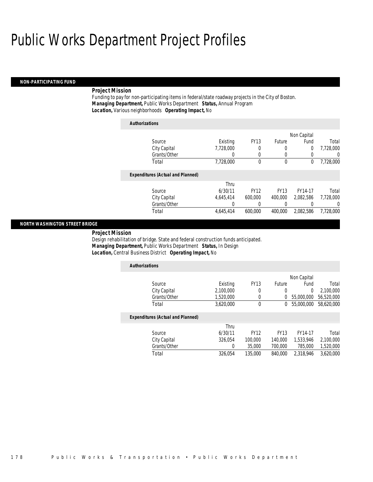#### *NON-PARTICIPATING FUND*

### *Project Mission*

Funding to pay for non-participating items in federal/state roadway projects in the City of Boston. *Managing Department,* Public Works Department *Status,* Annual Program*Location,* Various neighborhoods *Operating Impact,* No

| <b>Authorizations</b>                    |           |             |             |                |                  |
|------------------------------------------|-----------|-------------|-------------|----------------|------------------|
|                                          |           |             |             | Non Capital    |                  |
| Source                                   | Existing  | <b>FY13</b> | Future      | Fund           | Total            |
| City Capital                             | 7.728.000 | 0           | 0           | $\overline{0}$ | 7.728.000        |
| Grants/Other                             | 0         | 0           | 0           | 0              | $\left( \right)$ |
| Total                                    | 7,728,000 | 0           | $\mathbf 0$ | 0              | 7,728,000        |
| <b>Expenditures (Actual and Planned)</b> |           |             |             |                |                  |
|                                          | Thru      |             |             |                |                  |
| Source                                   | 6/30/11   | <b>FY12</b> | <b>FY13</b> | FY14-17        | Total            |
| City Capital                             | 4.645.414 | 600,000     | 400,000     | 2,082,586      | 7,728,000        |
| Grants/Other                             | 0         | 0           | 0           | 0              | 0                |
| Total                                    | 4.645.414 | 600.000     | 400,000     | 2.082.586      | 7.728.000        |

#### *NORTH WASHINGTON STREET BRIDGE*

*Project Mission* 

Design rehabilitation of bridge. State and federal construction funds anticipated. *Managing Department,* Public Works Department *Status,* In Design*Location,* Central Business District *Operating Impact,* No

| <b>Authorizations</b>                    |           |             |             |                |            |
|------------------------------------------|-----------|-------------|-------------|----------------|------------|
|                                          |           |             |             | Non Capital    |            |
| Source                                   | Existing  | <b>FY13</b> | Future      | Fund           | Total      |
| City Capital                             | 2.100.000 | 0           | 0           | $\overline{0}$ | 2.100.000  |
| Grants/Other                             | 1.520.000 | $\mathbf 0$ | 0           | 55,000,000     | 56.520.000 |
| Total                                    | 3,620,000 | $\theta$    | 0           | 55,000,000     | 58.620.000 |
| <b>Expenditures (Actual and Planned)</b> |           |             |             |                |            |
|                                          | Thru      |             |             |                |            |
| Source                                   | 6/30/11   | <b>FY12</b> | <b>FY13</b> | FY14-17        | Total      |
| City Capital                             | 326.054   | 100,000     | 140,000     | 1.533.946      | 2.100.000  |
| Grants/Other                             | 0         | 35,000      | 700,000     | 785,000        | 1,520,000  |
| Total                                    | 326.054   | 135,000     | 840,000     | 2.318.946      | 3.620.000  |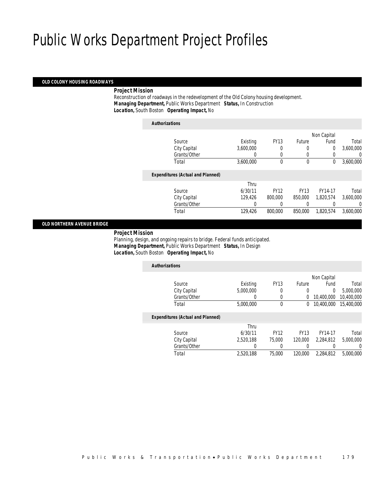#### *OLD COLONY HOUSING ROADWAYS*

#### *Project Mission*

 Reconstruction of roadways in the redevelopment of the Old Colony housing development. *Managing Department,* Public Works Department *Status,* In Construction*Location,* South Boston *Operating Impact,* No

|                                          |           |             |             | Non Capital |           |
|------------------------------------------|-----------|-------------|-------------|-------------|-----------|
| Source                                   | Existing  | <b>FY13</b> | Future      | Fund        | Total     |
| City Capital                             | 3,600,000 | 0           | 0           | $\mathbf 0$ | 3,600,000 |
| Grants/Other                             | U         | $\Omega$    | 0           | 0           |           |
| Total                                    | 3,600,000 | $\theta$    | 0           | 0           | 3,600,000 |
| <b>Expenditures (Actual and Planned)</b> |           |             |             |             |           |
|                                          | Thru      |             |             |             |           |
| Source                                   | 6/30/11   | <b>FY12</b> | <b>FY13</b> | FY14-17     | Total     |
|                                          | 129.426   | 800,000     | 850,000     | 1.820.574   | 3.600.000 |
| City Capital                             |           |             |             |             |           |
| Grants/Other                             |           |             | 0           |             |           |

#### *OLD NORTHERN AVENUE BRIDGE*

#### *Project Mission*

 Planning, design, and ongoing repairs to bridge. Federal funds anticipated. *Managing Department,* Public Works Department *Status,* In Design*Location,* South Boston *Operating Impact,* No

| <b>Authorizations</b> |                                          |           |             |             |             |            |
|-----------------------|------------------------------------------|-----------|-------------|-------------|-------------|------------|
|                       |                                          |           |             |             | Non Capital |            |
|                       | Source                                   | Existing  | <b>FY13</b> | Future      | Fund        | Total      |
|                       | City Capital                             | 5,000,000 | 0           | 0           | 0           | 5,000,000  |
|                       | Grants/Other                             |           | 0           | 0           | 10,400,000  | 10,400,000 |
| Total                 |                                          | 5,000,000 | 0           | 0           | 10,400,000  | 15,400,000 |
|                       | <b>Expenditures (Actual and Planned)</b> |           |             |             |             |            |
|                       |                                          | Thru      |             |             |             |            |
|                       | Source                                   | 6/30/11   | <b>FY12</b> | <b>FY13</b> | FY14-17     | Total      |
|                       | City Capital                             | 2.520.188 | 75,000      | 120,000     | 2.284.812   | 5,000,000  |
|                       | Grants/Other                             | 0         | 0           | 0           |             | 0          |
| Total                 |                                          | 2,520,188 | 75,000      | 120,000     | 2.284.812   | 5,000,000  |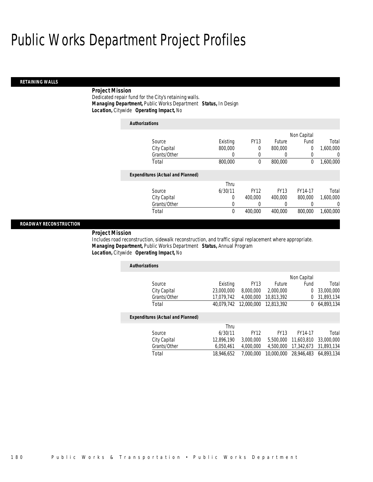#### *RETAINING WALLS*

## *Project Mission*

Dedicated repair fund for the City's retaining walls. *Managing Department,* Public Works Department *Status,* In Design*Location,* Citywide *Operating Impact,* No

| <b>Authorizations</b>                    |                |             |             |             |           |
|------------------------------------------|----------------|-------------|-------------|-------------|-----------|
|                                          |                |             |             | Non Capital |           |
| Source                                   | Existing       | <b>FY13</b> | Future      | Fund        | Total     |
| City Capital                             | 800,000        | 0           | 800,000     | 0           | 1,600,000 |
| Grants/Other                             | 0              | 0           | 0           | 0           | 0         |
| Total                                    | 800,000        | $\theta$    | 800,000     | 0           | 1,600,000 |
| <b>Expenditures (Actual and Planned)</b> |                |             |             |             |           |
|                                          | Thru           |             |             |             |           |
| Source                                   | 6/30/11        | <b>FY12</b> | <b>FY13</b> | FY14-17     | Total     |
| City Capital                             | $\overline{0}$ | 400,000     | 400,000     | 800,000     | 1.600.000 |
| Grants/Other                             | 0              |             | 0           |             | 0         |
| Total                                    | 0              | 400.000     | 400,000     | 800,000     | 1,600,000 |

#### *ROADWAY RECONSTRUCTION*

*Project Mission* 

Includes road reconstruction, sidewalk reconstruction, and traffic signal replacement where appropriate. *Managing Department,* Public Works Department *Status,* Annual Program*Location,* Citywide *Operating Impact,* No

| <b>Authorizations</b>                    |            |             |               |             |            |
|------------------------------------------|------------|-------------|---------------|-------------|------------|
|                                          |            |             |               | Non Capital |            |
| Source                                   | Existing   | <b>FY13</b> | <b>Future</b> | Fund        | Total      |
| City Capital                             | 23,000,000 | 8,000,000   | 2,000,000     | 0           | 33,000,000 |
| Grants/Other                             | 17.079.742 | 4,000,000   | 10,813,392    | 0           | 31,893,134 |
| Total                                    | 40.079.742 | 12,000,000  | 12,813,392    | $^{0}$      | 64,893,134 |
| <b>Expenditures (Actual and Planned)</b> |            |             |               |             |            |
|                                          | Thru       |             |               |             |            |
| Source                                   | 6/30/11    | <b>FY12</b> | <b>FY13</b>   | FY14-17     | Total      |
| City Capital                             | 12,896,190 | 3,000,000   | 5.500.000     | 11.603.810  | 33,000,000 |
| Grants/Other                             | 6.050.461  | 4,000,000   | 4.500.000     | 17.342.673  | 31,893,134 |
| Total                                    | 18.946.652 | 7.000.000   | 10,000,000    | 28,946,483  | 64.893.134 |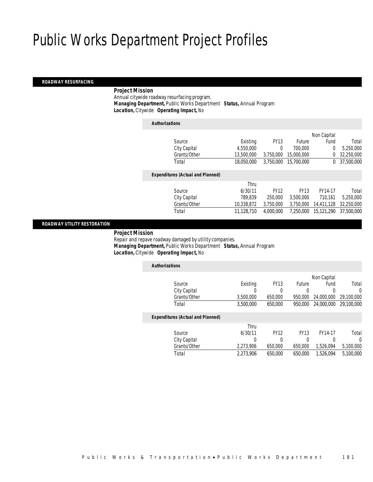#### *ROADWAY RESURFACING*

### *Project Mission*

 Annual citywide roadway resurfacing program. *Managing Department,* Public Works Department *Status,* Annual Program*Location,* Citywide *Operating Impact,* No

| <b>Authorizations</b>                    |            |             |               |             |            |
|------------------------------------------|------------|-------------|---------------|-------------|------------|
|                                          |            |             |               | Non Capital |            |
| Source                                   | Existing   | <b>FY13</b> | <b>Future</b> | Fund        | Total      |
| City Capital                             | 4,550,000  | $\theta$    | 700,000       | 0           | 5,250,000  |
| Grants/Other                             | 13,500,000 | 3,750,000   | 15,000,000    | 0           | 32,250,000 |
| Total                                    | 18,050,000 | 3.750.000   | 15,700,000    | $^{0}$      | 37.500.000 |
| <b>Expenditures (Actual and Planned)</b> |            |             |               |             |            |
|                                          | Thru       |             |               |             |            |
| Source                                   | 6/30/11    | <b>FY12</b> | <b>FY13</b>   | FY14-17     | Total      |
| City Capital                             | 789.839    | 250,000     | 3.500.000     | 710.161     | 5,250,000  |
| Grants/Other                             | 10,338,872 | 3,750,000   | 3.750.000     | 14,411,128  | 32,250,000 |
| Total                                    | 11,128,710 | 4.000.000   | 7.250.000     | 15.121.290  | 37.500.000 |
|                                          |            |             |               |             |            |

### *ROADWAY UTILITY RESTORATION*

#### *Project Mission*

 Repair and repave roadway damaged by utility companies. *Managing Department,* Public Works Department *Status,* Annual Program*Location,* Citywide *Operating Impact,* No

| <b>Authorizations</b>                    |           |             |             |             |            |
|------------------------------------------|-----------|-------------|-------------|-------------|------------|
|                                          |           |             |             | Non Capital |            |
| Source                                   | Existing  | <b>FY13</b> | Future      | Fund        | Total      |
| City Capital                             | 0         | 0           | 0           | 0           | 0          |
| Grants/Other                             | 3.500.000 | 650,000     | 950.000     | 24,000,000  | 29,100,000 |
| Total                                    | 3.500.000 | 650,000     | 950.000     | 24,000,000  | 29,100,000 |
| <b>Expenditures (Actual and Planned)</b> |           |             |             |             |            |
|                                          | Thru      |             |             |             |            |
| Source                                   | 6/30/11   | <b>FY12</b> | <b>FY13</b> | FY14-17     | Total      |
| City Capital                             | 0         | 0           | 0           | 0           | 0          |
| Grants/Other                             | 2,273,906 | 650,000     | 650.000     | 1,526,094   | 5,100,000  |
| Total                                    | 2.273.906 | 650.000     | 650,000     | 1.526.094   | 5,100,000  |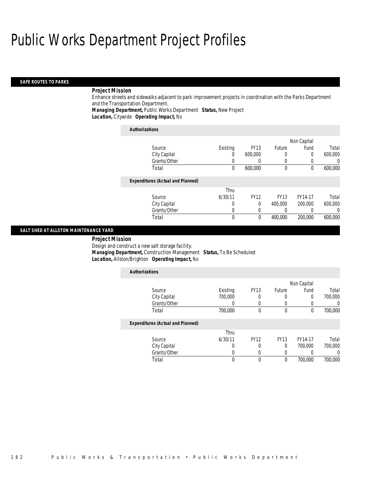#### *SAFE ROUTES TO PARKS*

#### *Project Mission*

Enhance streets and sidewalks adjacent to park improvement projects in coordination with the Parks Department and the Transportation Department.

*Managing Department,* Public Works Department *Status,* New Project*Location,* Citywide *Operating Impact,* No

| <b>Authorizations</b>                    |          |             |             |             |         |
|------------------------------------------|----------|-------------|-------------|-------------|---------|
|                                          |          |             |             | Non Capital |         |
| Source                                   | Existing | <b>FY13</b> | Future      | Fund        | Total   |
| City Capital                             | 0        | 600,000     | 0           | $\Omega$    | 600,000 |
| Grants/Other                             | 0        |             | 0           | 0           |         |
| Total                                    | $\theta$ | 600,000     | $\mathbf 0$ | $\theta$    | 600,000 |
| <b>Expenditures (Actual and Planned)</b> |          |             |             |             |         |
|                                          | Thru     |             |             |             |         |
| Source                                   | 6/30/11  | <b>FY12</b> | <b>FY13</b> | FY14-17     | Total   |
| City Capital                             | 0        | 0           | 400,000     | 200,000     | 600,000 |
| Grants/Other                             | 0        | 0           |             | 0           | 0       |
| Total                                    | 0        | $\Omega$    | 400,000     | 200,000     | 600,000 |

### *SALT SHED AT ALLSTON MAINTENANCE YARD*

*Project Mission* 

Design and construct a new salt storage facility.

*Managing Department,* Construction Management *Status,* To Be Scheduled

 *Location,* Allston/Brighton *Operating Impact,* No *Authorizations*

| <b>Authorizations</b>                    |                  |             |             |             |                  |
|------------------------------------------|------------------|-------------|-------------|-------------|------------------|
|                                          |                  |             |             | Non Capital |                  |
| Source                                   | Existing         | <b>FY13</b> | Future      | Fund        | Total            |
| City Capital                             | 700,000          | 0           |             | 0           | 700,000          |
| Grants/Other                             | $\left( \right)$ | 0           |             |             | $\cup$           |
| Total                                    | 700,000          | 0           | $\theta$    | $\theta$    | 700,000          |
| <b>Expenditures (Actual and Planned)</b> |                  |             |             |             |                  |
|                                          | Thru             |             |             |             |                  |
| Source                                   | 6/30/11          | <b>FY12</b> | <b>FY13</b> | FY14-17     | Total            |
| City Capital                             | 0                | 0           | 0           | 700,000     | 700,000          |
| Grants/Other                             | 0                | $\left($    |             |             | $\left( \right)$ |
| Total                                    | 0                | 0           | $\theta$    | 700.000     | 700,000          |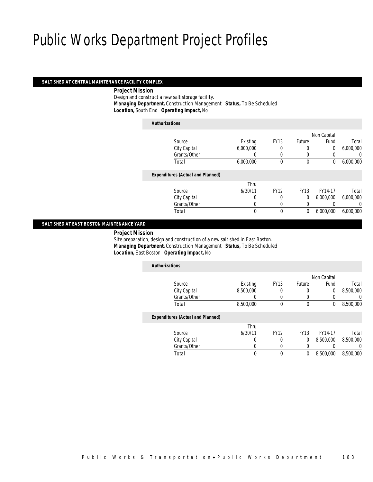#### *SALT SHED AT CENTRAL MAINTENANCE FACILITY COMPLEX*

#### *Project Mission*

 Design and construct a new salt storage facility. *Managing Department,* Construction Management *Status,* To Be Scheduled*Location,* South End *Operating Impact,* No

| <b>Authorizations</b>                    |           |              |              |             |                  |
|------------------------------------------|-----------|--------------|--------------|-------------|------------------|
|                                          |           |              |              | Non Capital |                  |
| Source                                   | Existing  | <b>FY13</b>  | Future       | Fund        | Total            |
| City Capital                             | 6,000,000 | 0            | 0            | 0           | 6,000,000        |
| Grants/Other                             |           |              | $\left($     |             | 0                |
| Total                                    | 6,000,000 | $\theta$     | $\mathbf 0$  | 0           | 6,000,000        |
| <b>Expenditures (Actual and Planned)</b> |           |              |              |             |                  |
|                                          | Thru      |              |              |             |                  |
| Source                                   | 6/30/11   | <b>FY12</b>  | <b>FY13</b>  | FY14-17     | Total            |
| City Capital                             | 0         | 0            | 0            | 6,000,000   | 6,000,000        |
| Grants/Other                             | 0         | 0            | 0            |             | $\left( \right)$ |
| Total                                    | 0         | $\mathbf{0}$ | $\mathbf{0}$ | 6,000,000   | 6,000,000        |

### *SALT SHED AT EAST BOSTON MAINTENANCE YARD*

*Project Mission*

 Site preparation, design and construction of a new salt shed in East Boston. *Managing Department,* Construction Management *Status,* To Be Scheduled*Location,* East Boston *Operating Impact,* No

| <b>Authorizations</b>                    |           |             |             |             |                  |
|------------------------------------------|-----------|-------------|-------------|-------------|------------------|
|                                          |           |             |             | Non Capital |                  |
| Source                                   | Existing  | <b>FY13</b> | Future      | Fund        | Total            |
| City Capital                             | 8,500,000 |             | 0           | 0           | 8,500,000        |
| Grants/Other                             | 0         |             | 0           |             | $\left( \right)$ |
| Total                                    | 8,500,000 | 0           | 0           | 0           | 8,500,000        |
| <b>Expenditures (Actual and Planned)</b> |           |             |             |             |                  |
|                                          | Thru      |             |             |             |                  |
| Source                                   | 6/30/11   | <b>FY12</b> | <b>FY13</b> | FY14-17     | Total            |
| City Capital                             | 0         | 0           | 0           | 8.500.000   | 8.500.000        |
| Grants/Other                             | 0         | 0           | 0           |             | 0                |
| Total                                    | 0         | 0           | 0           | 8,500,000   | 8,500,000        |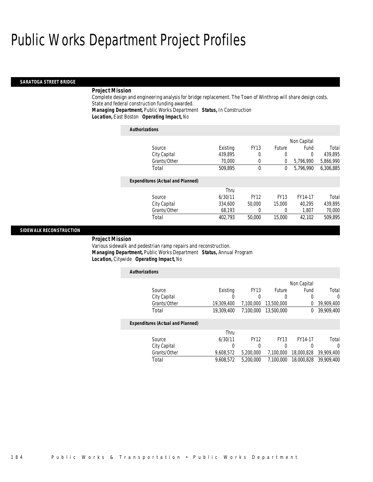#### *SARATOGA STREET BRIDGE*

#### *Project Mission*

Complete design and engineering analysis for bridge replacement. The Town of Winthrop will share design costs. State and federal construction funding awarded.

*Managing Department,* Public Works Department *Status,* In Construction

*Location,* East Boston *Operating Impact,* No

| <b>Authorizations</b>                    |          |             |             |             |           |
|------------------------------------------|----------|-------------|-------------|-------------|-----------|
|                                          |          |             |             | Non Capital |           |
| Source                                   | Existing | <b>FY13</b> | Future      | Fund        | Total     |
| City Capital                             | 439.895  | 0           | 0           | $\Omega$    | 439.895   |
| Grants/Other                             | 70,000   | 0           | 0           | 5,796,990   | 5,866,990 |
| Total                                    | 509.895  | $\theta$    | 0           | 5.796.990   | 6,306,885 |
| <b>Expenditures (Actual and Planned)</b> |          |             |             |             |           |
|                                          | Thru     |             |             |             |           |
| Source                                   | 6/30/11  | <b>FY12</b> | <b>FY13</b> | FY14-17     | Total     |
| City Capital                             | 334,600  | 50,000      | 15,000      | 40.295      | 439,895   |
| Grants/Other                             | 68,193   | 0           | 0           | 1,807       | 70,000    |
| Total                                    | 402.793  | 50,000      | 15,000      | 42.102      | 509.895   |

#### *SIDEWALK RECONSTRUCTION*

#### *Project Mission*

Various sidewalk and pedestrian ramp repairs and reconstruction. *Managing Department,* Public Works Department *Status,* Annual Program*Location,* Citywide *Operating Impact,* No

| <b>Authorizations</b>                    |            |             |             |             |            |
|------------------------------------------|------------|-------------|-------------|-------------|------------|
|                                          |            |             |             | Non Capital |            |
| Source                                   | Existing   | <b>FY13</b> | Future      | Fund        | Total      |
| City Capital                             |            | 0           | 0           | 0           |            |
| Grants/Other                             | 19,309,400 | 7.100.000   | 13,500,000  | 0           | 39,909,400 |
| Total                                    | 19,309,400 | 7.100.000   | 13,500,000  | 0           | 39,909,400 |
| <b>Expenditures (Actual and Planned)</b> |            |             |             |             |            |
|                                          | Thru       |             |             |             |            |
| Source                                   | 6/30/11    | <b>FY12</b> | <b>FY13</b> | FY14-17     | Total      |
| City Capital                             |            | 0           | 0           | 0           |            |
| Grants/Other                             | 9,608,572  | 5,200,000   | 7.100.000   | 18,000,828  | 39,909,400 |
| Total                                    | 9,608,572  | 5.200.000   | 7.100.000   | 18,000,828  | 39,909,400 |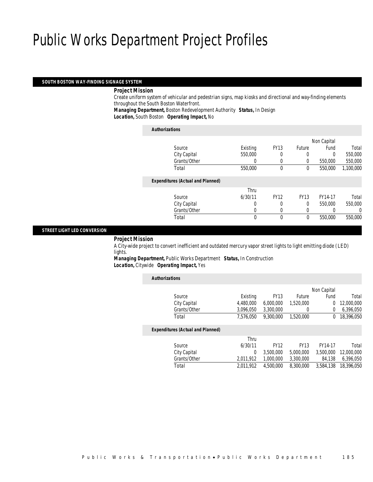#### *SOUTH BOSTON WAY-FINDING SIGNAGE SYSTEM*

#### *Project Mission*

 Create uniform system of vehicular and pedestrian signs, map kiosks and directional and way-finding elements throughout the South Boston Waterfront.

*Managing Department,* Boston Redevelopment Authority *Status,* In Design*Location,* South Boston *Operating Impact,* No

| <b>Authorizations</b>                    |          |              |             |             |           |
|------------------------------------------|----------|--------------|-------------|-------------|-----------|
|                                          |          |              |             | Non Capital |           |
| Source                                   | Existing | <b>FY13</b>  | Future      | Fund        | Total     |
| City Capital                             | 550,000  | 0            | 0           | 0           | 550,000   |
| Grants/Other                             | 0        | 0            | 0           | 550,000     | 550,000   |
| Total                                    | 550,000  | $\mathbf{0}$ | 0           | 550,000     | 1,100,000 |
| <b>Expenditures (Actual and Planned)</b> |          |              |             |             |           |
|                                          | Thru     |              |             |             |           |
| Source                                   | 6/30/11  | <b>FY12</b>  | <b>FY13</b> | FY14-17     | Total     |
| City Capital                             | 0        | 0            | $\Omega$    | 550,000     | 550,000   |
| Grants/Other                             | 0        | 0            | 0           |             | 0         |
| Total                                    | 0        | $\theta$     | $\theta$    | 550,000     | 550,000   |
|                                          |          |              |             |             |           |

#### *STREET LIGHT LED CONVERSION*

*Project Mission*

 A City-wide project to convert inefficient and outdated mercury vapor street lights to light emitting diode (LED) lights.

*Managing Department,* Public Works Department *Status,* In Construction*Location,* Citywide *Operating Impact,* Yes

| <b>Authorizations</b> |                                          |           |                        |                        |            |
|-----------------------|------------------------------------------|-----------|------------------------|------------------------|------------|
|                       |                                          |           |                        | Non Capital            |            |
| Source                |                                          | Existing  | <b>FY13</b>            | Future<br>Fund         | Total      |
|                       | City Capital                             | 4.480.000 | 6.000.000<br>1.520.000 | $\Omega$               | 12,000,000 |
|                       | Grants/Other                             | 3,096,050 | 3,300,000              | $\overline{0}$<br>0    | 6,396,050  |
| Total                 |                                          | 7.576.050 | 9.300.000<br>1,520,000 | $\Omega$               | 18,396,050 |
|                       | <b>Expenditures (Actual and Planned)</b> |           |                        |                        |            |
|                       |                                          | Thru      |                        |                        |            |
| Source                |                                          | 6/30/11   | <b>FY12</b>            | <b>FY13</b><br>FY14-17 | Total      |
|                       | City Capital                             | 0         | 3.500.000<br>5,000,000 | 3,500,000              | 12,000,000 |
|                       | Grants/Other                             | 2,011,912 | 1,000,000<br>3.300.000 | 84,138                 | 6,396,050  |
| Total                 |                                          | 2.011.912 | 4.500.000<br>8.300.000 | 3.584.138              | 18.396.050 |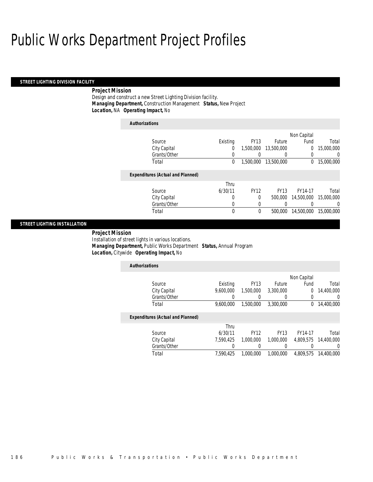#### *STREET LIGHTING DIVISION FACILITY*

### *Project Mission*

Design and construct a new Street Lighting Division facility. *Managing Department,* Construction Management *Status,* New Project*Location,* NA *Operating Impact,* No

| <b>Authorizations</b>                    |          |             |             |             |            |
|------------------------------------------|----------|-------------|-------------|-------------|------------|
|                                          |          |             |             | Non Capital |            |
| Source                                   | Existing | <b>FY13</b> | Future      | Fund        | Total      |
| City Capital                             | 0        | 1.500.000   | 13,500,000  | 0           | 15,000,000 |
| Grants/Other                             |          |             | 0           |             | 0          |
| Total                                    | 0        | 1,500,000   | 13,500,000  | 0           | 15,000,000 |
| <b>Expenditures (Actual and Planned)</b> |          |             |             |             |            |
|                                          | Thru     |             |             |             |            |
| Source                                   | 6/30/11  | <b>FY12</b> | <b>FY13</b> | FY14-17     | Total      |
| City Capital                             | 0        | $\Omega$    | 500,000     | 14,500,000  | 15,000,000 |
| Grants/Other                             | 0        |             | 0           |             | 0          |
| Total                                    | 0        | 0           | 500,000     | 14,500,000  | 15,000,000 |
|                                          |          |             |             |             |            |

### *STREET LIGHTING INSTALLATION*

 *Project Mission* Installation of street lights in various locations. *Managing Department,* Public Works Department *Status,* Annual Program*Location,* Citywide *Operating Impact,* No

| <b>Authorizations</b>                    |           |             |             |             |            |  |  |
|------------------------------------------|-----------|-------------|-------------|-------------|------------|--|--|
|                                          |           |             |             | Non Capital |            |  |  |
| Source                                   | Existing  | <b>FY13</b> | Future      | Fund        | Total      |  |  |
| City Capital                             | 9,600,000 | 1,500,000   | 3,300,000   | 0           | 14,400,000 |  |  |
| Grants/Other                             |           | 0           | $\left($    | 0           |            |  |  |
| Total                                    | 9.600.000 | 1.500.000   | 3,300,000   | 0           | 14,400,000 |  |  |
| <b>Expenditures (Actual and Planned)</b> |           |             |             |             |            |  |  |
|                                          | Thru      |             |             |             |            |  |  |
| Source                                   | 6/30/11   | <b>FY12</b> | <b>FY13</b> | FY14-17     | Total      |  |  |
| City Capital                             | 7.590.425 | 1.000.000   | 1.000.000   | 4.809.575   | 14,400,000 |  |  |
| Grants/Other                             |           | 0           | 0           |             |            |  |  |
| Total                                    | 7.590.425 | 1.000.000   | 1.000.000   | 4.809.575   | 14,400,000 |  |  |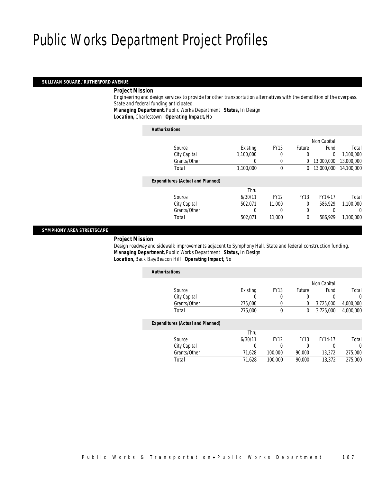#### *SULLIVAN SQUARE / RUTHERFORD AVENUE*

#### *Project Mission*

 Engineering and design services to provide for other transportation alternatives with the demolition of the overpass. State and federal funding anticipated.

*Managing Department,* Public Works Department *Status,* In Design

*Location,* Charlestown *Operating Impact,* No

| <b>Authorizations</b>                    |                  |             |               |             |            |
|------------------------------------------|------------------|-------------|---------------|-------------|------------|
|                                          |                  |             |               | Non Capital |            |
| Source                                   | Existing         | <b>FY13</b> | <b>Future</b> | Fund        | Total      |
| City Capital                             | 1,100,000        | 0           | 0             | $\Omega$    | 1,100,000  |
| Grants/Other                             | $\left( \right)$ | 0           | 0             | 13,000,000  | 13,000,000 |
| Total                                    | 1,100,000        | 0           | 0             | 13,000,000  | 14,100,000 |
| <b>Expenditures (Actual and Planned)</b> |                  |             |               |             |            |
|                                          | Thru             |             |               |             |            |
| Source                                   | 6/30/11          | <b>FY12</b> | <b>FY13</b>   | FY14-17     | Total      |
| City Capital                             | 502.071          | 11,000      | $\Omega$      | 586.929     | 1,100,000  |
| Grants/Other                             | 0                |             | 0             |             | 0          |
| Total                                    | 502,071          | 11,000      | $\theta$      | 586.929     | 1,100,000  |
|                                          |                  |             |               |             |            |

#### *SYMPHONY AREA STREETSCAPE*

*Project Mission*

 Design roadway and sidewalk improvements adjacent to Symphony Hall. State and federal construction funding. *Managing Department,* Public Works Department *Status,* In Design*Location,* Back Bay/Beacon Hill *Operating Impact,* No

| <b>Authorizations</b>                    |          |             |             |             |           |
|------------------------------------------|----------|-------------|-------------|-------------|-----------|
|                                          |          |             |             | Non Capital |           |
| Source                                   | Existing | <b>FY13</b> | Future      | Fund        | Total     |
| City Capital                             | 0        | 0           | 0           | 0           | $\Omega$  |
| Grants/Other                             | 275,000  | 0           | 0           | 3,725,000   | 4,000,000 |
| Total                                    | 275,000  | 0           | 0           | 3.725.000   | 4.000.000 |
| <b>Expenditures (Actual and Planned)</b> |          |             |             |             |           |
|                                          | Thru     |             |             |             |           |
| Source                                   | 6/30/11  | <b>FY12</b> | <b>FY13</b> | FY14-17     | Total     |
| City Capital                             | 0        | 0           | 0           | 0           | 0         |
| Grants/Other                             | 71,628   | 100,000     | 90,000      | 13,372      | 275,000   |
| Total                                    | 71,628   | 100,000     | 90,000      | 13,372      | 275,000   |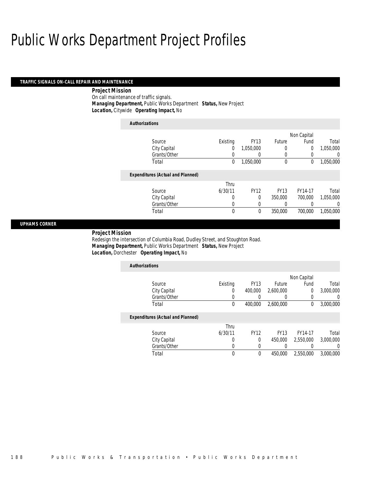#### *TRAFFIC SIGNALS ON-CALL REPAIR AND MAINTENANCE*

*Project Mission* 

On call maintenance of traffic signals.*Managing Department,* Public Works Department *Status,* New Project

*Location,* Citywide *Operating Impact,* No

| <b>Authorizations</b>                    |             |             |             |             |           |
|------------------------------------------|-------------|-------------|-------------|-------------|-----------|
|                                          |             |             |             | Non Capital |           |
| Source                                   | Existing    | <b>FY13</b> | Future      | Fund        | Total     |
| City Capital                             | 0           | 1,050,000   | 0           | 0           | 1,050,000 |
| Grants/Other                             | 0           | 0           | 0           | 0           | 0         |
| Total                                    | 0           | 1,050,000   | 0           | 0           | 1,050,000 |
| <b>Expenditures (Actual and Planned)</b> |             |             |             |             |           |
|                                          | Thru        |             |             |             |           |
| Source                                   | 6/30/11     | <b>FY12</b> | <b>FY13</b> | FY14-17     | Total     |
| City Capital                             | 0           | $\Omega$    | 350,000     | 700,000     | 1.050.000 |
| Grants/Other                             |             | 0           | 0           |             | 0         |
| Total                                    | $\mathbf 0$ | 0           | 350,000     | 700,000     | 1.050.000 |

#### *UPHAMS CORNER*

*Project Mission* 

Redesign the intersection of Columbia Road, Dudley Street, and Stoughton Road. *Managing Department,* Public Works Department *Status,* New Project*Location,* Dorchester *Operating Impact,* No

| <b>Authorizations</b>                    |          |             |             |             |                  |
|------------------------------------------|----------|-------------|-------------|-------------|------------------|
|                                          |          |             |             | Non Capital |                  |
| Source                                   | Existing | <b>FY13</b> | Future      | Fund        | Total            |
| City Capital                             | 0        | 400,000     | 2,600,000   | 0           | 3,000,000        |
| Grants/Other                             |          |             |             | 0           | 0                |
| Total                                    | 0        | 400,000     | 2,600,000   | 0           | 3,000,000        |
| <b>Expenditures (Actual and Planned)</b> |          |             |             |             |                  |
|                                          | Thru     |             |             |             |                  |
| Source                                   | 6/30/11  | <b>FY12</b> | <b>FY13</b> | FY14-17     | Total            |
| City Capital                             | 0        | $\Omega$    | 450,000     | 2,550,000   | 3,000,000        |
| Grants/Other                             | 0        | 0           |             | 0           | $\left( \right)$ |
| Total                                    | 0        | 0           | 450,000     | 2,550,000   | 3,000,000        |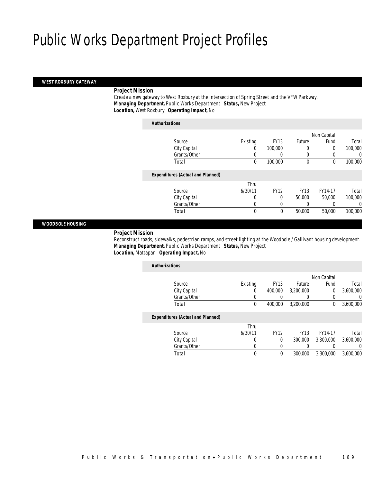#### *WEST ROXBURY GATEWAY*

#### *Project Mission*

 Create a new gateway to West Roxbury at the intersection of Spring Street and the VFW Parkway. *Managing Department,* Public Works Department *Status,* New Project*Location,* West Roxbury *Operating Impact,* No

|                                          |          |             |               | Non Capital |         |
|------------------------------------------|----------|-------------|---------------|-------------|---------|
| Source                                   | Existing | <b>FY13</b> | <b>Future</b> | Fund        | Total   |
| City Capital                             | 0        | 100,000     | 0             | 0           | 100,000 |
| Grants/Other                             | 0        |             | $\left($      | 0           | 0       |
| Total                                    | 0        | 100,000     | $\mathbf 0$   | 0           | 100,000 |
|                                          |          |             |               |             |         |
| <b>Expenditures (Actual and Planned)</b> |          |             |               |             |         |
|                                          | Thru     |             |               |             |         |
| Source                                   | 6/30/11  | <b>FY12</b> | <b>FY13</b>   | FY14-17     | Total   |
| City Capital                             | 0        | 0           | 50,000        | 50,000      | 100,000 |
| Grants/Other                             | 0        |             |               |             | 0       |
| Total                                    | 0        | 0           | 50,000        | 50,000      | 100,000 |
|                                          |          |             |               |             |         |

#### *WOODBOLE HOUSING*

#### *Project Mission*

 Reconstruct roads, sidewalks, pedestrian ramps, and street lighting at the Woodbole / Gallivant housing development. *Managing Department,* Public Works Department *Status,* New Project*Location,* Mattapan *Operating Impact,* No

| <b>Authorizations</b>                    |          |             |             |             |           |
|------------------------------------------|----------|-------------|-------------|-------------|-----------|
|                                          |          |             |             | Non Capital |           |
| Source                                   | Existing | <b>FY13</b> | Future      | Fund        | Total     |
| City Capital                             | 0        | 400,000     | 3.200.000   | 0           | 3,600,000 |
| Grants/Other                             |          |             |             |             | 0         |
| Total                                    | 0        | 400.000     | 3.200.000   | 0           | 3.600.000 |
| <b>Expenditures (Actual and Planned)</b> |          |             |             |             |           |
|                                          | Thru     |             |             |             |           |
| Source                                   | 6/30/11  | <b>FY12</b> | <b>FY13</b> | FY14-17     | Total     |
| City Capital                             | 0        | 0           | 300,000     | 3,300,000   | 3.600.000 |
| Grants/Other                             | 0        | 0           | 0           |             | 0         |
| Total                                    | 0        | 0           | 300,000     | 3,300,000   | 3.600.000 |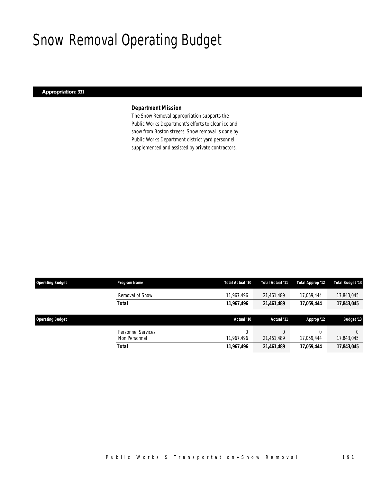# Snow Removal Operating Budget

### *Appropriation: 331*

## *Department Mission*

The Snow Removal appropriation supports the Public Works Department's efforts to clear ice and snow from Boston streets. Snow removal is done by Public Works Department district yard personnel supplemented and assisted by private contractors.

| <b>Operating Budget</b> | Program Name                        | Total Actual '10 | Total Actual '11 | Total Approp '12 | <b>Total Budget '13</b> |
|-------------------------|-------------------------------------|------------------|------------------|------------------|-------------------------|
|                         | Removal of Snow                     | 11,967,496       | 21,461,489       | 17.059.444       | 17,843,045              |
|                         | <b>Total</b>                        | 11,967,496       | 21,461,489       | 17,059,444       | 17,843,045              |
| <b>Operating Budget</b> |                                     | Actual '10       | Actual '11       |                  |                         |
|                         |                                     |                  |                  | Approp '12       | <b>Budget '13</b>       |
|                         | Personnel Services<br>Non Personnel | 11.967.496       | 21,461,489       | 17.059.444       | $\Omega$<br>17,843,045  |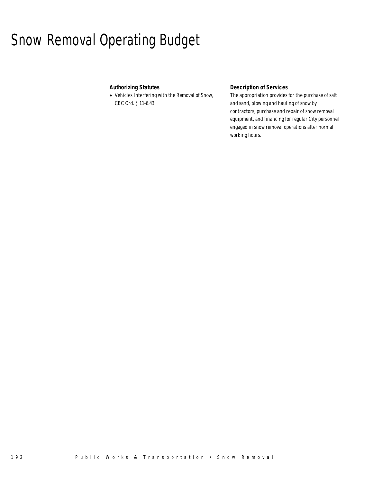# Snow Removal Operating Budget

## *Authorizing Statutes*

• Vehicles Interfering with the Removal of Snow, CBC Ord. § 11-6.43.

## *Description of Services*

The appropriation provides for the purchase of salt and sand, plowing and hauling of snow by contractors, purchase and repair of snow removal equipment, and financing for regular City personnel engaged in snow removal operations after normal working hours.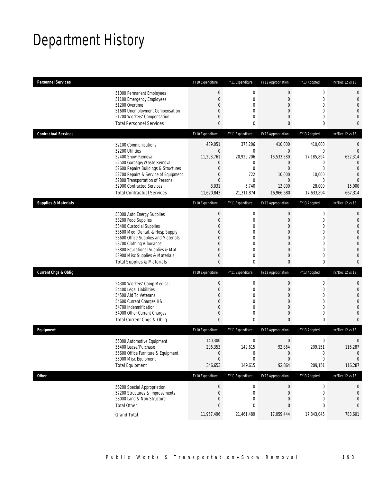# Department History

| <b>Personnel Services</b>                                                                                                                                                                                                                                                                            | FY10 Expenditure                                                                                          | FY11 Expenditure                                                        | FY12 Appropriation                                                                                                                         | FY13 Adopted                                                                                                                  | Inc/Dec 12 vs 13                                                                                                         |
|------------------------------------------------------------------------------------------------------------------------------------------------------------------------------------------------------------------------------------------------------------------------------------------------------|-----------------------------------------------------------------------------------------------------------|-------------------------------------------------------------------------|--------------------------------------------------------------------------------------------------------------------------------------------|-------------------------------------------------------------------------------------------------------------------------------|--------------------------------------------------------------------------------------------------------------------------|
| 51000 Permanent Employees<br>51100 Emergency Employees<br>51200 Overtime<br>51600 Unemployment Compensation<br>51700 Workers' Compensation                                                                                                                                                           | $\mathbf 0$<br>$\overline{0}$<br>0<br>0<br>0                                                              | 0<br>0<br>0<br>0<br>0                                                   | $\bf 0$<br>$\mathbf 0$<br>$\theta$<br>$\mathbf{0}$<br>$\overline{0}$                                                                       | $\boldsymbol{0}$<br>$\mathbf 0$<br>$\mathbf 0$<br>$\mathbf{0}$<br>$\mathbf{0}$                                                | 0<br>0<br>$\overline{0}$<br>0<br>0                                                                                       |
| <b>Total Personnel Services</b>                                                                                                                                                                                                                                                                      | 0                                                                                                         | 0                                                                       | $\mathbf{0}$                                                                                                                               | 0                                                                                                                             | 0                                                                                                                        |
| <b>Contractual Services</b>                                                                                                                                                                                                                                                                          | FY10 Expenditure                                                                                          | FY11 Expenditure                                                        | FY12 Appropriation                                                                                                                         | FY13 Adopted                                                                                                                  | Inc/Dec 12 vs 13                                                                                                         |
| 52100 Communications<br>52200 Utilities<br>52400 Snow Removal<br>52500 Garbage/Waste Removal<br>52600 Repairs Buildings & Structures<br>52700 Repairs & Service of Equipment<br>52800 Transportation of Persons<br>52900 Contracted Services<br><b>Total Contractual Services</b>                    | 409.051<br>$\mathbf 0$<br>11,203,761<br>0<br>$\overline{0}$<br>0<br>$\overline{0}$<br>8,031<br>11,620,843 | 376,206<br>0<br>20,929,206<br>0<br>0<br>722<br>0<br>5,740<br>21,311,874 | 410,000<br>$\mathbf 0$<br>16,533,580<br>$\mathbf 0$<br>$\overline{0}$<br>10,000<br>$\theta$<br>13,000<br>16,966,580                        | 410,000<br>0<br>17,185,894<br>0<br>$\overline{0}$<br>10,000<br>0<br>28,000<br>17,633,894                                      | 0<br>$\mathbf 0$<br>652,314<br>$\overline{0}$<br>$\overline{0}$<br>$\overline{0}$<br>$\overline{0}$<br>15,000<br>667,314 |
| <b>Supplies &amp; Materials</b>                                                                                                                                                                                                                                                                      | FY10 Expenditure                                                                                          | FY11 Expenditure                                                        | FY12 Appropriation                                                                                                                         | FY13 Adopted                                                                                                                  | Inc/Dec 12 vs 13                                                                                                         |
| 53000 Auto Energy Supplies<br>53200 Food Supplies<br>53400 Custodial Supplies<br>53500 Med, Dental, & Hosp Supply<br>53600 Office Supplies and Materials<br>53700 Clothing Allowance<br>53800 Educational Supplies & Mat<br>53900 Misc Supplies & Materials<br><b>Total Supplies &amp; Materials</b> | $\boldsymbol{0}$<br>$\mathbf 0$<br>0<br>$\mathbf{0}$<br>0<br>0<br>0<br>0<br>0                             | 0<br>0<br>0<br>0<br>0<br>0<br>0<br>0<br>0                               | $\boldsymbol{0}$<br>$\mathbf 0$<br>$\mathbf 0$<br>$\theta$<br>$\overline{0}$<br>$\overline{0}$<br>$\mathbf{0}$<br>$\theta$<br>$\mathbf{0}$ | $\mathbf 0$<br>$\mathbf 0$<br>$\mathbf{0}$<br>$\mathbf{0}$<br>$\mathbf{0}$<br>$\mathbf 0$<br>$\mathbf 0$<br>$\mathbf{0}$<br>0 | 0<br>$\mathbf 0$<br>$\overline{0}$<br>0<br>0<br>0<br>0<br>0<br>0                                                         |
| <b>Current Chgs &amp; Oblig</b>                                                                                                                                                                                                                                                                      | FY10 Expenditure                                                                                          | FY11 Expenditure                                                        | FY12 Appropriation                                                                                                                         | FY13 Adopted                                                                                                                  | Inc/Dec 12 vs 13                                                                                                         |
| 54300 Workers' Comp Medical<br>54400 Legal Liabilities<br>54500 Aid To Veterans<br>54600 Current Charges H&I<br>54700 Indemnification<br>54900 Other Current Charges<br>Total Current Chgs & Oblig                                                                                                   | $\boldsymbol{0}$<br>0<br>0<br>0<br>$\overline{0}$<br>0<br>0                                               | 0<br>0<br>0<br>0<br>0<br>0<br>0                                         | $\boldsymbol{0}$<br>$\theta$<br>$\theta$<br>$\overline{0}$<br>$\theta$<br>$\theta$<br>$\mathbf{0}$                                         | $\mathbf 0$<br>0<br>$\mathbf{0}$<br>$\mathbf{0}$<br>$\mathbf{0}$<br>$\mathbf 0$<br>0                                          | 0<br>$\mathbf 0$<br>$\overline{0}$<br>0<br>0<br>0<br>0                                                                   |
| Equipment                                                                                                                                                                                                                                                                                            | FY10 Expenditure                                                                                          | FY11 Expenditure                                                        | FY12 Appropriation                                                                                                                         | FY13 Adopted                                                                                                                  | Inc/Dec 12 vs 13                                                                                                         |
| 55000 Automotive Equipment<br>55400 Lease/Purchase<br>55600 Office Furniture & Equipment<br>55900 Misc Equipment<br><b>Total Equipment</b>                                                                                                                                                           | 140,300<br>206,353<br>$\boldsymbol{0}$<br>$\overline{0}$<br>346,653                                       | 0<br>149,615<br>0<br>0<br>149,615                                       | $\mathbf 0$<br>92,864<br>$\boldsymbol{0}$<br>$\overline{0}$<br>92,864                                                                      | 0<br>209.151<br>$\boldsymbol{0}$<br>0<br>209,151                                                                              | 0<br>116,287<br>$\mathbf{0}$<br>0<br>116,287                                                                             |
| <b>Other</b>                                                                                                                                                                                                                                                                                         | FY10 Expenditure                                                                                          | FY11 Expenditure                                                        | FY12 Appropriation                                                                                                                         | FY13 Adopted                                                                                                                  | Inc/Dec 12 vs 13                                                                                                         |
| 56200 Special Appropriation<br>57200 Structures & Improvements<br>58000 Land & Non-Structure<br><b>Total Other</b>                                                                                                                                                                                   | $\boldsymbol{0}$<br>0<br>0<br>0                                                                           | $\boldsymbol{0}$<br>0<br>0<br>0                                         | $\theta$<br>$\theta$<br>$\theta$<br>0                                                                                                      | 0<br>0<br>0<br>0                                                                                                              | 0<br>0<br>0<br>0                                                                                                         |
| <b>Grand Total</b>                                                                                                                                                                                                                                                                                   | 11,967,496                                                                                                | 21,461,489                                                              | 17,059,444                                                                                                                                 | 17,843,045                                                                                                                    | 783,601                                                                                                                  |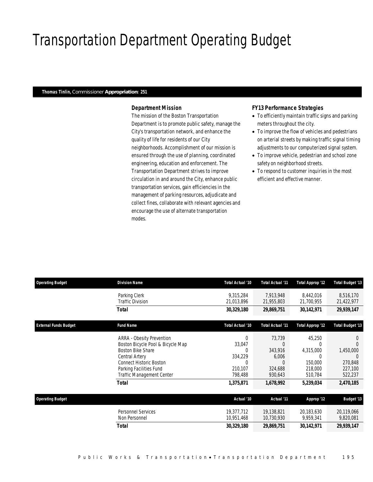# Transportation Department Operating Budget

#### *Thomas Tinlin, Commissioner Appropriation: 251*

### *Department Mission*

The mission of the Boston Transportation Department is to promote public safety, manage the City's transportation network, and enhance the quality of life for residents of our City neighborhoods. Accomplishment of our mission is ensured through the use of planning, coordinated engineering, education and enforcement. The Transportation Department strives to improve circulation in and around the City, enhance public transportation services, gain efficiencies in the management of parking resources, adjudicate and collect fines, collaborate with relevant agencies and encourage the use of alternate transportation modes.

#### *FY13 Performance Strategies*

- To efficiently maintain traffic signs and parking meters throughout the city.
- To improve the flow of vehicles and pedestrians on arterial streets by making traffic signal timing adjustments to our computerized signal system.
- To improve vehicle, pedestrian and school zone safety on neighborhood streets.
- To respond to customer inquiries in the most efficient and effective manner.

| <b>Operating Budget</b>      | <b>Division Name</b>                                                                                                                                                                                                                        | Total Actual '10                                                           | <b>Total Actual '11</b>                                            | Total Approp '12                                                       | <b>Total Budget '13</b>                                 |
|------------------------------|---------------------------------------------------------------------------------------------------------------------------------------------------------------------------------------------------------------------------------------------|----------------------------------------------------------------------------|--------------------------------------------------------------------|------------------------------------------------------------------------|---------------------------------------------------------|
|                              | Parking Clerk<br><b>Traffic Division</b>                                                                                                                                                                                                    | 9,315,284<br>21,013,896                                                    | 7,913,948<br>21,955,803                                            | 8,442,016<br>21,700,955                                                | 8,516,170<br>21,422,977                                 |
|                              | <b>Total</b>                                                                                                                                                                                                                                | 30,329,180                                                                 | 29,869,751                                                         | 30,142,971                                                             | 29,939,147                                              |
| <b>External Funds Budget</b> | <b>Fund Name</b>                                                                                                                                                                                                                            | Total Actual '10                                                           | <b>Total Actual '11</b>                                            | Total Approp '12                                                       | <b>Total Budget '13</b>                                 |
|                              | <b>ARRA - Obesity Prevention</b><br>Boston Bicycle Pool & Bicycle Map<br><b>Boston Bike Share</b><br><b>Central Artery</b><br><b>Connect Historic Boston</b><br>Parking Facilities Fund<br><b>Traffic Management Center</b><br><b>Total</b> | 0<br>33,047<br>0<br>334,229<br>$\Omega$<br>210,107<br>798,488<br>1,375,871 | 73,739<br>ſ<br>343,916<br>6,006<br>324,688<br>930,643<br>1,678,992 | 45,250<br>0<br>4,315,000<br>150,000<br>218,000<br>510,784<br>5,239,034 | 1,450,000<br>270,848<br>227,100<br>522,237<br>2,470,185 |
| <b>Operating Budget</b>      |                                                                                                                                                                                                                                             | Actual '10                                                                 | Actual '11                                                         | Approp '12                                                             | <b>Budget '13</b>                                       |
|                              | <b>Personnel Services</b><br>Non Personnel                                                                                                                                                                                                  | 19,377,712<br>10,951,468                                                   | 19,138,821<br>10,730,930                                           | 20,183,630<br>9,959,341                                                | 20,119,066<br>9,820,081                                 |
|                              | <b>Total</b>                                                                                                                                                                                                                                | 30,329,180                                                                 | 29,869,751                                                         | 30,142,971                                                             | 29,939,147                                              |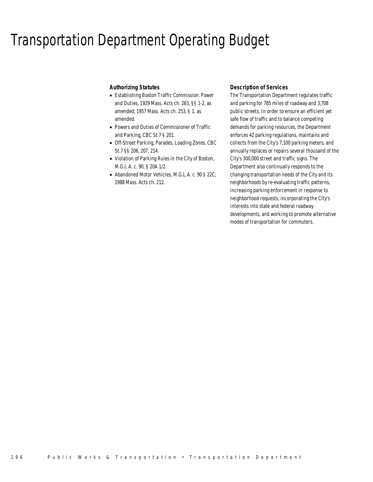## Transportation Department Operating Budget

### *Authorizing Statutes*

- Establishing Boston Traffic Commission: Power and Duties, 1929 Mass. Acts ch. 263, §§ 1-2, as amended; 1957 Mass. Acts ch. 253, § 1, as amended.
- Powers and Duties of Commissioner of Traffic and Parking, CBC St.7 § 201.
- Off-Street Parking, Parades, Loading Zones, CBC St.7 §§ 206, 207, 214.
- Violation of Parking Rules in the City of Boston, M.G.L.A. c. 90, § 20A 1/2.
- Abandoned Motor Vehicles, M.G.L.A. c. 90 § 22C; 1988 Mass. Acts ch. 212.

#### *Description of Services*

The Transportation Department regulates traffic and parking for 785 miles of roadway and 3,708 public streets. In order to ensure an efficient yet safe flow of traffic and to balance competing demands for parking resources, the Department enforces 42 parking regulations, maintains and collects from the City's 7,100 parking meters, and annually replaces or repairs several thousand of the City's 300,000 street and traffic signs. The Department also continually responds to the changing transportation needs of the City and its neighborhoods by re-evaluating traffic patterns, increasing parking enforcement in response to neighborhood requests, incorporating the City's interests into state and federal roadway developments, and working to promote alternative modes of transportation for commuters.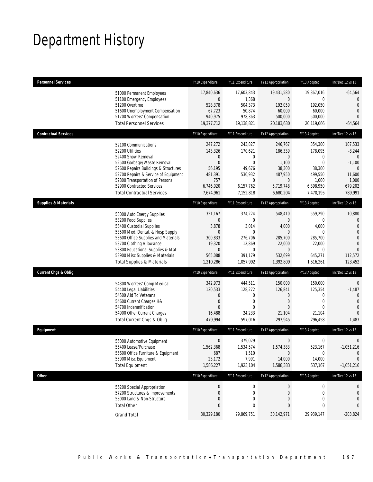# Department History

| <b>Personnel Services</b>                                                                                                                                                                                                                                                                            | FY10 Expenditure                                                                                  | FY11 Expenditure                                                                                        | FY12 Appropriation                                                                                         | FY13 Adopted                                                                                    | Inc/Dec 12 vs 13                                                                                                |
|------------------------------------------------------------------------------------------------------------------------------------------------------------------------------------------------------------------------------------------------------------------------------------------------------|---------------------------------------------------------------------------------------------------|---------------------------------------------------------------------------------------------------------|------------------------------------------------------------------------------------------------------------|-------------------------------------------------------------------------------------------------|-----------------------------------------------------------------------------------------------------------------|
| 51000 Permanent Employees<br>51100 Emergency Employees<br>51200 Overtime<br>51600 Unemployment Compensation<br>51700 Workers' Compensation<br><b>Total Personnel Services</b>                                                                                                                        | 17,840,636<br>$\mathbf 0$<br>528,378<br>67,723<br>940,975<br>19,377,712                           | 17,603,843<br>1,368<br>504,373<br>50,874<br>978,363<br>19,138,821                                       | 19,431,580<br>$\overline{0}$<br>192,050<br>60,000<br>500,000<br>20,183,630                                 | 19,367,016<br>$\overline{0}$<br>192,050<br>60,000<br>500,000<br>20,119,066                      | $-64,564$<br>$\overline{0}$<br>$\mathbf{0}$<br>$\overline{0}$<br>$\Omega$<br>$-64,564$                          |
| <b>Contractual Services</b>                                                                                                                                                                                                                                                                          | FY10 Expenditure                                                                                  | FY11 Expenditure                                                                                        | FY12 Appropriation                                                                                         | FY13 Adopted                                                                                    | Inc/Dec 12 vs 13                                                                                                |
| 52100 Communications<br>52200 Utilities<br>52400 Snow Removal<br>52500 Garbage/Waste Removal<br>52600 Repairs Buildings & Structures<br>52700 Repairs & Service of Equipment<br>52800 Transportation of Persons<br>52900 Contracted Services<br><b>Total Contractual Services</b>                    | 247,272<br>143,326<br>0<br>$\boldsymbol{0}$<br>56,195<br>481,391<br>757<br>6,746,020<br>7,674,961 | 243,827<br>170,621<br>0<br>$\overline{0}$<br>49,676<br>530,932<br>$\mathbf 0$<br>6,157,762<br>7,152,818 | 246,767<br>186,339<br>$\mathbf 0$<br>1,100<br>38,300<br>487,950<br>0<br>5,719,748<br>6,680,204             | 354,300<br>178,095<br>$\mathbf{0}$<br>0<br>38,300<br>499,550<br>1,000<br>6,398,950<br>7,470,195 | 107,533<br>$-8,244$<br>$\mathbf{0}$<br>$-1,100$<br>$\theta$<br>11,600<br>1,000<br>679,202<br>789,991            |
| <b>Supplies &amp; Materials</b>                                                                                                                                                                                                                                                                      | FY10 Expenditure                                                                                  | FY11 Expenditure                                                                                        | FY12 Appropriation                                                                                         | FY13 Adopted                                                                                    | Inc/Dec 12 vs 13                                                                                                |
| 53000 Auto Energy Supplies<br>53200 Food Supplies<br>53400 Custodial Supplies<br>53500 Med, Dental, & Hosp Supply<br>53600 Office Supplies and Materials<br>53700 Clothing Allowance<br>53800 Educational Supplies & Mat<br>53900 Misc Supplies & Materials<br><b>Total Supplies &amp; Materials</b> | 321,167<br>0<br>3,878<br>$\boldsymbol{0}$<br>300.833<br>19,320<br>0<br>565,088<br>1,210,286       | 374,224<br>0<br>3,014<br>$\overline{0}$<br>276,706<br>12,869<br>0<br>391,179<br>1,057,992               | 548,410<br>$\overline{0}$<br>4,000<br>$\theta$<br>285,700<br>22,000<br>$\mathbf 0$<br>532,699<br>1,392,809 | 559,290<br>0<br>4,000<br>$\mathbf{0}$<br>285,700<br>22,000<br>0<br>645,271<br>1,516,261         | 10,880<br>0<br>$\overline{0}$<br>$\overline{0}$<br>$\overline{0}$<br>$\Omega$<br>$\Omega$<br>112,572<br>123,452 |
| <b>Current Chgs &amp; Oblig</b>                                                                                                                                                                                                                                                                      | FY10 Expenditure                                                                                  | FY11 Expenditure                                                                                        | FY12 Appropriation                                                                                         | FY13 Adopted                                                                                    | Inc/Dec 12 vs 13                                                                                                |
| 54300 Workers' Comp Medical<br>54400 Legal Liabilities<br>54500 Aid To Veterans<br>54600 Current Charges H&I<br>54700 Indemnification<br>54900 Other Current Charges<br>Total Current Chgs & Oblig                                                                                                   | 342,973<br>120,533<br>0<br>0<br>$\Omega$<br>16,488<br>479,994                                     | 444,511<br>128,272<br>0<br>0<br>$\Omega$<br>24,233<br>597,016                                           | 150,000<br>126,841<br>$\mathbf 0$<br>$\mathbf 0$<br>$\Omega$<br>21,104<br>297,945                          | 150,000<br>125,354<br>$\mathbf{0}$<br>$\mathbf 0$<br>$\Omega$<br>21,104<br>296,458              | $\theta$<br>$-1,487$<br>$\mathbf{0}$<br>$\Omega$<br>0<br>$\Omega$<br>-1,487                                     |
| Equipment                                                                                                                                                                                                                                                                                            | FY10 Expenditure                                                                                  | FY11 Expenditure                                                                                        | FY12 Appropriation                                                                                         | FY13 Adopted                                                                                    | Inc/Dec 12 vs 13                                                                                                |
| 55000 Automotive Equipment<br>55400 Lease/Purchase<br>55600 Office Furniture & Equipment<br>55900 Misc Equipment<br><b>Total Equipment</b>                                                                                                                                                           | $\mathbf 0$<br>1,562,368<br>687<br>23,172<br>1,586,227                                            | 379,029<br>1,534,574<br>1,510<br>7,991<br>1,923,104                                                     | $\boldsymbol{0}$<br>1,574,383<br>$\mathbf 0$<br>14,000<br>1,588,383                                        | $\boldsymbol{0}$<br>523,167<br>0<br>14,000<br>537,167                                           | $\mathbf 0$<br>$-1,051,216$<br>$\mathbf{0}$<br>$\theta$<br>$-1,051,216$                                         |
| <b>Other</b>                                                                                                                                                                                                                                                                                         | FY10 Expenditure                                                                                  | FY11 Expenditure                                                                                        | FY12 Appropriation                                                                                         | FY13 Adopted                                                                                    | Inc/Dec 12 vs 13                                                                                                |
| 56200 Special Appropriation<br>57200 Structures & Improvements<br>58000 Land & Non-Structure<br><b>Total Other</b>                                                                                                                                                                                   | $\pmb{0}$<br>$\boldsymbol{0}$<br>0<br>0                                                           | $\boldsymbol{0}$<br>0<br>0<br>0                                                                         | $\bf{0}$<br>0<br>$\mathbf 0$<br>0                                                                          | 0<br>0<br>0<br>0                                                                                | 0<br>0<br>0<br>0                                                                                                |
| <b>Grand Total</b>                                                                                                                                                                                                                                                                                   | 30,329,180                                                                                        | 29,869,751                                                                                              | 30,142,971                                                                                                 | 29,939,147                                                                                      | $-203,824$                                                                                                      |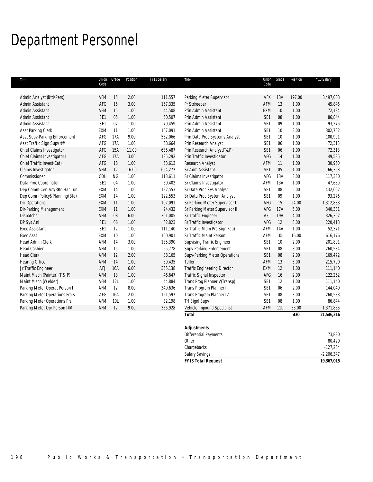# Department Personnel

| Title                          | Union<br>Code   | Grade     | Position | FY13 Salary | Title                               | Union<br>Code   | Grade           | Position | FY13 Salary |
|--------------------------------|-----------------|-----------|----------|-------------|-------------------------------------|-----------------|-----------------|----------|-------------|
|                                |                 |           |          |             |                                     |                 |                 |          |             |
| Admin Analyst (Btd/Pers)       | AFM             | 15        | 2.00     | 111,557     | Parking Meter Supervisor            | AFK             | 13A             | 197.00   | 8,497,003   |
| Admin Assistant                | AFG             | 15        | 3.00     | 167,335     | Pr Strkeeper                        | AFM             | 13              | 1.00     | 45,846      |
| Admin Assistant                | AFM             | 15        | 1.00     | 44,508      | Prin Admin Assistant                | EXM             | 10              | 1.00     | 72,184      |
| Admin Assistant                | SE1             | 05        | 1.00     | 50,507      | Prin Admin Assistant                | SE1             | 08              | 1.00     | 86,844      |
| Admin Assistant                | SE1             | 07        | 1.00     | 79,459      | Prin Admin Assistant                | SE1             | 09              | 1.00     | 93,276      |
| Asst Parking Clerk             | <b>EXM</b>      | 11        | 1.00     | 107,091     | Prin Admin Assistant                | SE <sub>1</sub> | 10 <sup>°</sup> | 3.00     | 302,702     |
| Asst Supv-Parking Enforcement  | AFG             | 17A       | 9.00     | 562,066     | Prin Data Proc Systems Analyst      | SE1             | 10              | 1.00     | 100,901     |
| Asst Traffic Sign Supv ##      | AFG             | 17A       | 1.00     | 68,664      | Prin Research Analyst               | SE <sub>1</sub> | 06              | 1.00     | 72,313      |
| Chief Claims Investigator      | AFG             | 15A       | 11.00    | 635,487     | Prin Research Analyst(T&P)          | SE1             | 06              | 1.00     | 72,313      |
| Chief Claims Investigator I    | AFG             | 17A       | 3.00     | 185,292     | Prin Traffic Investigator           | AFG             | 14              | 1.00     | 49,586      |
| Chief Traffic Invest(Cat)      | AFG             | 18        | 1.00     | 53,613      | Research Analyst                    | AFM             | 11              | 1.00     | 30,960      |
| Claims Investigator            | AFM             | 12        | 16.00    | 654,277     | Sr Adm Assistant                    | SE1             | 05              | 1.00     | 66,358      |
| Commissioner                   | CDH             | <b>NG</b> | 1.00     | 113,611     | Sr Claims Investigator              | AFG             | 13A             | 3.00     | 117,330     |
| Data Proc Coordinator          | SE1             | 04        | 1.00     | 60,402      | Sr Claims Investigator              | AFM             | 13A             | 1.00     | 47,680      |
| Dep Comm-Cen-Art/3Rd Har Tun   | EXM             | 14        | 1.00     | 122,553     | Sr Data Proc Sys Analyst            | SE <sub>1</sub> | 08              | 5.00     | 432,602     |
| Dep Comr (Policy&Planning/Btd) | <b>EXM</b>      | 14        | 1.00     | 122,553     | Sr Data Proc System Analyst         | SE1             | 09              | 1.00     | 93,276      |
| Dir-Operations                 | <b>EXM</b>      | 11        | 1.00     | 107,091     | Sr Parking Meter Supervisor I       | AFG             | 15              | 24.00    | 1,312,883   |
| Dir-Parking Management         | <b>EXM</b>      | 11        | 1.00     | 94,432      | Sr Parking Meter Supervisor II      | AFG             | 17A             | 5.00     | 340,381     |
| Dispatcher                     | AFM             | 08        | 6.00     | 201,005     | Sr Traffic Engineer                 | AFJ             | 19A             | 4.00     | 326,302     |
| DP Sys Anl                     | SE1             | 06        | 1.00     | 62,823      | Sr Traffic Investigator             | AFG             | 12              | 5.00     | 220,413     |
| <b>Exec Assistant</b>          | SE <sub>1</sub> | 12        | 1.00     | 111,140     | Sr Traffic Main Prs(Sign Fab)       | AFM             | 14A             | 1.00     | 52,371      |
| <b>Exec Asst</b>               | <b>EXM</b>      | 10        | 1.00     | 100,901     | Sr Traffic Maint Person             | AFM             | 10L             | 16.00    | 616,176     |
| <b>Head Admin Clerk</b>        | AFM             | 14        | 3.00     | 135,390     | <b>Supvising Traffic Engineer</b>   | SE1             | 10              | 2.00     | 201,801     |
| <b>Head Cashier</b>            | AFM             | 15        | 1.00     | 55,778      | Supv-Parking Enforcement            | SE1             | 08              | 3.00     | 260,534     |
| <b>Head Clerk</b>              | AFM             | 12        | 2.00     | 88,165      | Supv-Parking Meter Operations       | SE <sub>1</sub> | 08              | 2.00     | 169,472     |
| <b>Hearing Officer</b>         | AFM             | 14        | 1.00     | 39,435      | Teller                              | AFM             | 13              | 5.00     | 215,790     |
| Jr Traffic Engineer            | <b>AFJ</b>      | 16A       | 6.00     | 355,138     | <b>Traffic Engineering Director</b> | EXM             | 12              | 1.00     | 111,140     |
| Maint Mech (Painter) (T & P)   | AFM             | 13        | 1.00     | 46,647      | Traffic Signal Inspector            | AFG             | 16              | 2.00     | 122,262     |
| Maint Mech (Welder)            | AFM             | 12L       | 1.00     | 44,884      | Trans Prog Planner V(Transp)        | SE <sub>1</sub> | 12              | 1.00     | 111,140     |
| Parking Meter Operat Person I  | AFM             | 12        | 8.00     | 349,636     | Trans Program Planner III           | SE <sub>1</sub> | 06              | 2.00     | 144,049     |
| Parking Meter Operations Frprs | AFG             | 16A       | 2.00     | 121,597     | Trans Program Planner IV            | SE1             | 08              | 3.00     | 260,533     |
| Parking Meter Operations Prs   | AFM             | 10L       | 1.00     | 32,198      | Trf SignI Supv                      | SE1             | 08              | 1.00     | 86,844      |
| Parking Meter Opr Person I##   | AFM             | 12        | 9.00     | 355,928     | Vehicle Impound Specialist          | AFM             | 11L             | 33.00    | 1,371,885   |
|                                |                 |           |          |             | <b>Total</b>                        |                 |                 | 430      | 21,546,316  |
|                                |                 |           |          |             | <b>Adjustments</b>                  |                 |                 |          |             |
|                                |                 |           |          |             | <b>Differential Payments</b>        |                 |                 |          | 73,880      |

| <b>FY13 Total Request</b> | 19,367,015   |
|---------------------------|--------------|
| <b>Salary Savings</b>     | $-2,206,347$ |
| Chargebacks               | $-127,254$   |
| Other                     | 80,420       |
| DIFFERENTIAL PAYMENTS     | 5,88U        |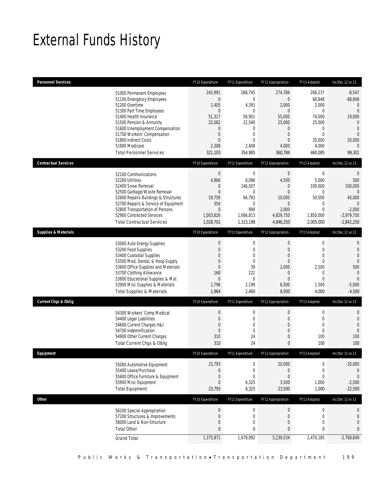# External Funds History

| <b>Personnel Services</b>       |                                                                                                                                                                                                                                                                                                            | FY10 Expenditure                                                                                                                                     | FY11 Expenditure                                                                                                                | FY12 Appropriation                                                                                                              | FY13 Adopted                                                                                                                   | Inc/Dec 12 vs 13                                                                                                                                         |
|---------------------------------|------------------------------------------------------------------------------------------------------------------------------------------------------------------------------------------------------------------------------------------------------------------------------------------------------------|------------------------------------------------------------------------------------------------------------------------------------------------------|---------------------------------------------------------------------------------------------------------------------------------|---------------------------------------------------------------------------------------------------------------------------------|--------------------------------------------------------------------------------------------------------------------------------|----------------------------------------------------------------------------------------------------------------------------------------------------------|
|                                 | 51000 Permanent Employees<br>51100 Emergency Employees<br>51200 Overtime<br>51300 Part Time Employees<br>51400 Health Insurance<br>51500 Pension & Annunity<br>51600 Unemployment Compensation<br>51700 Workers' Compensation<br>51800 Indirect Costs<br>51900 Medicare<br><b>Total Personnel Services</b> | 243,991<br>$\boldsymbol{0}$<br>1,405<br>$\mathbf{0}$<br>51,317<br>22,082<br>$\boldsymbol{0}$<br>$\boldsymbol{0}$<br>$\mathbf{0}$<br>2,308<br>321,103 | 268,745<br>$\mathbf 0$<br>4,391<br>0<br>56,901<br>22,540<br>$\boldsymbol{0}$<br>$\mathbf 0$<br>$\mathbf{0}$<br>2,408<br>354,985 | 274,784<br>$\theta$<br>2,000<br>$\mathbf{0}$<br>55,000<br>25,000<br>$\mathbf 0$<br>$\mathbf{0}$<br>$\theta$<br>4,000<br>360,784 | 266,237<br>68,848<br>2,000<br>$\mathbf 0$<br>74,000<br>25,000<br>$\boldsymbol{0}$<br>$\mathbf 0$<br>20,000<br>4,000<br>460,085 | $-8,547$<br>68,848<br>$\mathbf{0}$<br>$\overline{0}$<br>19,000<br>$\overline{0}$<br>$\mathbf{0}$<br>$\overline{0}$<br>20,000<br>$\overline{0}$<br>99,301 |
| <b>Contractual Services</b>     |                                                                                                                                                                                                                                                                                                            | FY10 Expenditure                                                                                                                                     | FY11 Expenditure                                                                                                                | FY12 Appropriation                                                                                                              | FY13 Adopted                                                                                                                   | Inc/Dec 12 vs 13                                                                                                                                         |
|                                 | 52100 Communications<br>52200 Utilities<br>52400 Snow Removal<br>52500 Garbage/Waste Removal<br>52600 Repairs Buildings & Structures<br>52700 Repairs & Service of Equipment<br>52800 Transportation of Persons<br>52900 Contracted Services<br><b>Total Contractual Services</b>                          | $\boldsymbol{0}$<br>4,966<br>$\mathbf 0$<br>$\mathbf{0}$<br>19,759<br>350<br>$\mathbf{0}$<br>1,003,626<br>1,028,701                                  | $\mathbf 0$<br>6,086<br>146,507<br>0<br>94,793<br>0<br>999<br>1,066,813<br>1,315,198                                            | $\mathbf 0$<br>4,500<br>$\mathbf 0$<br>$\theta$<br>10,000<br>$\theta$<br>2,000<br>4,829,750<br>4,846,250                        | $\boldsymbol{0}$<br>5,000<br>100,000<br>0<br>50,000<br>0<br>$\mathbf 0$<br>1,850,000<br>2,005,000                              | $\theta$<br>500<br>100,000<br>$\mathbf{0}$<br>40,000<br>$\Omega$<br>$-2,000$<br>$-2,979,750$<br>$-2,841,250$                                             |
| <b>Supplies &amp; Materials</b> |                                                                                                                                                                                                                                                                                                            | FY10 Expenditure                                                                                                                                     | FY11 Expenditure                                                                                                                | FY12 Appropriation                                                                                                              | FY13 Adopted                                                                                                                   | Inc/Dec 12 vs 13                                                                                                                                         |
|                                 | 53000 Auto Energy Supplies<br>53200 Food Supplies<br>53400 Custodial Supplies<br>53500 Med, Dental, & Hosp Supply<br>53600 Office Supplies and Materials<br>53700 Clothing Allowance<br>53800 Educational Supplies & Mat<br>53900 Misc Supplies & Materials<br><b>Total Supplies &amp; Materials</b>       | $\boldsymbol{0}$<br>$\boldsymbol{0}$<br>$\mathbf{0}$<br>$\boldsymbol{0}$<br>0<br>168<br>$\theta$<br>1,796<br>1,964                                   | $\boldsymbol{0}$<br>$\mathbf 0$<br>$\mathbf{0}$<br>$\mathbf 0$<br>39<br>222<br>$\mathbf 0$<br>2,199<br>2,460                    | $\mathbf 0$<br>$\theta$<br>$\overline{0}$<br>$\mathbf{0}$<br>2,000<br>$\theta$<br>$\overline{0}$<br>6,500<br>8,500              | $\boldsymbol{0}$<br>$\mathbf{0}$<br>$\mathbf{0}$<br>$\mathbf 0$<br>2,500<br>0<br>$\mathbf 0$<br>1,500<br>4,000                 | $\mathbf{0}$<br>$\mathbf{0}$<br>$\overline{0}$<br>$\overline{0}$<br>500<br>$\overline{0}$<br>$\overline{0}$<br>$-5,000$<br>$-4,500$                      |
| <b>Current Chgs &amp; Oblig</b> |                                                                                                                                                                                                                                                                                                            | FY10 Expenditure                                                                                                                                     | FY11 Expenditure                                                                                                                | FY12 Appropriation                                                                                                              | FY13 Adopted                                                                                                                   | Inc/Dec 12 vs 13                                                                                                                                         |
|                                 | 54300 Workers' Comp Medical<br>54400 Legal Liabilities<br>54600 Current Charges H&I<br>54700 Indemnification<br>54900 Other Current Charges<br>Total Current Chgs & Oblig                                                                                                                                  | $\boldsymbol{0}$<br>$\boldsymbol{0}$<br>$\boldsymbol{0}$<br>$\boldsymbol{0}$<br>310<br>310                                                           | $\boldsymbol{0}$<br>$\mathbf 0$<br>$\mathbf{0}$<br>$\mathbf 0$<br>24<br>24                                                      | $\boldsymbol{0}$<br>$\theta$<br>$\overline{0}$<br>$\mathbf 0$<br>$\theta$<br>$\mathbf{0}$                                       | $\boldsymbol{0}$<br>$\mathbf 0$<br>$\mathbf{0}$<br>$\boldsymbol{0}$<br>100<br>100                                              | $\mathbf 0$<br>$\mathbf 0$<br>$\overline{0}$<br>$\overline{0}$<br>100<br>100                                                                             |
| Equipment                       |                                                                                                                                                                                                                                                                                                            | FY10 Expenditure                                                                                                                                     | FY11 Expenditure                                                                                                                | FY12 Appropriation                                                                                                              | FY13 Adopted                                                                                                                   | Inc/Dec 12 vs 13                                                                                                                                         |
|                                 | 55000 Automotive Equipment<br>55400 Lease/Purchase<br>55600 Office Furniture & Equipment<br>55900 Misc Equipment<br><b>Total Equipment</b>                                                                                                                                                                 | 23,793<br>$\boldsymbol{0}$<br>$\boldsymbol{0}$<br>$\boldsymbol{0}$<br>23,793                                                                         | 0<br>0<br>0<br>6,325<br>6,325                                                                                                   | 20,000<br>$\mathbf 0$<br>$\overline{0}$<br>3,500<br>23,500                                                                      | 0<br>0<br>0<br>1,000<br>1,000                                                                                                  | $-20,000$<br>$\mathbf 0$<br>$\theta$<br>$-2,500$<br>$-22,500$                                                                                            |
| <b>Other</b>                    |                                                                                                                                                                                                                                                                                                            | FY10 Expenditure                                                                                                                                     | FY11 Expenditure                                                                                                                | FY12 Appropriation                                                                                                              | FY13 Adopted                                                                                                                   | Inc/Dec 12 vs 13                                                                                                                                         |
|                                 | 56200 Special Appropriation<br>57200 Structures & Improvements<br>58000 Land & Non-Structure<br><b>Total Other</b>                                                                                                                                                                                         | $\boldsymbol{0}$<br>$\boldsymbol{0}$<br>0<br>$\pmb{0}$                                                                                               | $\boldsymbol{0}$<br>$\boldsymbol{0}$<br>0<br>$\bf{0}$                                                                           | $\boldsymbol{0}$<br>$\boldsymbol{0}$<br>$\mathbf 0$<br>$\bf{0}$                                                                 | $\boldsymbol{0}$<br>$\boldsymbol{0}$<br>$\mathbf 0$<br>$\pmb{0}$                                                               | 0<br>0<br>$\overline{0}$<br>$\mathbf{0}$                                                                                                                 |
|                                 | <b>Grand Total</b>                                                                                                                                                                                                                                                                                         | 1,375,871                                                                                                                                            | 1,678,992                                                                                                                       | 5,239,034                                                                                                                       | 2,470,185                                                                                                                      | $-2,768,849$                                                                                                                                             |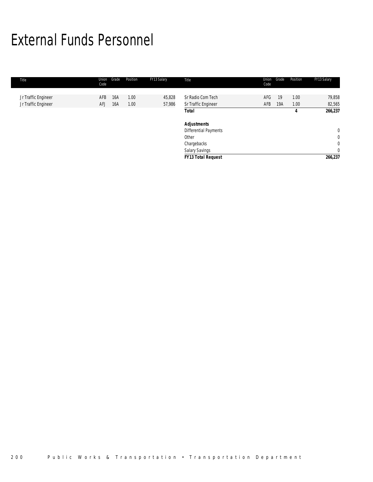# External Funds Personnel

| Title                                      | Union<br>Code | Grade      | Position     | FY13 Salary      | Title                                    | Union<br>Code | Grade     | Position     | FY13 Salary      |
|--------------------------------------------|---------------|------------|--------------|------------------|------------------------------------------|---------------|-----------|--------------|------------------|
| Jr Traffic Engineer<br>Jr Traffic Engineer | AFB<br>AFJ    | 16A<br>16A | 1.00<br>1.00 | 45,828<br>57,986 | Sr Radio Com Tech<br>Sr Traffic Engineer | AFG<br>AFB    | 19<br>19A | 1.00<br>1.00 | 79,858<br>82,565 |
|                                            |               |            |              |                  | Total                                    |               |           | 4            | 266,237          |
|                                            |               |            |              |                  | <b>Adjustments</b>                       |               |           |              |                  |
|                                            |               |            |              |                  | Differential Payments                    |               |           |              | $\mathbf{0}$     |
|                                            |               |            |              |                  | Other                                    |               |           |              | $\mathbf{0}$     |
|                                            |               |            |              |                  | Chargebacks                              |               |           |              | $\mathbf 0$      |
|                                            |               |            |              |                  | Salary Savings                           |               |           |              | $\overline{0}$   |
|                                            |               |            |              |                  | <b>FY13 Total Request</b>                |               |           |              | 266,237          |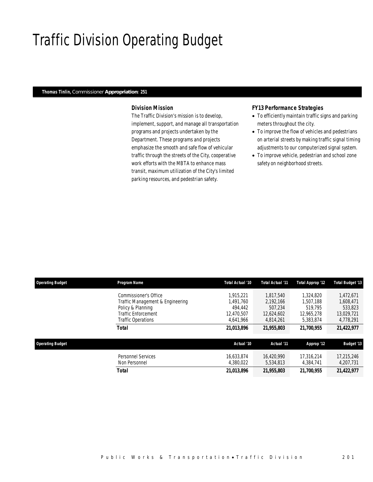# Traffic Division Operating Budget

#### *Thomas Tinlin, Commissioner Appropriation: 251*

### *Division Mission*

The Traffic Division's mission is to develop, implement, support, and manage all transportation programs and projects undertaken by the Department. These programs and projects emphasize the smooth and safe flow of vehicular traffic through the streets of the City, cooperative work efforts with the MBTA to enhance mass transit, maximum utilization of the City's limited parking resources, and pedestrian safety.

#### *FY13 Performance Strategies*

- To efficiently maintain traffic signs and parking meters throughout the city.
- To improve the flow of vehicles and pedestrians on arterial streets by making traffic signal timing adjustments to our computerized signal system.
- To improve vehicle, pedestrian and school zone safety on neighborhood streets.

| <b>Operating Budget</b> | Program Name                               | Total Actual '10        | <b>Total Actual '11</b> | Total Approp '12        | <b>Total Budget '13</b> |
|-------------------------|--------------------------------------------|-------------------------|-------------------------|-------------------------|-------------------------|
|                         | Commissioner's Office                      | 1.915.221               | 1.817.540               | 1.324.820               | 1,472,671               |
|                         | Traffic Management & Engineering           | 1.491.760               | 2.192.166               | 1,507,188               | 1,608,471               |
|                         | Policy & Planning                          | 494.442                 | 507.234                 | 519.795                 | 533,823                 |
|                         | <b>Traffic Enforcement</b>                 | 12.470.507              | 12,624,602              | 12.965.278              | 13,029,721              |
|                         | <b>Traffic Operations</b>                  | 4.641.966               | 4.814.261               | 5,383,874               | 4,778,291               |
|                         | Total                                      | 21,013,896              | 21,955,803              | 21,700,955              | 21,422,977              |
| <b>Operating Budget</b> |                                            | Actual '10              | Actual '11              | Approp '12              | <b>Budget '13</b>       |
|                         | <b>Personnel Services</b><br>Non Personnel | 16.633.874<br>4,380,022 | 16.420.990<br>5,534,813 | 17.316.214<br>4.384.741 | 17,215,246<br>4,207,731 |
|                         | <b>Total</b>                               | 21.013.896              | 21,955,803              | 21,700,955              | 21,422,977              |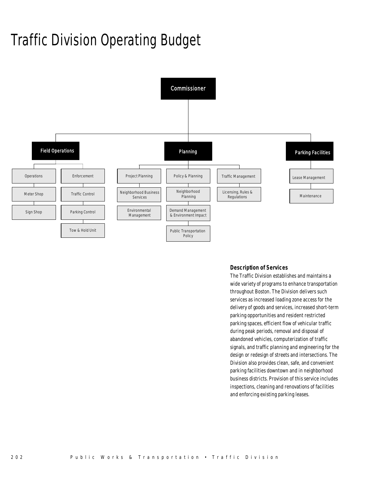# Traffic Division Operating Budget



## *Description of Services*

The Traffic Division establishes and maintains a wide variety of programs to enhance transportation throughout Boston. The Division delivers such services as increased loading zone access for the delivery of goods and services, increased short-term parking opportunities and resident restricted parking spaces, efficient flow of vehicular traffic during peak periods, removal and disposal of abandoned vehicles, computerization of traffic signals, and traffic planning and engineering for the design or redesign of streets and intersections. The Division also provides clean, safe, and convenient parking facilities downtown and in neighborhood business districts. Provision of this service includes inspections, cleaning and renovations of facilities and enforcing existing parking leases.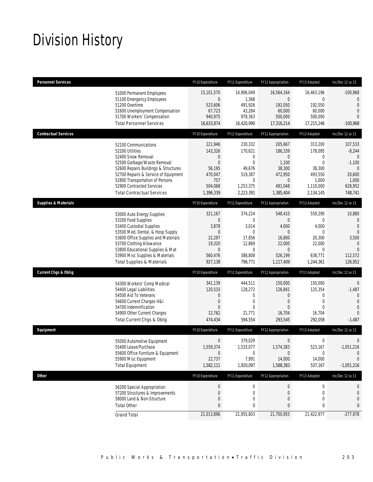# Division History

| <b>Personnel Services</b>                                                 |                                                                                                                                                                                                                                                                               | FY10 Expenditure                                                                                          | FY11 Expenditure                                                                                      | FY12 Appropriation                                                                                     | FY13 Adopted                                                                         | Inc/Dec 12 vs 13                                                                                             |
|---------------------------------------------------------------------------|-------------------------------------------------------------------------------------------------------------------------------------------------------------------------------------------------------------------------------------------------------------------------------|-----------------------------------------------------------------------------------------------------------|-------------------------------------------------------------------------------------------------------|--------------------------------------------------------------------------------------------------------|--------------------------------------------------------------------------------------|--------------------------------------------------------------------------------------------------------------|
| 51200 Overtime                                                            | 51000 Permanent Employees<br>51100 Emergency Employees<br>51600 Unemployment Compensation<br>51700 Workers' Compensation<br><b>Total Personnel Services</b>                                                                                                                   | 15,101,570<br>$\overline{0}$<br>523,606<br>67,723<br>940,975<br>16,633,874                                | 14,906,049<br>1,368<br>491,926<br>43,284<br>978,363<br>16,420,990                                     | 16,564,164<br>$\overline{0}$<br>192,050<br>60,000<br>500,000<br>17,316,214                             | 16,463,196<br>0<br>192,050<br>60,000<br>500,000<br>17,215,246                        | $-100,968$<br>$\mathbf{0}$<br>$\mathbf{0}$<br>$\mathbf 0$<br>$\Omega$<br>$-100,968$                          |
| <b>Contractual Services</b>                                               |                                                                                                                                                                                                                                                                               | FY10 Expenditure                                                                                          | FY11 Expenditure                                                                                      | FY12 Appropriation                                                                                     | FY13 Adopted                                                                         | Inc/Dec 12 vs 13                                                                                             |
| 52100 Communications<br>52200 Utilities<br>52400 Snow Removal             | 52500 Garbage/Waste Removal<br>52600 Repairs Buildings & Structures<br>52700 Repairs & Service of Equipment<br>52800 Transportation of Persons<br>52900 Contracted Services<br><b>Total Contractual Services</b>                                                              | 221,946<br>143,326<br>$\mathbf 0$<br>$\boldsymbol{0}$<br>56,195<br>470,047<br>757<br>504,068<br>1,396,339 | 230,332<br>170,621<br>0<br>$\mathbf{0}$<br>49,676<br>519,387<br>$\mathbf 0$<br>1,253,375<br>2,223,391 | 205,667<br>186,339<br>$\mathbf 0$<br>1,100<br>38,300<br>472,950<br>$\mathbf 0$<br>481,048<br>1,385,404 | 313,200<br>178,095<br>0<br>0<br>38,300<br>493,550<br>1,000<br>1,110,000<br>2,134,145 | 107,533<br>$-8,244$<br>$\mathbf{0}$<br>$-1,100$<br>0<br>20,600<br>1,000<br>628,952<br>748,741                |
| <b>Supplies &amp; Materials</b>                                           |                                                                                                                                                                                                                                                                               | FY10 Expenditure                                                                                          | FY11 Expenditure                                                                                      | FY12 Appropriation                                                                                     | FY13 Adopted                                                                         | Inc/Dec 12 vs 13                                                                                             |
| 53200 Food Supplies                                                       | 53000 Auto Energy Supplies<br>53400 Custodial Supplies<br>53500 Med, Dental, & Hosp Supply<br>53600 Office Supplies and Materials<br>53700 Clothing Allowance<br>53800 Educational Supplies & Mat<br>53900 Misc Supplies & Materials<br><b>Total Supplies &amp; Materials</b> | 321,167<br>$\mathbf 0$<br>3,878<br>0<br>22,297<br>19,320<br>$\mathbf 0$<br>560,476<br>927,138             | 374,224<br>0<br>3,014<br>0<br>17,856<br>12,869<br>0<br>388,808<br>796,771                             | 548,410<br>0<br>4,000<br>$\theta$<br>16,800<br>22,000<br>$\mathbf{0}$<br>526,199<br>1,117,409          | 559,290<br>0<br>4,000<br>0<br>20,300<br>22,000<br>0<br>638,771<br>1,244,361          | 10,880<br>$\mathbf 0$<br>$\mathbf{0}$<br>$\Omega$<br>3,500<br>$\mathbf{0}$<br>$\Omega$<br>112,572<br>126,952 |
| <b>Current Chgs &amp; Oblig</b>                                           |                                                                                                                                                                                                                                                                               | FY10 Expenditure                                                                                          | FY11 Expenditure                                                                                      | FY12 Appropriation                                                                                     | FY13 Adopted                                                                         | Inc/Dec 12 vs 13                                                                                             |
| 54400 Legal Liabilities<br>54500 Aid To Veterans<br>54700 Indemnification | 54300 Workers' Comp Medical<br>54600 Current Charges H&I<br>54900 Other Current Charges<br>Total Current Chgs & Oblig                                                                                                                                                         | 341,139<br>120,533<br>0<br>0<br>$\Omega$<br>12,762<br>474,434                                             | 444,511<br>128,272<br>0<br>0<br>$\Omega$<br>21,771<br>594,554                                         | 150,000<br>126,841<br>$\mathbf 0$<br>$\mathbf 0$<br>$\Omega$<br>16,704<br>293,545                      | 150,000<br>125,354<br>0<br>$\mathbf{0}$<br>$\Omega$<br>16,704<br>292,058             | $\mathbf 0$<br>$-1,487$<br>$\mathbf{0}$<br>$\mathbf{0}$<br>$\overline{0}$<br>$\Omega$<br>-1,487              |
| Equipment                                                                 |                                                                                                                                                                                                                                                                               | FY10 Expenditure                                                                                          | FY11 Expenditure                                                                                      | FY12 Appropriation                                                                                     | FY13 Adopted                                                                         | Inc/Dec 12 vs 13                                                                                             |
| 55400 Lease/Purchase<br>55900 Misc Equipment<br><b>Total Equipment</b>    | 55000 Automotive Equipment<br>55600 Office Furniture & Equipment                                                                                                                                                                                                              | $\mathbf 0$<br>1,559,374<br>$\overline{0}$<br>22,737<br>1,582,111                                         | 379.029<br>1,533,077<br>0<br>7,991<br>1,920,097                                                       | 0<br>1,574,383<br>$\mathbf 0$<br>14,000<br>1,588,383                                                   | 0<br>523,167<br>0<br>14,000<br>537,167                                               | 0<br>$-1,051,216$<br>$\mathbf 0$<br>$\theta$<br>$-1,051,216$                                                 |
| <b>Other</b>                                                              |                                                                                                                                                                                                                                                                               | FY10 Expenditure                                                                                          | FY11 Expenditure                                                                                      | FY12 Appropriation                                                                                     | FY13 Adopted                                                                         | Inc/Dec 12 vs 13                                                                                             |
| <b>Total Other</b>                                                        | 56200 Special Appropriation<br>57200 Structures & Improvements<br>58000 Land & Non-Structure                                                                                                                                                                                  | $\pmb{0}$<br>$\bf{0}$<br>0<br>0                                                                           | $\boldsymbol{0}$<br>$\mathbf 0$<br>0<br>0                                                             | $\bf{0}$<br>0<br>$\mathbf 0$<br>0                                                                      | 0<br>0<br>0<br>0                                                                     | 0<br>0<br>0<br>0                                                                                             |
| <b>Grand Total</b>                                                        |                                                                                                                                                                                                                                                                               | 21,013,896                                                                                                | 21,955,803                                                                                            | 21,700,955                                                                                             | 21,422,977                                                                           | $-277,978$                                                                                                   |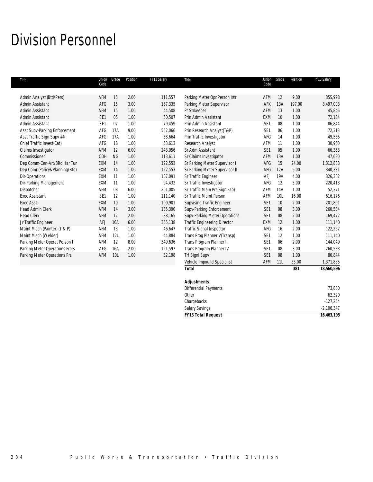# Division Personnel

| Title                          | Union<br>Code   | Grade     | Position | FY13 Salary | Title                               | Union<br>Code   | Grade | Position | FY13 Salary |
|--------------------------------|-----------------|-----------|----------|-------------|-------------------------------------|-----------------|-------|----------|-------------|
| Admin Analyst (Btd/Pers)       | AFM             | 15        | 2.00     | 111,557     | Parking Meter Opr Person I##        | AFM             | 12    | 9.00     | 355,928     |
| Admin Assistant                | AFG             | 15        | 3.00     | 167,335     | Parking Meter Supervisor            | AFK             | 13A   | 197.00   | 8,497,003   |
| Admin Assistant                | AFM             | 15        | 1.00     | 44,508      | Pr Strkeeper                        | <b>AFM</b>      | 13    | 1.00     | 45,846      |
| Admin Assistant                | SE1             | 05        | 1.00     | 50,507      | Prin Admin Assistant                | EXM             | 10    | 1.00     | 72,184      |
| Admin Assistant                | SE1             | 07        | 1.00     | 79,459      | Prin Admin Assistant                | SE1             | 08    | 1.00     | 86,844      |
| Asst Supv-Parking Enforcement  | AFG             | 17A       | 9.00     | 562,066     | Prin Research Analyst(T&P)          | SE <sub>1</sub> | 06    | 1.00     | 72,313      |
| Asst Traffic Sign Supv ##      | AFG             | 17A       | 1.00     | 68,664      | Prin Traffic Investigator           | AFG             | 14    | 1.00     | 49,586      |
| Chief Traffic Invest(Cat)      | AFG             | 18        | 1.00     | 53,613      | Research Analyst                    | AFM             | 11    | 1.00     | 30,960      |
| Claims Investigator            | AFM             | 12        | 6.00     | 243,056     | Sr Adm Assistant                    | SE1             | 05    | 1.00     | 66,358      |
| Commissioner                   | CDH             | <b>NG</b> | 1.00     | 113,611     | Sr Claims Investigator              | AFM             | 13A   | 1.00     | 47,680      |
| Dep Comm-Cen-Art/3Rd Har Tun   | EXM             | 14        | 1.00     | 122,553     | Sr Parking Meter Supervisor I       | AFG             | 15    | 24.00    | 1,312,883   |
| Dep Comr (Policy&Planning/Btd) | <b>EXM</b>      | 14        | 1.00     | 122,553     | Sr Parking Meter Supervisor II      | AFG             | 17A   | 5.00     | 340,381     |
| Dir-Operations                 | <b>EXM</b>      | 11        | 1.00     | 107,091     | Sr Traffic Engineer                 | <b>AFJ</b>      | 19A   | 4.00     | 326,302     |
| Dir-Parking Management         | <b>EXM</b>      | 11        | 1.00     | 94.432      | Sr Traffic Investigator             | AFG             | 12    | 5.00     | 220,413     |
| Dispatcher                     | AFM             | 08        | 6.00     | 201,005     | Sr Traffic Main Prs(Sign Fab)       | AFM             | 14A   | 1.00     | 52,371      |
| <b>Exec Assistant</b>          | SE <sub>1</sub> | 12        | 1.00     | 111,140     | Sr Traffic Maint Person             | <b>AFM</b>      | 10L   | 16.00    | 616,176     |
| <b>Exec Asst</b>               | <b>EXM</b>      | 10        | 1.00     | 100,901     | <b>Supvising Traffic Engineer</b>   | SE <sub>1</sub> | 10    | 2.00     | 201,801     |
| <b>Head Admin Clerk</b>        | AFM             | 14        | 3.00     | 135,390     | Supv-Parking Enforcement            | SE1             | 08    | 3.00     | 260,534     |
| <b>Head Clerk</b>              | AFM             | 12        | 2.00     | 88,165      | Supv-Parking Meter Operations       | SE <sub>1</sub> | 08    | 2.00     | 169,472     |
| Jr Traffic Engineer            | AFJ             | 16A       | 6.00     | 355,138     | <b>Traffic Engineering Director</b> | EXM             | 12    | 1.00     | 111,140     |
| Maint Mech (Painter) (T & P)   | AFM             | 13        | 1.00     | 46,647      | <b>Traffic Signal Inspector</b>     | AFG             | 16    | 2.00     | 122,262     |
| Maint Mech (Welder)            | AFM             | 12L       | 1.00     | 44,884      | Trans Prog Planner V(Transp)        | SE <sub>1</sub> | 12    | 1.00     | 111,140     |
| Parking Meter Operat Person I  | AFM             | 12        | 8.00     | 349,636     | Trans Program Planner III           | SE <sub>1</sub> | 06    | 2.00     | 144,049     |
| Parking Meter Operations Frprs | AFG             | 16A       | 2.00     | 121,597     | Trans Program Planner IV            | SE1             | 08    | 3.00     | 260,533     |
| Parking Meter Operations Prs   | AFM             | 10L       | 1.00     | 32,198      | <b>Trf SignI Supv</b>               | SE <sub>1</sub> | 08    | 1.00     | 86,844      |
|                                |                 |           |          |             | Vehicle Impound Specialist          | AFM             | 11L   | 33.00    | 1,371,885   |
|                                |                 |           |          |             | <b>Total</b>                        |                 |       | 381      | 18,560,596  |

| <b>FY13 Total Request</b>    | 16,463,195   |
|------------------------------|--------------|
| <b>Salary Savings</b>        | $-2,106,347$ |
| Chargebacks                  | $-127,254$   |
| Other                        | 62,320       |
| <b>Differential Payments</b> | 73,880       |
| <b>Adjustments</b>           |              |
|                              |              |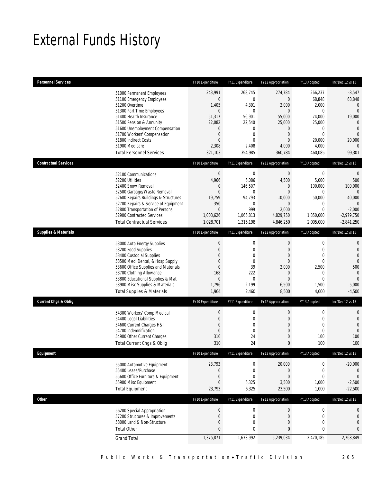# External Funds History

| <b>Personnel Services</b>       |                                                                                                                                                                                                                                                                                                            | FY10 Expenditure                                                                                                                          | FY11 Expenditure                                                                                                                 | FY12 Appropriation                                                                                                               | FY13 Adopted                                                                                                    | Inc/Dec 12 vs 13                                                                                                                                   |
|---------------------------------|------------------------------------------------------------------------------------------------------------------------------------------------------------------------------------------------------------------------------------------------------------------------------------------------------------|-------------------------------------------------------------------------------------------------------------------------------------------|----------------------------------------------------------------------------------------------------------------------------------|----------------------------------------------------------------------------------------------------------------------------------|-----------------------------------------------------------------------------------------------------------------|----------------------------------------------------------------------------------------------------------------------------------------------------|
|                                 | 51000 Permanent Employees<br>51100 Emergency Employees<br>51200 Overtime<br>51300 Part Time Employees<br>51400 Health Insurance<br>51500 Pension & Annunity<br>51600 Unemployment Compensation<br>51700 Workers' Compensation<br>51800 Indirect Costs<br>51900 Medicare<br><b>Total Personnel Services</b> | 243,991<br>$\boldsymbol{0}$<br>1,405<br>$\boldsymbol{0}$<br>51,317<br>22,082<br>0<br>$\boldsymbol{0}$<br>$\mathbf{0}$<br>2,308<br>321,103 | 268,745<br>$\overline{0}$<br>4,391<br>$\mathbf{0}$<br>56,901<br>22,540<br>0<br>$\mathbf 0$<br>$\overline{0}$<br>2,408<br>354,985 | 274,784<br>0<br>2,000<br>$\overline{0}$<br>55,000<br>25,000<br>$\mathbf 0$<br>$\mathbf{0}$<br>$\overline{0}$<br>4,000<br>360,784 | 266,237<br>68,848<br>2,000<br>$\mathbf 0$<br>74,000<br>25,000<br>0<br>$\mathbf 0$<br>20,000<br>4,000<br>460,085 | $-8,547$<br>68,848<br>$\mathbf{0}$<br>$\overline{0}$<br>19,000<br>$\Omega$<br>$\mathbf{0}$<br>$\overline{0}$<br>20,000<br>$\overline{0}$<br>99,301 |
| <b>Contractual Services</b>     |                                                                                                                                                                                                                                                                                                            | FY10 Expenditure                                                                                                                          | FY11 Expenditure                                                                                                                 | FY12 Appropriation                                                                                                               | FY13 Adopted                                                                                                    | Inc/Dec 12 vs 13                                                                                                                                   |
|                                 | 52100 Communications<br>52200 Utilities<br>52400 Snow Removal<br>52500 Garbage/Waste Removal<br>52600 Repairs Buildings & Structures<br>52700 Repairs & Service of Equipment<br>52800 Transportation of Persons<br>52900 Contracted Services<br><b>Total Contractual Services</b>                          | $\boldsymbol{0}$<br>4,966<br>$\mathbf 0$<br>$\mathbf{0}$<br>19,759<br>350<br>$\mathbf{0}$<br>1,003,626<br>1,028,701                       | $\mathbf 0$<br>6,086<br>146,507<br>$\mathbf 0$<br>94,793<br>$\mathbf 0$<br>999<br>1,066,813<br>1,315,198                         | $\boldsymbol{0}$<br>4,500<br>0<br>$\overline{0}$<br>10,000<br>$\overline{0}$<br>2,000<br>4,829,750<br>4,846,250                  | $\boldsymbol{0}$<br>5,000<br>100,000<br>$\mathbf 0$<br>50,000<br>0<br>$\mathbf 0$<br>1,850,000<br>2,005,000     | $\theta$<br>500<br>100,000<br>$\mathbf{0}$<br>40,000<br>$\Omega$<br>$-2,000$<br>$-2,979,750$<br>$-2,841,250$                                       |
| <b>Supplies &amp; Materials</b> |                                                                                                                                                                                                                                                                                                            | FY10 Expenditure                                                                                                                          | FY11 Expenditure                                                                                                                 | FY12 Appropriation                                                                                                               | FY13 Adopted                                                                                                    | Inc/Dec 12 vs 13                                                                                                                                   |
|                                 | 53000 Auto Energy Supplies<br>53200 Food Supplies<br>53400 Custodial Supplies<br>53500 Med, Dental, & Hosp Supply<br>53600 Office Supplies and Materials<br>53700 Clothing Allowance<br>53800 Educational Supplies & Mat<br>53900 Misc Supplies & Materials<br><b>Total Supplies &amp; Materials</b>       | $\boldsymbol{0}$<br>$\boldsymbol{0}$<br>0<br>0<br>$\mathbf{0}$<br>168<br>$\boldsymbol{0}$<br>1,796<br>1,964                               | $\boldsymbol{0}$<br>$\mathbf 0$<br>0<br>$\mathbf{0}$<br>39<br>222<br>$\overline{0}$<br>2,199<br>2,460                            | $\boldsymbol{0}$<br>$\mathbf{0}$<br>$\theta$<br>$\theta$<br>2,000<br>$\mathbf 0$<br>$\overline{0}$<br>6,500<br>8,500             | $\boldsymbol{0}$<br>$\mathbf 0$<br>$\mathbf{0}$<br>$\mathbf 0$<br>2,500<br>0<br>$\mathbf 0$<br>1,500<br>4,000   | $\mathbf 0$<br>$\mathbf{0}$<br>$\overline{0}$<br>$\overline{0}$<br>500<br>$\mathbf{0}$<br>$\overline{0}$<br>$-5,000$<br>$-4,500$                   |
| <b>Current Chgs &amp; Oblig</b> |                                                                                                                                                                                                                                                                                                            | FY10 Expenditure                                                                                                                          | FY11 Expenditure                                                                                                                 | FY12 Appropriation                                                                                                               | FY13 Adopted                                                                                                    | Inc/Dec 12 vs 13                                                                                                                                   |
|                                 | 54300 Workers' Comp Medical<br>54400 Legal Liabilities<br>54600 Current Charges H&I<br>54700 Indemnification<br>54900 Other Current Charges<br>Total Current Chgs & Oblig                                                                                                                                  | $\boldsymbol{0}$<br>$\boldsymbol{0}$<br>$\overline{0}$<br>$\mathbf 0$<br>310<br>310                                                       | $\mathbf 0$<br>$\mathbf 0$<br>0<br>$\mathbf 0$<br>24<br>24                                                                       | $\boldsymbol{0}$<br>$\mathbf 0$<br>$\theta$<br>$\mathbf 0$<br>$\mathbf 0$<br>$\mathbf{0}$                                        | $\boldsymbol{0}$<br>$\mathbf 0$<br>$\mathbf 0$<br>$\mathbf 0$<br>100<br>100                                     | $\mathbf 0$<br>$\mathbf 0$<br>$\overline{0}$<br>$\mathbf{0}$<br>100<br>100                                                                         |
| Equipment                       |                                                                                                                                                                                                                                                                                                            | FY10 Expenditure                                                                                                                          | FY11 Expenditure                                                                                                                 | FY12 Appropriation                                                                                                               | FY13 Adopted                                                                                                    | Inc/Dec 12 vs 13                                                                                                                                   |
|                                 | 55000 Automotive Equipment<br>55400 Lease/Purchase<br>55600 Office Furniture & Equipment<br>55900 Misc Equipment<br><b>Total Equipment</b>                                                                                                                                                                 | 23,793<br>0<br>$\boldsymbol{0}$<br>0<br>23,793                                                                                            | $\boldsymbol{0}$<br>$\mathbf 0$<br>$\mathbf 0$<br>6,325<br>6,325                                                                 | 20,000<br>$\mathbf 0$<br>$\mathbf{0}$<br>3,500<br>23,500                                                                         | 0<br>$\boldsymbol{0}$<br>$\boldsymbol{0}$<br>1,000<br>1,000                                                     | $-20,000$<br>0<br>$\mathbf 0$<br>$-2,500$<br>$-22,500$                                                                                             |
| Other                           |                                                                                                                                                                                                                                                                                                            | FY10 Expenditure                                                                                                                          | FY11 Expenditure                                                                                                                 | FY12 Appropriation                                                                                                               | FY13 Adopted                                                                                                    | Inc/Dec 12 vs 13                                                                                                                                   |
|                                 | 56200 Special Appropriation<br>57200 Structures & Improvements<br>58000 Land & Non-Structure<br><b>Total Other</b>                                                                                                                                                                                         | $\boldsymbol{0}$<br>$\boldsymbol{0}$<br>$\mathbf 0$<br>$\mathbf{0}$<br>1,375,871                                                          | $\boldsymbol{0}$<br>$\mathbf 0$<br>0<br>0                                                                                        | $\boldsymbol{0}$<br>$\mathbf{0}$<br>$\mathbf 0$<br>0                                                                             | $\boldsymbol{0}$<br>$\boldsymbol{0}$<br>$\mathbf 0$<br>$\mathbf 0$                                              | 0<br>$\mathbf 0$<br>$\mathbf 0$<br>$\mathbf{0}$                                                                                                    |
|                                 | <b>Grand Total</b>                                                                                                                                                                                                                                                                                         |                                                                                                                                           | 1,678,992                                                                                                                        | 5,239,034                                                                                                                        | 2,470,185                                                                                                       | $-2,768,849$                                                                                                                                       |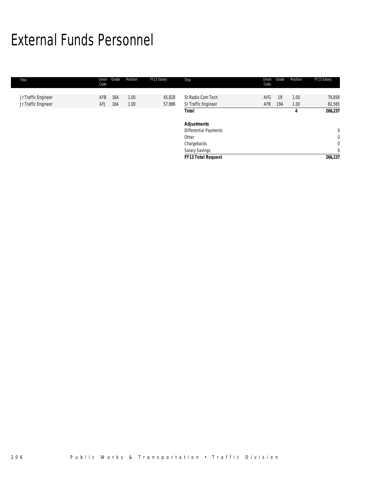# External Funds Personnel

| Title                                      | Union<br>Code | Grade      | Position     | FY13 Salary      | Title                                    | Union<br>Code | Grade     | Position     | FY13 Salary      |
|--------------------------------------------|---------------|------------|--------------|------------------|------------------------------------------|---------------|-----------|--------------|------------------|
| Jr Traffic Engineer<br>Jr Traffic Engineer | AFB<br>AFJ    | 16A<br>16A | 1.00<br>1.00 | 45,828<br>57,986 | Sr Radio Com Tech<br>Sr Traffic Engineer | AFG<br>AFB    | 19<br>19A | 1.00<br>1.00 | 79,858<br>82,565 |
|                                            |               |            |              |                  | Total                                    |               |           | 4            | 266,237          |
|                                            |               |            |              |                  | <b>Adjustments</b>                       |               |           |              |                  |
|                                            |               |            |              |                  | Differential Payments                    |               |           |              | $\mathbf{0}$     |
|                                            |               |            |              |                  | Other                                    |               |           |              | $\mathbf{0}$     |
|                                            |               |            |              |                  | Chargebacks                              |               |           |              | $\mathbf 0$      |
|                                            |               |            |              |                  | Salary Savings                           |               |           |              | $\overline{0}$   |
|                                            |               |            |              |                  | <b>FY13 Total Request</b>                |               |           |              | 266,237          |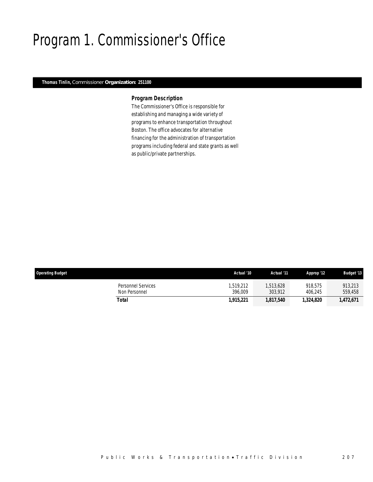# Program 1. Commissioner's Office

### *Thomas Tinlin, Commissioner Organization: 251100*

## *Program Description*

The Commissioner's Office is responsible for establishing and managing a wide variety of programs to enhance transportation throughout Boston. The office advocates for alternative financing for the administration of transportation programs including federal and state grants as well as public/private partnerships.

| <b>Operating Budget</b>             | Actual '10           | Actual '11          | Approp '12         | <b>Budget '13</b>  |
|-------------------------------------|----------------------|---------------------|--------------------|--------------------|
| Personnel Services<br>Non Personnel | 1.519.212<br>396.009 | .513.628<br>303.912 | 918.575<br>406.245 | 913.213<br>559,458 |
| Total                               | 1,915,221            | 1.817.540           | 1,324,820          | 1,472,671          |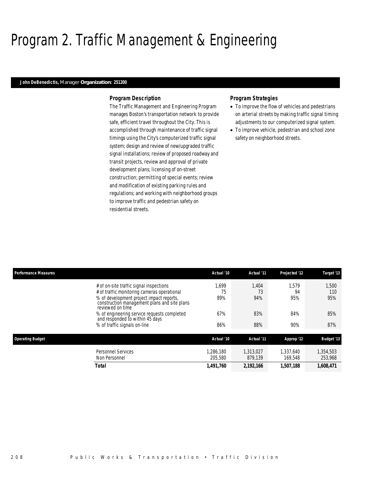# Program 2. Traffic Management & Engineering

### *John DeBenedictis, Manager Organization: 251200*

### *Program Description*

The Traffic Management and Engineering Program manages Boston's transportation network to provide safe, efficient travel throughout the City. This is accomplished through maintenance of traffic signal timings using the City's computerized traffic signal system; design and review of new/upgraded traffic signal installations; review of proposed roadway and transit projects, review and approval of private development plans; licensing of on-street construction; permitting of special events; review and modification of existing parking rules and regulations; and working with neighborhood groups to improve traffic and pedestrian safety on residential streets.

### *Program Strategies*

- To improve the flow of vehicles and pedestrians on arterial streets by making traffic signal timing adjustments to our computerized signal system.
- To improve vehicle, pedestrian and school zone safety on neighborhood streets.

| <b>Performance Measures</b>                                                                                                                                                                                                                                                              | Actual '10               | Actual '11                | Projected '12             | Target '13                 |
|------------------------------------------------------------------------------------------------------------------------------------------------------------------------------------------------------------------------------------------------------------------------------------------|--------------------------|---------------------------|---------------------------|----------------------------|
| # of on-site traffic signal inspections<br># of traffic monitoring cameras operational<br>% of development project impact reports,<br>construction management plans and site plans<br>reviewed on time<br>% of engineering service requests completed<br>and responded to within 45 days | .699<br>75<br>89%<br>67% | 1.404<br>73<br>94%<br>83% | 1.579<br>94<br>95%<br>84% | 1.500<br>110<br>95%<br>85% |
| % of traffic signals on-line                                                                                                                                                                                                                                                             | 86%                      | 88%                       | 90%                       | 87%                        |
| <b>Operating Budget</b>                                                                                                                                                                                                                                                                  | Actual '10               | Actual '11                | Approp '12                | <b>Budget '13</b>          |
| Personnel Services<br>Non Personnel                                                                                                                                                                                                                                                      | .286.180<br>205,580      | 1.313.027<br>879.139      | 1.337.640<br>169.548      | 1,354,503<br>253,968       |
| Total                                                                                                                                                                                                                                                                                    | 1,491,760                | 2,192,166                 | 1,507,188                 | 1,608,471                  |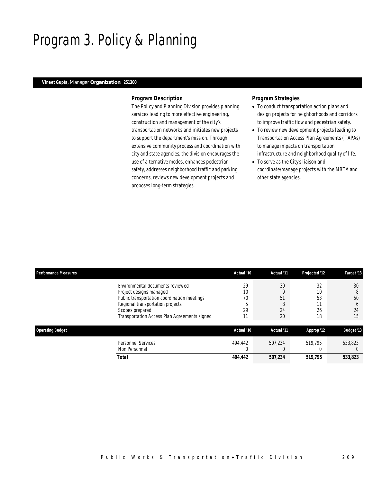# Program 3. Policy & Planning

### *Vineet Gupta, Manager Organization: 251300*

### *Program Description*

The Policy and Planning Division provides planning services leading to more effective engineering, construction and management of the city's transportation networks and initiates new projects to support the department's mission. Through extensive community process and coordination with city and state agencies, the division encourages the use of alternative modes, enhances pedestrian safety, addresses neighborhood traffic and parking concerns, reviews new development projects and proposes long-term strategies.

## *Program Strategies*

- To conduct transportation action plans and design projects for neighborhoods and corridors to improve traffic flow and pedestrian safety.
- To review new development projects leading to Transportation Access Plan Agreements (TAPAs) to manage impacts on transportation infrastructure and neighborhood quality of life.
- To serve as the City's liaison and coordinate/manage projects with the MBTA and other state agencies.

| <b>Performance Measures</b> |                                                                                                                                                                                                                   | Actual '10                | Actual '11                     | Projected '12              | Target '13                                |
|-----------------------------|-------------------------------------------------------------------------------------------------------------------------------------------------------------------------------------------------------------------|---------------------------|--------------------------------|----------------------------|-------------------------------------------|
|                             | Environmental documents reviewed<br>Project designs managed<br>Public transportation coordination meetings<br>Regional transportation projects<br>Scopes prepared<br>Transportation Access Plan Agreements signed | 29<br>10<br>70<br>29<br>ы | 30<br>O<br>51<br>8<br>24<br>20 | 32<br>10<br>53<br>26<br>18 | 30<br>8<br>50<br><sub>0</sub><br>24<br>15 |
| <b>Operating Budget</b>     |                                                                                                                                                                                                                   | Actual '10                | Actual '11                     | Approp '12                 | <b>Budget '13</b>                         |
|                             | <b>Personnel Services</b><br>Non Personnel                                                                                                                                                                        | 494.442                   | 507.234                        | 519.795                    | 533.823                                   |
|                             | Total                                                                                                                                                                                                             | 494,442                   | 507.234                        | 519,795                    | 533,823                                   |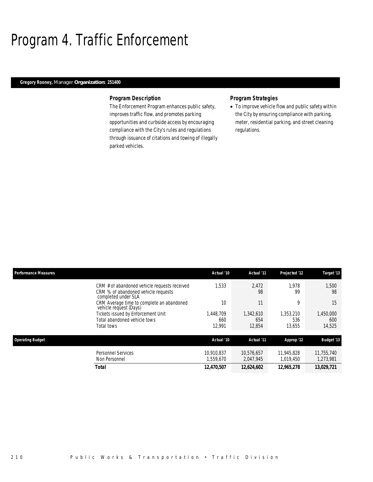# Program 4. Traffic Enforcement

## *Gregory Rooney, Manager Organization: 251400*

### *Program Description*

The Enforcement Program enhances public safety, improves traffic flow, and promotes parking opportunities and curbside access by encouraging compliance with the City's rules and regulations through issuance of citations and towing of illegally parked vehicles.

### *Program Strategies*

• To improve vehicle flow and public safety within the City by ensuring compliance with parking, meter, residential parking, and street cleaning regulations.

| <b>Performance Measures</b> |                                                                                                            | Actual '10                | Actual '11                 | Projected '12              | Target '13                 |
|-----------------------------|------------------------------------------------------------------------------------------------------------|---------------------------|----------------------------|----------------------------|----------------------------|
|                             | CRM # of abandoned vehicle requests received<br>CRM % of abandoned vehicle requests<br>completed under SLA | 1.533                     | 2.472<br>98                | 1.978<br>99                | 1.500<br>98                |
|                             | CRM Average time to complete an abandoned<br>vehicle request (Days)                                        | 10                        | 11                         | 9                          | 15                         |
|                             | Tickets issued by Enforcement Unit<br>Total abandoned vehicle tows<br>Total tows                           | .448.709<br>660<br>12,991 | 1.342.610<br>654<br>12,854 | 1.353.210<br>536<br>13,655 | 1,450,000<br>600<br>14,525 |
| <b>Operating Budget</b>     |                                                                                                            | Actual '10                | Actual '11                 | Approp '12                 | <b>Budget '13</b>          |
|                             | <b>Personnel Services</b><br>Non Personnel                                                                 | 10.910.837<br>.559.670    | 10.576.657<br>2,047,945    | 11,945,828<br>1,019,450    | 11,755,740<br>1,273,981    |
|                             | <b>Total</b>                                                                                               | 12.470.507                | 12,624,602                 | 12.965.278                 | 13.029.721                 |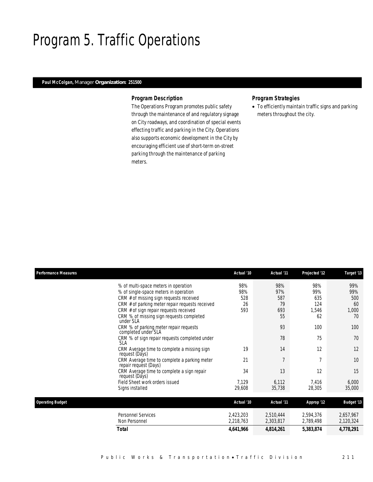# Program 5. Traffic Operations

## *Paul McColgan, Manager Organization: 251500*

### *Program Description*

The Operations Program promotes public safety through the maintenance of and regulatory signage on City roadways, and coordination of special events effecting traffic and parking in the City. Operations also supports economic development in the City by encouraging efficient use of short-term on-street parking through the maintenance of parking meters.

## *Program Strategies*

• To efficiently maintain traffic signs and parking meters throughout the city.

| <b>Performance Measures</b> |                                                                                                                                                                                                                                                                   | Actual '10                     | Actual '11                           | Projected '12                           | Target '13                             |
|-----------------------------|-------------------------------------------------------------------------------------------------------------------------------------------------------------------------------------------------------------------------------------------------------------------|--------------------------------|--------------------------------------|-----------------------------------------|----------------------------------------|
|                             | % of multi-space meters in operation<br>% of single-space meters in operation<br>CRM # of missing sign requests received<br>CRM # of parking meter repair requests received<br>CRM # of sign repair requests received<br>CRM % of missing sign requests completed | 98%<br>98%<br>528<br>26<br>593 | 98%<br>97%<br>587<br>79<br>693<br>55 | 98%<br>99%<br>635<br>124<br>1,546<br>62 | 99%<br>99%<br>500<br>60<br>1,000<br>70 |
|                             | under SLA<br>CRM % of parking meter repair requests                                                                                                                                                                                                               |                                | 93                                   | 100                                     | 100                                    |
|                             | completed under SLA<br>CRM % of sign repair requests completed under<br><b>SLA</b>                                                                                                                                                                                |                                | 78                                   | 75                                      | 70                                     |
|                             | CRM Average time to complete a missing sign<br>request (Days)                                                                                                                                                                                                     | 19                             | 14                                   | 12                                      | 12                                     |
|                             | CRM Average time to complete a parking meter<br>repair request (Days)                                                                                                                                                                                             | 21                             | $\overline{7}$                       | $\overline{7}$                          | 10                                     |
|                             | CRM Average time to complete a sign repair<br>request (Days)                                                                                                                                                                                                      | 34                             | 13                                   | 12                                      | 15                                     |
|                             | Field Sheet work orders issued<br>Signs installed                                                                                                                                                                                                                 | 7,129<br>29,608                | 6,112<br>35,738                      | 7,416<br>28,305                         | 6,000<br>35,000                        |
| <b>Operating Budget</b>     |                                                                                                                                                                                                                                                                   | Actual '10                     | Actual '11                           | Approp '12                              | <b>Budget '13</b>                      |
|                             | <b>Personnel Services</b><br>Non Personnel                                                                                                                                                                                                                        | 2,423,203<br>2,218,763         | 2,510,444<br>2,303,817               | 2,594,376<br>2,789,498                  | 2,657,967<br>2,120,324                 |
|                             | Total                                                                                                                                                                                                                                                             | 4,641,966                      | 4,814,261                            | 5,383,874                               | 4,778,291                              |
|                             |                                                                                                                                                                                                                                                                   |                                |                                      |                                         |                                        |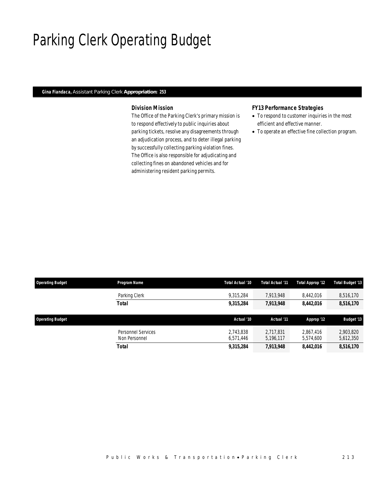# Parking Clerk Operating Budget

## *Gina Fiandaca, Assistant Parking Clerk Appropriation: 253*

## *Division Mission*

The Office of the Parking Clerk's primary mission is to respond effectively to public inquiries about parking tickets, resolve any disagreements through an adjudication process, and to deter illegal parking by successfully collecting parking violation fines. The Office is also responsible for adjudicating and collecting fines on abandoned vehicles and for administering resident parking permits.

### *FY13 Performance Strategies*

- To respond to customer inquiries in the most efficient and effective manner.
- To operate an effective fine collection program.

| <b>Operating Budget</b> | Program Name                        | Total Actual '10       | Total Actual '11       | Total Approp '12       | Total Budget '13       |
|-------------------------|-------------------------------------|------------------------|------------------------|------------------------|------------------------|
|                         | Parking Clerk                       | 9.315.284              | 7.913.948              | 8.442.016              | 8,516,170              |
|                         | Total                               | 9,315,284              | 7,913,948              | 8,442,016              | 8,516,170              |
| <b>Operating Budget</b> |                                     | Actual '10             | Actual '11             | Approp '12             | <b>Budget '13</b>      |
|                         | Personnel Services<br>Non Personnel | 2.743.838<br>6,571,446 | 2.717.831<br>5,196,117 | 2.867.416<br>5,574,600 | 2.903.820<br>5,612,350 |
|                         | Total                               | 9,315,284              | 7,913,948              | 8,442,016              | 8,516,170              |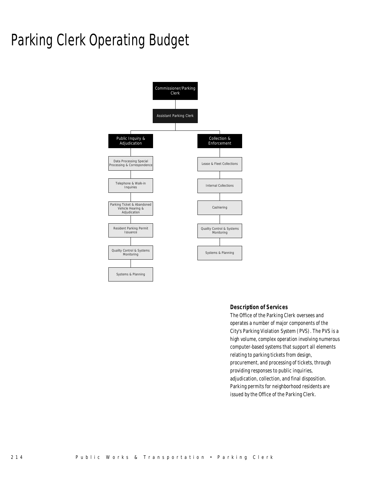# Parking Clerk Operating Budget



### *Description of Services*

The Office of the Parking Clerk oversees and operates a number of major components of the City's Parking Violation System (PVS). The PVS is a high volume, complex operation involving numerous computer-based systems that support all elements relating to parking tickets from design, procurement, and processing of tickets, through providing responses to public inquiries, adjudication, collection, and final disposition. Parking permits for neighborhood residents are issued by the Office of the Parking Clerk.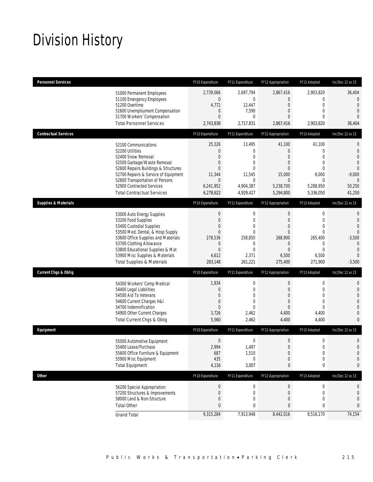# Division History

| <b>Personnel Services</b>       |                                                                                                                                                                                                                                                                                                      | FY10 Expenditure                                                                                                               | FY11 Expenditure                                                                                                     | FY12 Appropriation                                                                                               | FY13 Adopted                                                                                                             | Inc/Dec 12 vs 13                                                                                                                   |
|---------------------------------|------------------------------------------------------------------------------------------------------------------------------------------------------------------------------------------------------------------------------------------------------------------------------------------------------|--------------------------------------------------------------------------------------------------------------------------------|----------------------------------------------------------------------------------------------------------------------|------------------------------------------------------------------------------------------------------------------|--------------------------------------------------------------------------------------------------------------------------|------------------------------------------------------------------------------------------------------------------------------------|
|                                 | 51000 Permanent Employees<br>51100 Emergency Employees<br>51200 Overtime<br>51600 Unemployment Compensation<br>51700 Workers' Compensation<br><b>Total Personnel Services</b>                                                                                                                        | 2.739.066<br>$\boldsymbol{0}$<br>4,772<br>$\mathbf 0$<br>$\overline{0}$<br>2,743,838                                           | 2,697,794<br>0<br>12,447<br>7,590<br>0<br>2,717,831                                                                  | 2,867,416<br>0<br>$\mathbf 0$<br>0<br>0<br>2,867,416                                                             | 2,903,820<br>$\mathbf 0$<br>$\mathbf 0$<br>$\mathbf{0}$<br>$\mathbf{0}$<br>2,903,820                                     | 36,404<br>$\mathbf{0}$<br>$\overline{0}$<br>$\overline{0}$<br>$\Omega$<br>36,404                                                   |
| <b>Contractual Services</b>     |                                                                                                                                                                                                                                                                                                      | FY10 Expenditure                                                                                                               | FY11 Expenditure                                                                                                     | FY12 Appropriation                                                                                               | FY13 Adopted                                                                                                             | Inc/Dec 12 vs 13                                                                                                                   |
|                                 | 52100 Communications<br>52200 Utilities<br>52400 Snow Removal<br>52500 Garbage/Waste Removal<br>52600 Repairs Buildings & Structures<br>52700 Repairs & Service of Equipment<br>52800 Transportation of Persons<br>52900 Contracted Services<br><b>Total Contractual Services</b>                    | 25,326<br>$\mathbf 0$<br>$\overline{0}$<br>0<br>$\overline{0}$<br>11,344<br>$\mathbf 0$<br>6,241,952<br>6,278,622              | 13,495<br>0<br>$\Omega$<br>0<br>$\Omega$<br>11,545<br>$\mathbf 0$<br>4,904,387<br>4,929,427                          | 41,100<br>0<br>$\mathbf{0}$<br>0<br>$\Omega$<br>15,000<br>$\mathbf 0$<br>5,238,700<br>5,294,800                  | 41,100<br>$\mathbf 0$<br>$\mathbf{0}$<br>$\mathbf{0}$<br>$\mathbf{0}$<br>6,000<br>$\mathbf{0}$<br>5,288,950<br>5,336,050 | $\mathbf{0}$<br>$\mathbf 0$<br>$\overline{0}$<br>$\overline{0}$<br>$\overline{0}$<br>$-9,000$<br>$\theta$<br>50,250<br>41,250      |
| <b>Supplies &amp; Materials</b> |                                                                                                                                                                                                                                                                                                      | FY10 Expenditure                                                                                                               | FY11 Expenditure                                                                                                     | FY12 Appropriation                                                                                               | FY13 Adopted                                                                                                             | Inc/Dec 12 vs 13                                                                                                                   |
|                                 | 53000 Auto Energy Supplies<br>53200 Food Supplies<br>53400 Custodial Supplies<br>53500 Med, Dental, & Hosp Supply<br>53600 Office Supplies and Materials<br>53700 Clothing Allowance<br>53800 Educational Supplies & Mat<br>53900 Misc Supplies & Materials<br><b>Total Supplies &amp; Materials</b> | $\boldsymbol{0}$<br>$\boldsymbol{0}$<br>$\overline{0}$<br>$\mathbf{0}$<br>278,536<br>0<br>$\boldsymbol{0}$<br>4,612<br>283,148 | $\mathbf 0$<br>$\overline{0}$<br>0<br>$\overline{0}$<br>258.850<br>$\mathbf 0$<br>$\overline{0}$<br>2,371<br>261,221 | $\mathbf 0$<br>$\mathbf{0}$<br>0<br>$\overline{0}$<br>268,900<br>$\mathbf 0$<br>$\mathbf{0}$<br>6,500<br>275,400 | $\mathbf 0$<br>$\mathbf{0}$<br>$\mathbf{0}$<br>$\mathbf{0}$<br>265,400<br>0<br>$\mathbf{0}$<br>6,500<br>271,900          | $\mathbf{0}$<br>$\mathbf{0}$<br>$\overline{0}$<br>$\Omega$<br>$-3,500$<br>$\overline{0}$<br>$\overline{0}$<br>$\Omega$<br>$-3,500$ |
| <b>Current Chgs &amp; Oblig</b> |                                                                                                                                                                                                                                                                                                      | FY10 Expenditure                                                                                                               | FY11 Expenditure                                                                                                     | FY12 Appropriation                                                                                               | FY13 Adopted                                                                                                             | Inc/Dec 12 vs 13                                                                                                                   |
|                                 | 54300 Workers' Comp Medical<br>54400 Legal Liabilities<br>54500 Aid To Veterans<br>54600 Current Charges H&I<br>54700 Indemnification<br>54900 Other Current Charges<br>Total Current Chgs & Oblig                                                                                                   | 1,834<br>$\mathbf 0$<br>$\overline{0}$<br>$\boldsymbol{0}$<br>$\mathbf{0}$<br>3,726<br>5,560                                   | $\mathbf 0$<br>$\mathbf 0$<br>0<br>$\overline{0}$<br>$\Omega$<br>2,462<br>2,462                                      | $\boldsymbol{0}$<br>$\overline{0}$<br>0<br>$\overline{0}$<br>$\overline{0}$<br>4,400<br>4,400                    | $\mathbf 0$<br>$\mathbf 0$<br>$\mathbf{0}$<br>$\mathbf{0}$<br>$\mathbf{0}$<br>4,400<br>4,400                             | $\mathbf{0}$<br>$\mathbf 0$<br>$\overline{0}$<br>$\overline{0}$<br>$\overline{0}$<br>$\overline{0}$<br>$\mathbf{0}$                |
| Equipment                       |                                                                                                                                                                                                                                                                                                      | FY10 Expenditure                                                                                                               | FY11 Expenditure                                                                                                     | FY12 Appropriation                                                                                               | FY13 Adopted                                                                                                             | Inc/Dec 12 vs 13                                                                                                                   |
|                                 | 55000 Automotive Equipment<br>55400 Lease/Purchase<br>55600 Office Furniture & Equipment<br>55900 Misc Equipment<br><b>Total Equipment</b>                                                                                                                                                           | $\boldsymbol{0}$<br>2.994<br>687<br>435<br>4,116                                                                               | 0<br>1,497<br>1,510<br>$\mathbf 0$<br>3,007                                                                          | $\mathbf 0$<br>$\overline{0}$<br>$\boldsymbol{0}$<br>$\mathbf 0$<br>0                                            | $\mathbf 0$<br>$\mathbf{0}$<br>$\mathbf 0$<br>$\mathbf 0$<br>0                                                           | $\mathbf 0$<br>$\mathbf{0}$<br>$\mathbf 0$<br>$\mathbf 0$<br>0                                                                     |
| <b>Other</b>                    |                                                                                                                                                                                                                                                                                                      | FY10 Expenditure                                                                                                               | FY11 Expenditure                                                                                                     | FY12 Appropriation                                                                                               | FY13 Adopted                                                                                                             | Inc/Dec 12 vs 13                                                                                                                   |
|                                 | 56200 Special Appropriation<br>57200 Structures & Improvements<br>58000 Land & Non-Structure<br><b>Total Other</b>                                                                                                                                                                                   | $\boldsymbol{0}$<br>$\boldsymbol{0}$<br>0<br>$\bf{0}$                                                                          | 0<br>0<br>0<br>0                                                                                                     | $\mathbf 0$<br>$\mathbf 0$<br>0<br>0                                                                             | $\boldsymbol{0}$<br>0<br>$\mathbf{0}$<br>0                                                                               | 0<br>$\mathbf 0$<br>$\mathbf 0$<br>0                                                                                               |
|                                 | <b>Grand Total</b>                                                                                                                                                                                                                                                                                   | 9,315,284                                                                                                                      | 7,913,948                                                                                                            | 8,442,016                                                                                                        | 8,516,170                                                                                                                | 74,154                                                                                                                             |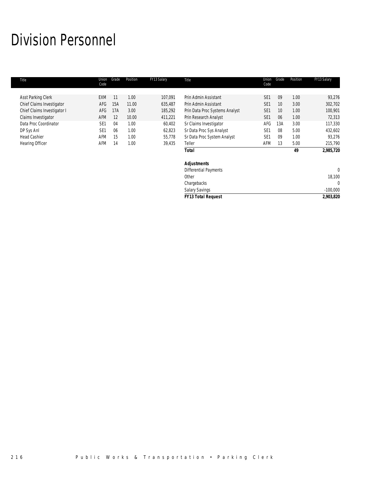# Division Personnel

| Title                       | Union<br>Code   | Grade | Position | FY13 Salary | Title                          | Union<br>Code   | Grade | Position | FY13 Salary |
|-----------------------------|-----------------|-------|----------|-------------|--------------------------------|-----------------|-------|----------|-------------|
|                             |                 |       |          |             |                                |                 |       |          |             |
| Asst Parking Clerk          | <b>EXM</b>      | 11    | 1.00     | 107,091     | Prin Admin Assistant           | SE <sub>1</sub> | 09    | 1.00     | 93,276      |
| Chief Claims Investigator   | <b>AFG</b>      | 15A   | 11.00    | 635.487     | Prin Admin Assistant           | SE <sub>1</sub> | 10    | 3.00     | 302,702     |
| Chief Claims Investigator I | AFG             | 17A   | 3.00     | 185,292     | Prin Data Proc Systems Analyst | SE <sub>1</sub> | 10    | 1.00     | 100,901     |
| Claims Investigator         | <b>AFM</b>      | 12    | 10.00    | 411,221     | Prin Research Analyst          | SE <sub>1</sub> | 06    | 1.00     | 72,313      |
| Data Proc Coordinator       | SE <sub>1</sub> | 04    | 1.00     | 60,402      | Sr Claims Investigator         | AFG             | 13A   | 3.00     | 117,330     |
| DP Sys Anl                  | SE <sub>1</sub> | 06    | 1.00     | 62,823      | Sr Data Proc Sys Analyst       | SE <sub>1</sub> | 08    | 5.00     | 432,602     |
| <b>Head Cashier</b>         | AFM             | 15    | 1.00     | 55,778      | Sr Data Proc System Analyst    | SE <sub>1</sub> | 09    | 1.00     | 93,276      |
| <b>Hearing Officer</b>      | AFM             | 14    | 1.00     | 39,435      | Teller                         | AFM             | 13    | 5.00     | 215,790     |
|                             |                 |       |          |             | Total                          |                 |       | 49       | 2,985,720   |
|                             |                 |       |          |             | <b>Adjustments</b>             |                 |       |          |             |
|                             |                 |       |          |             | Differential Payments          |                 |       |          | 0           |

| <b>FY13 Total Request</b> | 2,903,820  |
|---------------------------|------------|
| <b>Salary Savings</b>     | $-100,000$ |
| Chargebacks               |            |
| Other                     | 18,100     |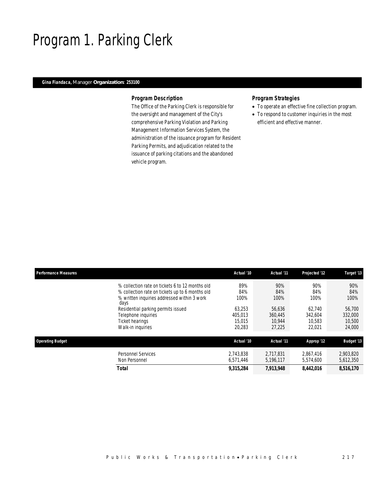# Program 1. Parking Clerk

## *Gina Fiandaca, Manager Organization: 253100*

### *Program Description*

The Office of the Parking Clerk is responsible for the oversight and management of the City's comprehensive Parking Violation and Parking Management Information Services System, the administration of the issuance program for Resident Parking Permits, and adjudication related to the issuance of parking citations and the abandoned vehicle program.

## *Program Strategies*

- To operate an effective fine collection program.
- To respond to customer inquiries in the most efficient and effective manner.

| <b>Performance Measures</b>                                                                            | Actual '10        | Actual '11        | Projected '12     | Target '13        |
|--------------------------------------------------------------------------------------------------------|-------------------|-------------------|-------------------|-------------------|
| % collection rate on tickets 6 to 12 months old                                                        | 89%               | 90%               | 90%               | 90%               |
| % collection rate on tickets up to 6 months old<br>% written inquiries addressed within 3 work<br>days | 84%<br>100%       | 84%<br>100%       | 84%<br>100%       | 84%<br>100%       |
| Residential parking permits issued<br>Telephone inquiries                                              | 63.253<br>405.013 | 56.636<br>360.445 | 62.740<br>342.604 | 56,700<br>332,000 |
| Ticket hearings<br>Walk-in inquiries                                                                   | 15,015<br>20,283  | 10.944<br>27.225  | 10.583<br>22,021  | 10,500<br>24,000  |
| <b>Operating Budget</b>                                                                                | Actual '10        | Actual '11        | Approp '12        | <b>Budget '13</b> |
| <b>Personnel Services</b>                                                                              | 2.743.838         | 2.717.831         | 2.867.416         | 2,903,820         |
| Non Personnel                                                                                          | 6.571.446         | 5,196,117         | 5,574,600         | 5,612,350         |
| <b>Total</b>                                                                                           | 9,315,284         | 7,913,948         | 8,442,016         | 8,516,170         |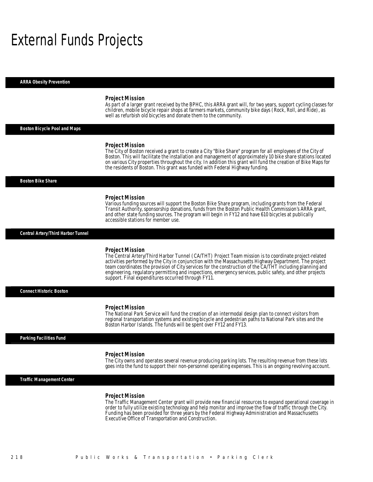## External Funds Projects

*ARRA Obesity Prevention* 

#### *Project Mission*

As part of a larger grant received by the BPHC, this ARRA grant will, for two years, support cycling classes for children, mobile bicycle repair shops at farmers markets, community bike days (Rock, Roll, and Ride), as well as refurbish old bicycles and donate them to the community.

### *Boston Bicycle Pool and Maps*

#### *Project Mission*

The City of Boston received a grant to create a City "Bike Share" program for all employees of the City of Boston. This will facilitate the installation and management of approximately 10 bike share stations located on various City properties throughout the city. In addition this grant will fund the creation of Bike Maps for the residents of Boston. This grant was funded with Federal Highway funding.

#### *Boston Bike Share*

#### *Project Mission*

Various funding sources will support the Boston Bike Share program, including grants from the Federal Transit Authority, sponsorship donations, funds from the Boston Public Health Commission's ARRA grant, and other state funding sources. The program will begin in FY12 and have 610 bicycles at publically accessible stations for member use.

#### *Central Artery/Third Harbor Tunnel*

#### *Project Mission*

The Central Artery/Third Harbor Tunnel (CA/THT) Project Team mission is to coordinate project-related activities performed by the City in conjunction with the Massachusetts Highway Department. The project team coordinates the provision of City services for the construction of the CA/THT including planning and engineering, regulatory permitting and inspections, emergency services, public safety, and other projects support. Final expenditures occurred through FY11.

*Connect Historic Boston* 

#### *Project Mission*

The National Park Service will fund the creation of an intermodal design plan to connect visitors from regional transportation systems and existing bicycle and pedestrian paths to National Park sites and the Boston Harbor Islands. The funds will be spent over FY12 and FY13.

#### *Parking Facilities Fund*

#### *Project Mission*

The City owns and operates several revenue producing parking lots. The resulting revenue from these lots goes into the fund to support their non-personnel operating expenses. This is an ongoing revolving account.

### *Traffic Management Center*

#### *Project Mission*

The Traffic Management Center grant will provide new financial resources to expand operational coverage in order to fully utilize existing technology and help monitor and improve the flow of traffic through the City. Funding has been provided for three years by the Federal Highway Administration and Massachusetts Executive Office of Transportation and Construction.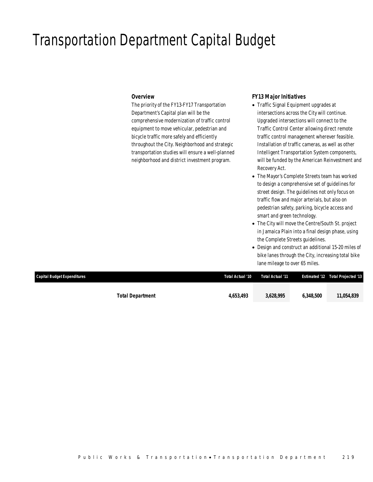## Transportation Department Capital Budget

### *Overview*

The priority of the FY13-FY17 Transportation Department's Capital plan will be the comprehensive modernization of traffic control equipment to move vehicular, pedestrian and bicycle traffic more safely and efficiently throughout the City. Neighborhood and strategic transportation studies will ensure a well-planned neighborhood and district investment program.

## *FY13 Major Initiatives*

- Traffic Signal Equipment upgrades at intersections across the City will continue. Upgraded intersections will connect to the Traffic Control Center allowing direct remote traffic control management wherever feasible. Installation of traffic cameras, as well as other Intelligent Transportation System components, will be funded by the American Reinvestment and Recovery Act.
- The Mayor's Complete Streets team has worked to design a comprehensive set of guidelines for street design. The guidelines not only focus on traffic flow and major arterials, but also on pedestrian safety, parking, bicycle access and smart and green technology.
- The City will move the Centre/South St. project in Jamaica Plain into a final design phase, using the Complete Streets guidelines.
- Design and construct an additional 15-20 miles of bike lanes through the City, increasing total bike lane mileage to over 65 miles.

| Capital Budget Expenditures | Total Actual '10 | Total Actual '11 |           | Estimated '12 Total Projected '13 |
|-----------------------------|------------------|------------------|-----------|-----------------------------------|
|                             |                  |                  |           |                                   |
| <b>Total Department</b>     | 4.653.493        | 3,628,995        | 6.348.500 | 11,054,839                        |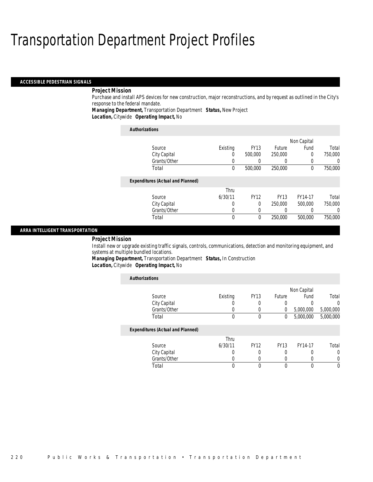#### *ACCESSIBLE PEDESTRIAN SIGNALS*

## *Project Mission*

Purchase and install APS devices for new construction, major reconstructions, and by request as outlined in the City's response to the federal mandate.

*Managing Department,* Transportation Department *Status,* New Project

*Location,* Citywide *Operating Impact,* No

| <b>Authorizations</b>                    |          |             |             |             |         |
|------------------------------------------|----------|-------------|-------------|-------------|---------|
|                                          |          |             |             | Non Capital |         |
| Source                                   | Existing | <b>FY13</b> | Future      | Fund        | Total   |
| City Capital                             | 0        | 500,000     | 250,000     | $\Omega$    | 750,000 |
| Grants/Other                             |          |             |             | 0           | 0       |
| Total                                    | 0        | 500,000     | 250,000     | $\theta$    | 750,000 |
| <b>Expenditures (Actual and Planned)</b> |          |             |             |             |         |
|                                          | Thru     |             |             |             |         |
| Source                                   | 6/30/11  | <b>FY12</b> | <b>FY13</b> | FY14-17     | Total   |
| City Capital                             | 0        | $\Omega$    | 250,000     | 500,000     | 750,000 |
| Grants/Other                             | 0        | 0           |             | 0           | 0       |
| Total                                    | 0        | $\theta$    | 250,000     | 500,000     | 750,000 |

### *ARRA INTELLIGENT TRANSPORTATION*

#### *Project Mission*

Install new or upgrade existing traffic signals, controls, communications, detection and monitoring equipment, and systems at multiple bundled locations.

*Managing Department,* Transportation Department *Status,* In Construction*Location,* Citywide *Operating Impact,* No

| <b>Authorizations</b>                    |          |             |             |             |           |
|------------------------------------------|----------|-------------|-------------|-------------|-----------|
|                                          |          |             |             | Non Capital |           |
| Source                                   | Existing | <b>FY13</b> | Future      | Fund        | Total     |
| City Capital                             |          |             | 0           | 0           | 0         |
| Grants/Other                             |          |             | $\left($    | 5,000,000   | 5,000,000 |
| Total                                    | 0        | $\theta$    | 0           | 5,000,000   | 5,000,000 |
| <b>Expenditures (Actual and Planned)</b> |          |             |             |             |           |
|                                          | Thru     |             |             |             |           |
| Source                                   | 6/30/11  | <b>FY12</b> | <b>FY13</b> | FY14-17     | Total     |
| City Capital                             |          |             |             |             | 0         |
| Grants/Other                             |          | 0           |             | 0           |           |
| Total                                    | 0        |             | $\Omega$    |             | $\Omega$  |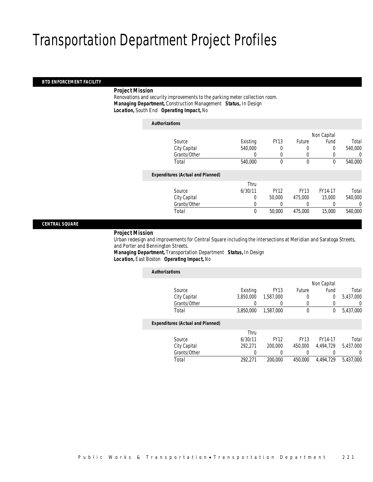### *BTD ENFORCEMENT FACILITY*

### *Project Mission*

 Renovations and security improvements to the parking meter collection room. *Managing Department,* Construction Management *Status,* In Design*Location,* South End *Operating Impact,* No

| <b>Authorizations</b>                    |             |             |             |             |         |
|------------------------------------------|-------------|-------------|-------------|-------------|---------|
|                                          |             |             |             | Non Capital |         |
| Source                                   | Existing    | <b>FY13</b> | Future      | Fund        | Total   |
| City Capital                             | 540,000     | 0           | 0           | 0           | 540,000 |
| Grants/Other                             | 0           | 0           | 0           | 0           | 0       |
| Total                                    | 540,000     | $\theta$    | $\theta$    | $\theta$    | 540,000 |
| <b>Expenditures (Actual and Planned)</b> |             |             |             |             |         |
|                                          | Thru        |             |             |             |         |
| Source                                   | 6/30/11     | <b>FY12</b> | <b>FY13</b> | FY14-17     | Total   |
| City Capital                             | 0           | 50,000      | 475,000     | 15,000      | 540,000 |
| Grants/Other                             | 0           |             |             |             | 0       |
| Total                                    | $\mathbf 0$ | 50,000      | 475,000     | 15,000      | 540,000 |
|                                          |             |             |             |             |         |

*CENTRAL SQUARE* 

#### *Project Mission*

 Urban redesign and improvements for Central Square including the intersections at Meridian and Saratoga Streets, and Porter and Bennington Streets.

*Managing Department,* Transportation Department *Status,* In Design*Location,* East Boston *Operating Impact,* No

| <b>Authorizations</b>                    |           |             |             |             |           |
|------------------------------------------|-----------|-------------|-------------|-------------|-----------|
|                                          |           |             |             | Non Capital |           |
| Source                                   | Existing  | <b>FY13</b> | Future      | Fund        | Total     |
| City Capital                             | 3,850,000 | 1,587,000   | 0           | 0           | 5,437,000 |
| Grants/Other                             |           |             | 0           |             | 0         |
| Total                                    | 3,850,000 | 1.587.000   | $\mathbf 0$ | 0           | 5,437,000 |
| <b>Expenditures (Actual and Planned)</b> |           |             |             |             |           |
|                                          | Thru      |             |             |             |           |
| Source                                   | 6/30/11   | <b>FY12</b> | <b>FY13</b> | FY14-17     | Total     |
| City Capital                             | 292.271   | 200,000     | 450,000     | 4.494.729   | 5.437.000 |
| Grants/Other                             |           | 0           | 0           | 0           | $\left($  |
| Total                                    | 292.271   | 200,000     | 450,000     | 4.494.729   | 5.437.000 |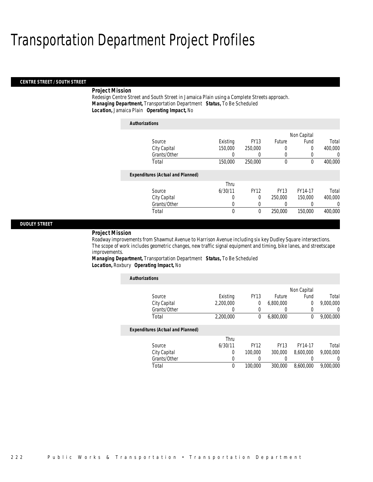#### *CENTRE STREET / SOUTH STREET*

### *Project Mission*

Redesign Centre Street and South Street in Jamaica Plain using a Complete Streets approach. *Managing Department,* Transportation Department *Status,* To Be Scheduled*Location,* Jamaica Plain *Operating Impact,* No

| <b>Authorizations</b> |                                          |             |             |               |             |         |
|-----------------------|------------------------------------------|-------------|-------------|---------------|-------------|---------|
|                       |                                          |             |             |               | Non Capital |         |
|                       | Source                                   | Existing    | <b>FY13</b> | <b>Future</b> | Fund        | Total   |
|                       | City Capital                             | 150,000     | 250,000     | 0             | 0           | 400,000 |
|                       | Grants/Other                             | 0           | 0           | 0             | 0           | 0       |
|                       | Total                                    | 150,000     | 250,000     | 0             | 0           | 400.000 |
|                       | <b>Expenditures (Actual and Planned)</b> |             |             |               |             |         |
|                       |                                          | Thru        |             |               |             |         |
|                       | Source                                   | 6/30/11     | <b>FY12</b> | <b>FY13</b>   | FY14-17     | Total   |
|                       | City Capital                             | 0           | $\Omega$    | 250,000       | 150,000     | 400.000 |
|                       | Grants/Other                             | 0           | 0           |               |             | 0       |
|                       | Total                                    | $\mathbf 0$ | 0           | 250,000       | 150,000     | 400.000 |

### *DUDLEY STREET*

#### *Project Mission*

Roadway improvements from Shawmut Avenue to Harrison Avenue including six key Dudley Square intersections. The scope of work includes geometric changes, new traffic signal equipment and timing, bike lanes, and streetscape improvements.

*Managing Department,* Transportation Department *Status,* To Be Scheduled*Location,* Roxbury *Operating Impact,* No

| <b>Authorizations</b>                    |           |             |             |             |           |
|------------------------------------------|-----------|-------------|-------------|-------------|-----------|
|                                          |           |             |             | Non Capital |           |
| Source                                   | Existing  | <b>FY13</b> | Future      | Fund        | Total     |
| City Capital                             | 2.200.000 | $\theta$    | 6,800,000   | 0           | 9,000,000 |
| Grants/Other                             | 0         | 0           |             | 0           | 0         |
| Total                                    | 2,200,000 | $\bf{0}$    | 6,800,000   | 0           | 9,000,000 |
| <b>Expenditures (Actual and Planned)</b> |           |             |             |             |           |
|                                          | Thru      |             |             |             |           |
| Source                                   | 6/30/11   | <b>FY12</b> | <b>FY13</b> | FY14-17     | Total     |
| City Capital                             | 0         | 100,000     | 300,000     | 8.600.000   | 9.000.000 |
| Grants/Other                             | 0         |             |             |             | 0         |
| Total                                    | 0         | 100,000     | 300,000     | 8.600.000   | 9.000.000 |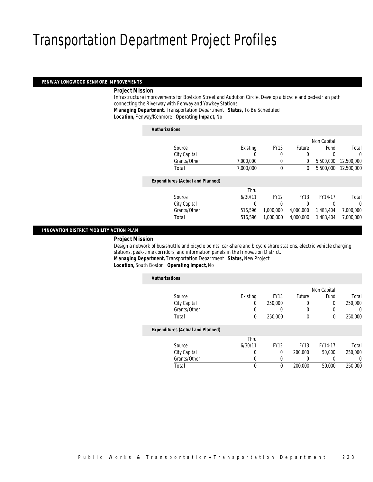#### *FENWAY LONGWOOD KENMORE IMPROVEMENTS*

### *Project Mission*

 Infrastructure improvements for Boylston Street and Audubon Circle. Develop a bicycle and pedestrian path connecting the Riverway with Fenway and Yawkey Stations.

*Managing Department,* Transportation Department *Status,* To Be Scheduled

*Location,* Fenway/Kenmore *Operating Impact,* No

| <b>Authorizations</b>                    |           |             |             |             |            |
|------------------------------------------|-----------|-------------|-------------|-------------|------------|
|                                          |           |             |             | Non Capital |            |
| Source                                   | Existing  | <b>FY13</b> | Future      | Fund        | Total      |
| City Capital                             | 0         | 0           | 0           | 0           | 0          |
| Grants/Other                             | 7,000,000 | 0           | 0           | 5.500.000   | 12,500,000 |
| Total                                    | 7,000,000 | $\mathbf 0$ | 0           | 5,500,000   | 12,500,000 |
| <b>Expenditures (Actual and Planned)</b> |           |             |             |             |            |
|                                          | Thru      |             |             |             |            |
| Source                                   | 6/30/11   | <b>FY12</b> | <b>FY13</b> | FY14-17     | Total      |
| City Capital                             | 0         | 0           | 0           | 0           | 0          |
| Grants/Other                             | 516,596   | 1,000,000   | 4,000,000   | 1,483,404   | 7,000,000  |
| Total                                    | 516,596   | 1,000,000   | 4,000,000   | 1,483,404   | 7,000,000  |
|                                          |           |             |             |             |            |

### *INNOVATION DISTRICT MOBILITY ACTION PLAN*

#### *Project Mission*

 Design a network of bus/shuttle and bicycle points, car-share and bicycle share stations, electric vehicle charging stations, peak-time corridors, and information panels in the Innovation District. *Managing Department,* Transportation Department *Status,* New Project

*Location,* South Boston *Operating Impact,* No

| <b>Authorizations</b>                    |          |             |             |             |         |
|------------------------------------------|----------|-------------|-------------|-------------|---------|
|                                          |          |             |             | Non Capital |         |
| Source                                   | Existing | <b>FY13</b> | Future      | Fund        | Total   |
| City Capital                             | 0        | 250,000     | 0           | 0           | 250,000 |
| Grants/Other                             | 0        | 0           | 0           | $\left($    | 0       |
| Total                                    | 0        | 250,000     | $\theta$    | 0           | 250,000 |
| <b>Expenditures (Actual and Planned)</b> |          |             |             |             |         |
|                                          | Thru     |             |             |             |         |
| Source                                   | 6/30/11  | <b>FY12</b> | <b>FY13</b> | FY14-17     | Total   |
| City Capital                             | 0        | 0           | 200,000     | 50,000      | 250,000 |
| Grants/Other                             | 0        | 0           | 0           |             | 0       |
| Total                                    | 0        | 0           | 200,000     | 50,000      | 250,000 |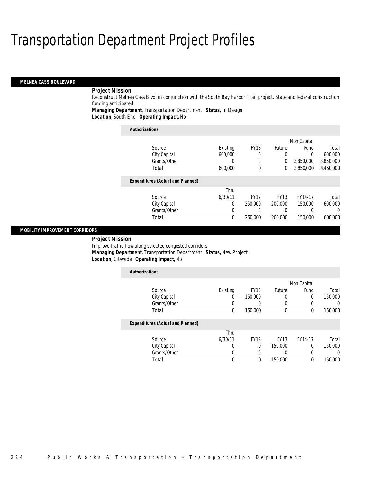#### *MELNEA CASS BOULEVARD*

## *Project Mission*

Reconstruct Melnea Cass Blvd. in conjunction with the South Bay Harbor Trail project. State and federal construction funding anticipated.

*Managing Department,* Transportation Department *Status,* In Design*Location,* South End *Operating Impact,* No

| <b>Authorizations</b>                    |          |             |               |           |           |  |  |
|------------------------------------------|----------|-------------|---------------|-----------|-----------|--|--|
| Non Capital                              |          |             |               |           |           |  |  |
| Source                                   | Existing | <b>FY13</b> | <b>Future</b> | Fund      | Total     |  |  |
| City Capital                             | 600,000  | 0           | 0             | $\Omega$  | 600,000   |  |  |
| Grants/Other                             | 0        | 0           | $\mathbf 0$   | 3,850,000 | 3,850,000 |  |  |
| Total                                    | 600,000  | $\theta$    | 0             | 3.850.000 | 4,450,000 |  |  |
| <b>Expenditures (Actual and Planned)</b> |          |             |               |           |           |  |  |
|                                          | Thru     |             |               |           |           |  |  |
| Source                                   | 6/30/11  | <b>FY12</b> | <b>FY13</b>   | FY14-17   | Total     |  |  |
| City Capital                             | 0        | 250,000     | 200,000       | 150,000   | 600,000   |  |  |
| Grants/Other                             | 0        |             | $\left($      | $\Omega$  | 0         |  |  |
| Total                                    | 0        | 250,000     | 200,000       | 150,000   | 600,000   |  |  |

### *MOBILITY IMPROVEMENT CORRIDORS*

#### *Project Mission*

Improve traffic flow along selected congested corridors. *Managing Department,* Transportation Department *Status,* New Project*Location,* Citywide *Operating Impact,* No

| <b>Authorizations</b>                    |          |             |             |             |         |
|------------------------------------------|----------|-------------|-------------|-------------|---------|
|                                          |          |             |             | Non Capital |         |
| Source                                   | Existing | <b>FY13</b> | Future      | Fund        | Total   |
| City Capital                             | 0        | 150,000     |             | $\Omega$    | 150,000 |
| Grants/Other                             | U        |             | 0           | 0           | 0       |
| Total                                    | 0        | 150,000     | $\theta$    | $\theta$    | 150,000 |
| <b>Expenditures (Actual and Planned)</b> |          |             |             |             |         |
|                                          | Thru     |             |             |             |         |
| Source                                   | 6/30/11  | <b>FY12</b> | <b>FY13</b> | FY14-17     | Total   |
| City Capital                             | 0        | 0           | 150,000     | 0           | 150,000 |
| Grants/Other                             | 0        | 0           |             | 0           | 0       |
| Total                                    | 0        | 0           | 150,000     | $\theta$    | 150,000 |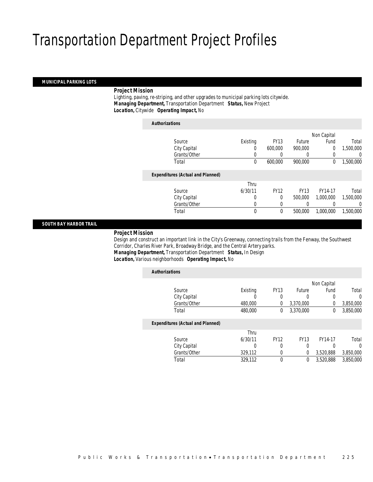### *MUNICIPAL PARKING LOTS*

### *Project Mission*

 Lighting, paving, re-striping, and other upgrades to municipal parking lots citywide. *Managing Department,* Transportation Department *Status,* New Project*Location,* Citywide *Operating Impact,* No

|                                          |          |             |               | Non Capital |           |
|------------------------------------------|----------|-------------|---------------|-------------|-----------|
| Source                                   | Existing | <b>FY13</b> | <b>Future</b> | Fund        | Total     |
| City Capital                             | 0        | 600,000     | 900,000       | $\mathbf 0$ | 1,500,000 |
| Grants/Other                             | 0        | 0           | 0             | 0           | U         |
| Total                                    | $\theta$ | 600,000     | 900.000       | 0           | 1,500,000 |
| <b>Expenditures (Actual and Planned)</b> |          |             |               |             |           |
|                                          | Thru     |             |               |             |           |
| Source                                   | 6/30/11  | <b>FY12</b> | <b>FY13</b>   | FY14-17     | Total     |
| City Capital                             | 0        | $\Omega$    | 500,000       | 1,000,000   | 1,500,000 |
| Grants/Other                             | $\Omega$ | 0           | 0             | 0           | 0         |
| Total                                    | $\theta$ | 0           | 500,000       | 1,000,000   | 1,500,000 |

### *SOUTH BAY HARBOR TRAIL*

### *Project Mission*

 Design and construct an important link in the City's Greenway, connecting trails from the Fenway, the Southwest Corridor, Charles River Park, Broadway Bridge, and the Central Artery parks. *Managing Department,* Transportation Department *Status,* In Design

### *Location,* Various neighborhoods *Operating Impact,* No

| <b>Authorizations</b>                    |          |             |             |             |           |
|------------------------------------------|----------|-------------|-------------|-------------|-----------|
|                                          |          |             |             | Non Capital |           |
| Source                                   | Existing | <b>FY13</b> | Future      | Fund        | Total     |
| City Capital                             | O        | 0           | 0           | 0           | $\Omega$  |
| Grants/Other                             | 480,000  | 0           | 3,370,000   | 0           | 3,850,000 |
| Total                                    | 480,000  | 0           | 3.370.000   | 0           | 3,850,000 |
| <b>Expenditures (Actual and Planned)</b> |          |             |             |             |           |
|                                          | Thru     |             |             |             |           |
| Source                                   | 6/30/11  | <b>FY12</b> | <b>FY13</b> | FY14-17     | Total     |
| City Capital                             | 0        | 0           | 0           | 0           | $\Omega$  |
| Grants/Other                             | 329,112  | 0           | 0           | 3,520,888   | 3,850,000 |
| Total                                    | 329,112  | 0           | 0           | 3.520.888   | 3,850,000 |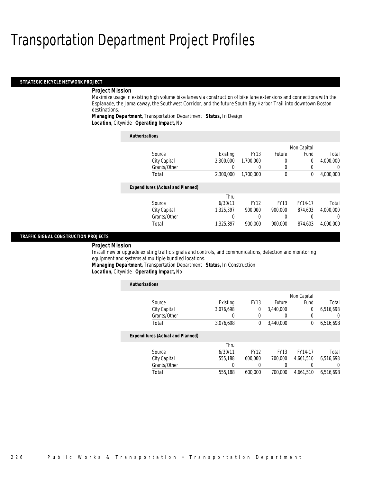#### *STRATEGIC BICYCLE NETWORK PROJECT*

### *Project Mission*

Maximize usage in existing high volume bike lanes via construction of bike lane extensions and connections with the Esplanade, the Jamaicaway, the Southwest Corridor, and the future South Bay Harbor Trail into downtown Boston destinations.

### *Managing Department,* Transportation Department *Status,* In Design*Location,* Citywide *Operating Impact,* No

| <b>Authorizations</b>                    |           |                  |             |             |                  |
|------------------------------------------|-----------|------------------|-------------|-------------|------------------|
|                                          |           |                  |             | Non Capital |                  |
| Source                                   | Existing  | <b>FY13</b>      | Future      | Fund        | Total            |
| City Capital                             | 2,300,000 | 1.700.000        |             | 0           | 4,000,000        |
| Grants/Other                             |           | $\left( \right)$ |             | 0           | $\left( \right)$ |
| Total                                    | 2.300.000 | 1.700.000        | $\mathbf 0$ | 0           | 4,000,000        |
| <b>Expenditures (Actual and Planned)</b> |           |                  |             |             |                  |
|                                          | Thru      |                  |             |             |                  |
| Source                                   | 6/30/11   | <b>FY12</b>      | <b>FY13</b> | FY14-17     | Total            |
| City Capital                             | 1,325,397 | 900.000          | 900.000     | 874.603     | 4,000,000        |
| Grants/Other                             |           | 0                |             | O           | $\left($         |
| Total                                    | 1,325,397 | 900.000          | 900.000     | 874.603     | 4,000,000        |

#### *TRAFFIC SIGNAL CONSTRUCTION PROJECTS*

*Project Mission* 

Install new or upgrade existing traffic signals and controls, and communications, detection and monitoring equipment and systems at multiple bundled locations.

*Managing Department,* Transportation Department *Status,* In Construction

*Location,* Citywide *Operating Impact,* No

| <b>Authorizations</b>                    |           |             |               |                |           |
|------------------------------------------|-----------|-------------|---------------|----------------|-----------|
|                                          |           |             |               | Non Capital    |           |
| Source                                   | Existing  | <b>FY13</b> | <b>Future</b> | Fund           | Total     |
| City Capital                             | 3.076.698 | 0           | 3.440.000     | $\overline{0}$ | 6.516.698 |
| Grants/Other                             |           |             | 0             |                | $\Omega$  |
| Total                                    | 3,076,698 | 0           | 3.440.000     | 0              | 6,516,698 |
| <b>Expenditures (Actual and Planned)</b> |           |             |               |                |           |
|                                          | Thru      |             |               |                |           |
| Source                                   | 6/30/11   | <b>FY12</b> | <b>FY13</b>   | FY14-17        | Total     |
| City Capital                             | 555,188   | 600,000     | 700,000       | 4.661.510      | 6.516.698 |
| Grants/Other                             | 0         | 0           | 0             |                | $\Omega$  |
| Total                                    | 555,188   | 600.000     | 700,000       | 4.661.510      | 6.516.698 |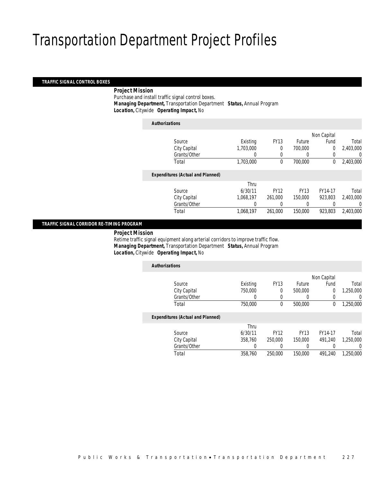### *TRAFFIC SIGNAL CONTROL BOXES*

## *Project Mission*

 Purchase and install traffic signal control boxes. *Managing Department,* Transportation Department *Status,* Annual Program*Location,* Citywide *Operating Impact,* No

| <b>Authorizations</b>                    |           |             |               |                |           |
|------------------------------------------|-----------|-------------|---------------|----------------|-----------|
|                                          |           |             |               | Non Capital    |           |
| Source                                   | Existing  | <b>FY13</b> | <b>Future</b> | Fund           | Total     |
| City Capital                             | 1,703,000 | $\theta$    | 700,000       | $\overline{0}$ | 2,403,000 |
| Grants/Other                             |           |             |               | 0              | 0         |
| Total                                    | 1,703,000 | 0           | 700,000       | $^{0}$         | 2,403,000 |
| <b>Expenditures (Actual and Planned)</b> |           |             |               |                |           |
|                                          | Thru      |             |               |                |           |
| Source                                   | 6/30/11   | <b>FY12</b> | <b>FY13</b>   | FY14-17        | Total     |
| City Capital                             | 1.068.197 | 261.000     | 150,000       | 923.803        | 2,403,000 |
| Grants/Other                             |           |             |               |                | 0         |
| Total                                    | 1,068,197 | 261,000     | 150,000       | 923.803        | 2,403,000 |
|                                          |           |             |               |                |           |

## *TRAFFIC SIGNAL CORRIDOR RE-TIMING PROGRAM*

*Project Mission*

 Retime traffic signal equipment along arterial corridors to improve traffic flow. *Managing Department,* Transportation Department *Status,* Annual Program*Location,* Citywide *Operating Impact,* No

| <b>Authorizations</b>                    |          |             |             |             |           |
|------------------------------------------|----------|-------------|-------------|-------------|-----------|
|                                          |          |             |             | Non Capital |           |
| Source                                   | Existing | <b>FY13</b> | Future      | Fund        | Total     |
| City Capital                             | 750,000  | 0           | 500,000     | 0           | 1.250.000 |
| Grants/Other                             | 0        | 0           | 0           |             | 0         |
| Total                                    | 750,000  | 0           | 500,000     | 0           | 1,250,000 |
| <b>Expenditures (Actual and Planned)</b> |          |             |             |             |           |
|                                          | Thru     |             |             |             |           |
| Source                                   | 6/30/11  | <b>FY12</b> | <b>FY13</b> | FY14-17     | Total     |
| City Capital                             | 358,760  | 250,000     | 150,000     | 491.240     | 1.250.000 |
| Grants/Other                             | 0        | 0           | 0           |             | 0         |
| Total                                    | 358,760  | 250,000     | 150,000     | 491.240     | 1.250.000 |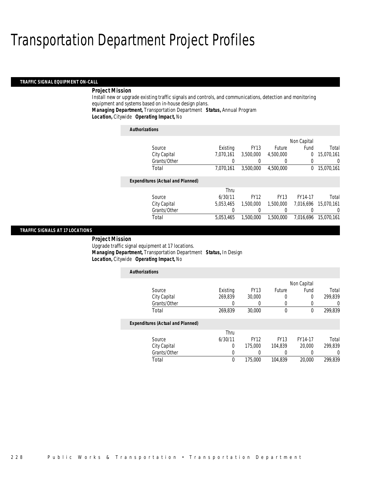#### *TRAFFIC SIGNAL EQUIPMENT ON-CALL*

### *Project Mission*

Install new or upgrade existing traffic signals and controls, and communications, detection and monitoring equipment and systems based on in-house design plans.

*Managing Department,* Transportation Department *Status,* Annual Program

*Location,* Citywide *Operating Impact,* No

| <b>Authorizations</b>                    |           |             |             |             |            |
|------------------------------------------|-----------|-------------|-------------|-------------|------------|
|                                          |           |             |             | Non Capital |            |
| Source                                   | Existing  | <b>FY13</b> | Future      | Fund        | Total      |
| City Capital                             | 7.070.161 | 3,500,000   | 4,500,000   | 0           | 15,070,161 |
| Grants/Other                             |           |             |             | 0           | 0          |
| Total                                    | 7,070,161 | 3,500,000   | 4,500,000   | 0           | 15,070,161 |
| <b>Expenditures (Actual and Planned)</b> |           |             |             |             |            |
|                                          | Thru      |             |             |             |            |
| Source                                   | 6/30/11   | <b>FY12</b> | <b>FY13</b> | FY14-17     | Total      |
| City Capital                             | 5.053.465 | 1.500.000   | 1,500,000   | 7.016.696   | 15.070.161 |
| Grants/Other                             |           |             |             | 0           | 0          |
| Total                                    | 5.053.465 | 1,500,000   | 1.500.000   | 7.016.696   | 15.070.161 |

### *TRAFFIC SIGNALS AT 17 LOCATIONS*

*Project Mission* 

Upgrade traffic signal equipment at 17 locations.*Managing Department,* Transportation Department *Status,* In Design

*Location,* Citywide *Operating Impact,* No

| <b>Authorizations</b>                    |          |                  |             |             |         |
|------------------------------------------|----------|------------------|-------------|-------------|---------|
|                                          |          |                  |             | Non Capital |         |
| Source                                   | Existing | <b>FY13</b>      | Future      | Fund        | Total   |
| City Capital                             | 269,839  | 30,000           |             | 0           | 299,839 |
| Grants/Other                             | 0        | $\left( \right)$ | 0           | 0           | 0       |
| Total                                    | 269.839  | 30,000           | $\theta$    | $\theta$    | 299.839 |
| <b>Expenditures (Actual and Planned)</b> |          |                  |             |             |         |
|                                          | Thru     |                  |             |             |         |
| Source                                   | 6/30/11  | <b>FY12</b>      | <b>FY13</b> | FY14-17     | Total   |
| City Capital                             | $\Omega$ | 175,000          | 104.839     | 20,000      | 299.839 |
| Grants/Other                             | 0        |                  |             |             | 0       |
| Total                                    | 0        | 175,000          | 104.839     | 20,000      | 299.839 |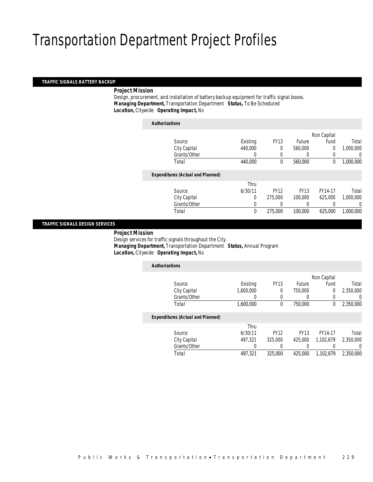### *TRAFFIC SIGNALS BATTERY BACKUP*

### *Project Mission*

 Design, procurement, and installation of battery backup equipment for traffic signal boxes. *Managing Department,* Transportation Department *Status,* To Be Scheduled*Location,* Citywide *Operating Impact,* No

| <b>Authorizations</b>                    |                |             |               |                |           |
|------------------------------------------|----------------|-------------|---------------|----------------|-----------|
|                                          |                |             |               | Non Capital    |           |
| Source                                   | Existing       | <b>FY13</b> | <b>Future</b> | Fund           | Total     |
| City Capital                             | 440,000        | 0           | 560,000       | $\overline{0}$ | 1,000,000 |
| Grants/Other                             | 0              | $\Omega$    | $\left($      | 0              | 0         |
| Total                                    | 440,000        | $\theta$    | 560,000       | $\mathbf 0$    | 1,000,000 |
| <b>Expenditures (Actual and Planned)</b> |                |             |               |                |           |
|                                          | Thru           |             |               |                |           |
| Source                                   | 6/30/11        | <b>FY12</b> | <b>FY13</b>   | FY14-17        | Total     |
| City Capital                             | $\overline{0}$ | 275,000     | 100,000       | 625,000        | 1,000,000 |
| Grants/Other                             | 0              | 0           | $\left($      | 0              | 0         |
| Total                                    | $\mathbf 0$    | 275,000     | 100,000       | 625,000        | 1.000.000 |
|                                          |                |             |               |                |           |

### *TRAFFIC SIGNALS DESIGN SERVICES*

*Project Mission*

 Design services for traffic signals throughout the City. *Managing Department,* Transportation Department *Status,* Annual Program*Location,* Citywide *Operating Impact,* No

| <b>Authorizations</b>                    |           |             |             |             |           |
|------------------------------------------|-----------|-------------|-------------|-------------|-----------|
|                                          |           |             |             | Non Capital |           |
| Source                                   | Existing  | <b>FY13</b> | Future      | Fund        | Total     |
| City Capital                             | 1.600.000 | 0           | 750,000     | 0           | 2.350.000 |
| Grants/Other                             | 0         | $\left($    | 0           | 0           | 0         |
| Total                                    | 1,600,000 | 0           | 750,000     | 0           | 2,350,000 |
| <b>Expenditures (Actual and Planned)</b> |           |             |             |             |           |
|                                          | Thru      |             |             |             |           |
| Source                                   | 6/30/11   | <b>FY12</b> | <b>FY13</b> | FY14-17     | Total     |
| City Capital                             | 497.321   | 325,000     | 425,000     | 1.102.679   | 2,350,000 |
| Grants/Other                             | 0         | 0           | 0           |             | $\left($  |
| Total                                    | 497,321   | 325,000     | 425,000     | 1.102.679   | 2.350.000 |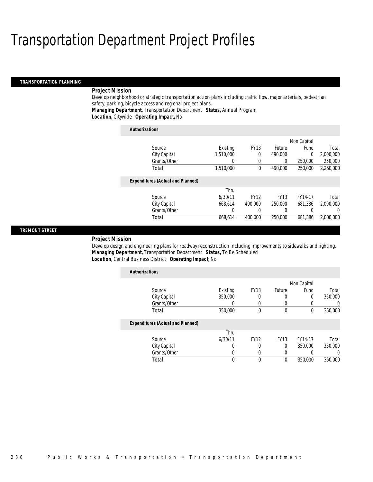#### *TRANSPORTATION PLANNING*

### *Project Mission*

Develop neighborhood or strategic transportation action plans including traffic flow, major arterials, pedestrian safety, parking, bicycle access and regional project plans.

*Managing Department,* Transportation Department *Status,* Annual Program

*Location,* Citywide *Operating Impact,* No

| <b>Authorizations</b>                    |                  |             |             |         |           |
|------------------------------------------|------------------|-------------|-------------|---------|-----------|
|                                          |                  |             | Non Capital |         |           |
| Source                                   | Existing         | <b>FY13</b> | Future      | Fund    | Total     |
| City Capital                             | 1.510.000        | 0           | 490.000     | 0       | 2,000,000 |
| Grants/Other                             | $\left( \right)$ | $\Omega$    | 0           | 250,000 | 250,000   |
| Total                                    | 1,510,000        | $\theta$    | 490.000     | 250,000 | 2,250,000 |
| <b>Expenditures (Actual and Planned)</b> |                  |             |             |         |           |
|                                          | Thru             |             |             |         |           |
| Source                                   | 6/30/11          | <b>FY12</b> | <b>FY13</b> | FY14-17 | Total     |
| City Capital                             | 668.614          | 400,000     | 250,000     | 681.386 | 2.000.000 |
| Grants/Other                             | 0                |             | $\left($    | 0       | 0         |
| Total                                    | 668.614          | 400.000     | 250,000     | 681,386 | 2.000.000 |

### *TREMONT STREET*

#### *Project Mission*

Develop design and engineering plans for roadway reconstruction including improvements to sidewalks and lighting. *Managing Department,* Transportation Department *Status,* To Be Scheduled*Location,* Central Business District *Operating Impact,* No

| <b>Authorizations</b>                    |                  |             |             |         |          |  |
|------------------------------------------|------------------|-------------|-------------|---------|----------|--|
|                                          |                  |             | Non Capital |         |          |  |
| Source                                   | Existing         | <b>FY13</b> | Future      | Fund    | Total    |  |
| City Capital                             | 350,000          | 0           | 0           | 0       | 350,000  |  |
| Grants/Other                             |                  | 0           | 0           |         | $\Omega$ |  |
| Total                                    | 350,000          | 0           | 0           | 0       | 350,000  |  |
| <b>Expenditures (Actual and Planned)</b> |                  |             |             |         |          |  |
|                                          | Thru             |             |             |         |          |  |
| Source                                   | 6/30/11          | <b>FY12</b> | <b>FY13</b> | FY14-17 | Total    |  |
| City Capital                             | 0                | 0           | $\Omega$    | 350,000 | 350,000  |  |
| Grants/Other                             | $\left( \right)$ | 0           | 0           |         | 0        |  |
| Total                                    | 0                | 0           | 0           | 350,000 | 350,000  |  |